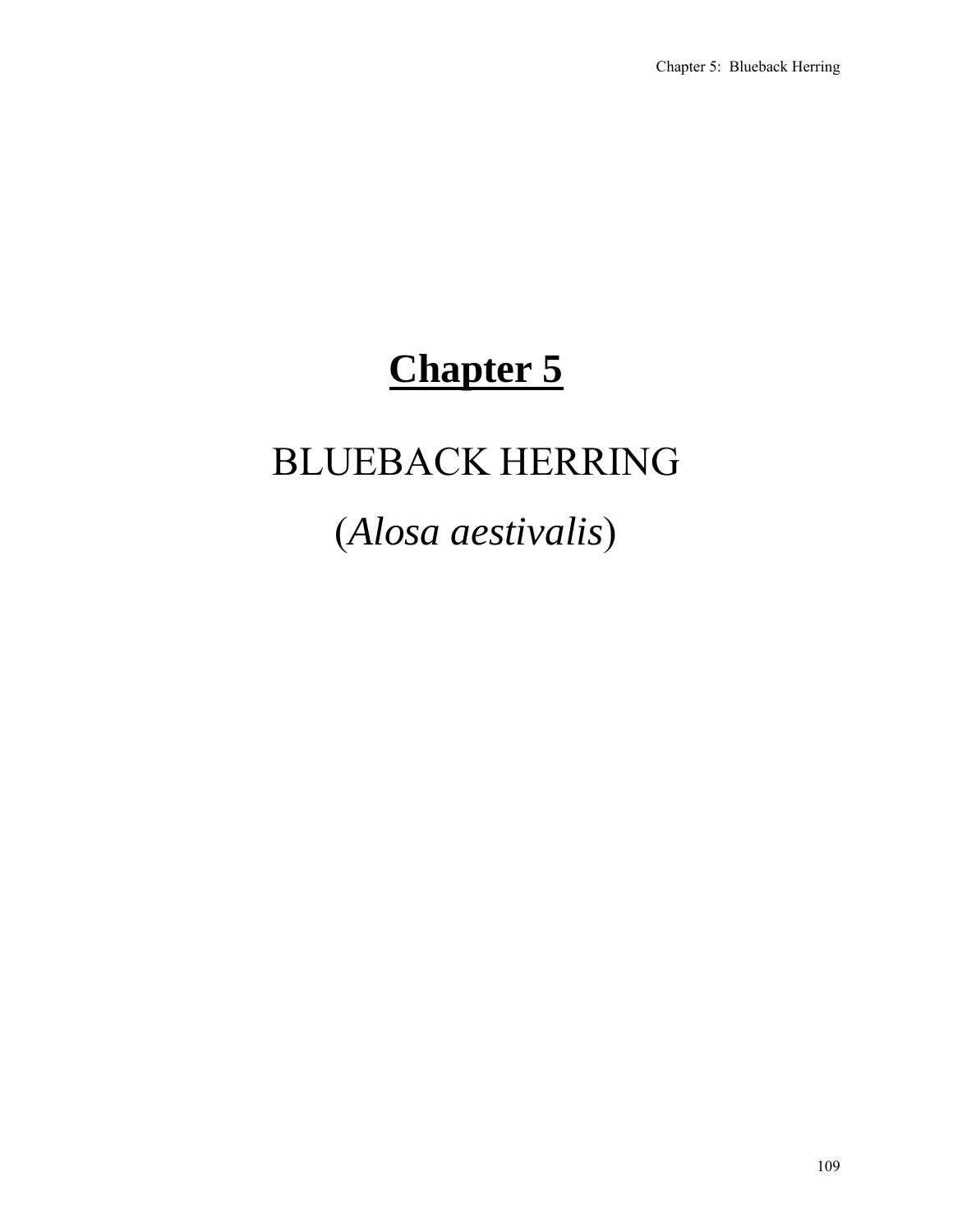# **Chapter 5**

# BLUEBACK HERRING

# (*Alosa aestivalis*)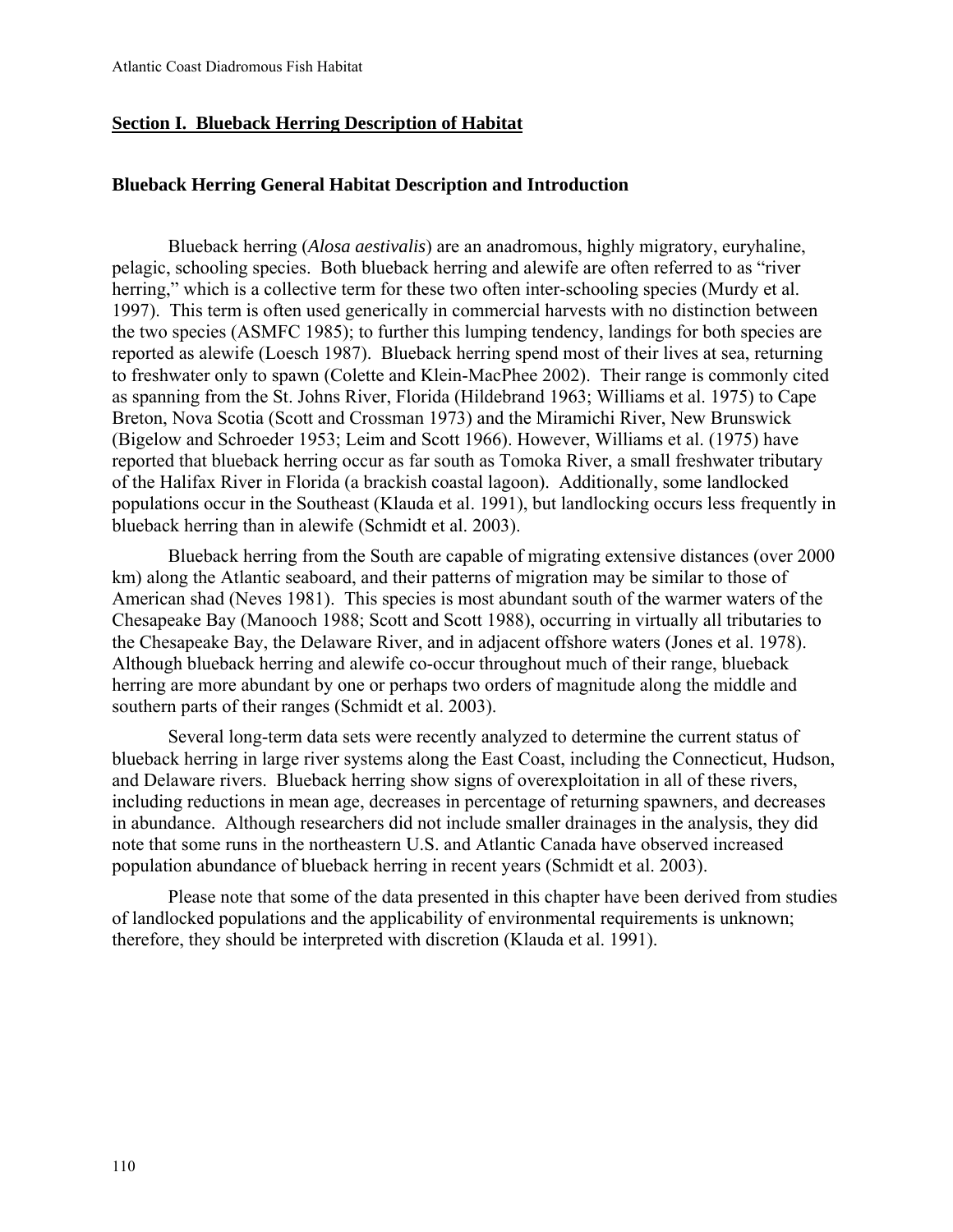## **Section I. Blueback Herring Description of Habitat**

## **Blueback Herring General Habitat Description and Introduction**

Blueback herring (*Alosa aestivalis*) are an anadromous, highly migratory, euryhaline, pelagic, schooling species. Both blueback herring and alewife are often referred to as "river herring," which is a collective term for these two often inter-schooling species (Murdy et al. 1997). This term is often used generically in commercial harvests with no distinction between the two species (ASMFC 1985); to further this lumping tendency, landings for both species are reported as alewife (Loesch 1987). Blueback herring spend most of their lives at sea, returning to freshwater only to spawn (Colette and Klein-MacPhee 2002). Their range is commonly cited as spanning from the St. Johns River, Florida (Hildebrand 1963; Williams et al. 1975) to Cape Breton, Nova Scotia (Scott and Crossman 1973) and the Miramichi River, New Brunswick (Bigelow and Schroeder 1953; Leim and Scott 1966). However, Williams et al. (1975) have reported that blueback herring occur as far south as Tomoka River, a small freshwater tributary of the Halifax River in Florida (a brackish coastal lagoon). Additionally, some landlocked populations occur in the Southeast (Klauda et al. 1991), but landlocking occurs less frequently in blueback herring than in alewife (Schmidt et al. 2003).

Blueback herring from the South are capable of migrating extensive distances (over 2000 km) along the Atlantic seaboard, and their patterns of migration may be similar to those of American shad (Neves 1981). This species is most abundant south of the warmer waters of the Chesapeake Bay (Manooch 1988; Scott and Scott 1988), occurring in virtually all tributaries to the Chesapeake Bay, the Delaware River, and in adjacent offshore waters (Jones et al. 1978). Although blueback herring and alewife co-occur throughout much of their range, blueback herring are more abundant by one or perhaps two orders of magnitude along the middle and southern parts of their ranges (Schmidt et al. 2003).

Several long-term data sets were recently analyzed to determine the current status of blueback herring in large river systems along the East Coast, including the Connecticut, Hudson, and Delaware rivers. Blueback herring show signs of overexploitation in all of these rivers, including reductions in mean age, decreases in percentage of returning spawners, and decreases in abundance. Although researchers did not include smaller drainages in the analysis, they did note that some runs in the northeastern U.S. and Atlantic Canada have observed increased population abundance of blueback herring in recent years (Schmidt et al. 2003).

Please note that some of the data presented in this chapter have been derived from studies of landlocked populations and the applicability of environmental requirements is unknown; therefore, they should be interpreted with discretion (Klauda et al. 1991).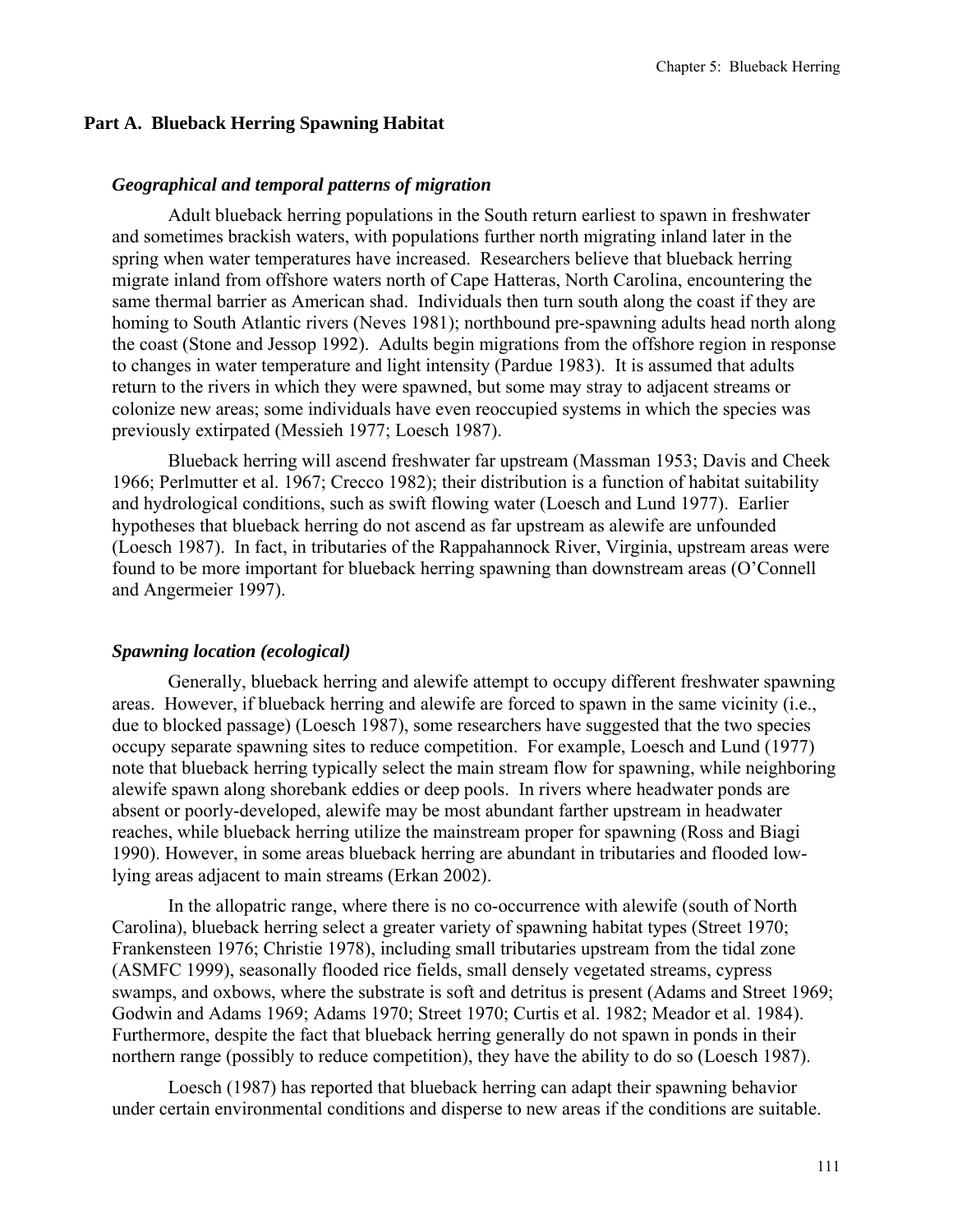### **Part A. Blueback Herring Spawning Habitat**

#### *Geographical and temporal patterns of migration*

Adult blueback herring populations in the South return earliest to spawn in freshwater and sometimes brackish waters, with populations further north migrating inland later in the spring when water temperatures have increased. Researchers believe that blueback herring migrate inland from offshore waters north of Cape Hatteras, North Carolina, encountering the same thermal barrier as American shad. Individuals then turn south along the coast if they are homing to South Atlantic rivers (Neves 1981); northbound pre-spawning adults head north along the coast (Stone and Jessop 1992). Adults begin migrations from the offshore region in response to changes in water temperature and light intensity (Pardue 1983). It is assumed that adults return to the rivers in which they were spawned, but some may stray to adjacent streams or colonize new areas; some individuals have even reoccupied systems in which the species was previously extirpated (Messieh 1977; Loesch 1987).

Blueback herring will ascend freshwater far upstream (Massman 1953; Davis and Cheek 1966; Perlmutter et al. 1967; Crecco 1982); their distribution is a function of habitat suitability and hydrological conditions, such as swift flowing water (Loesch and Lund 1977). Earlier hypotheses that blueback herring do not ascend as far upstream as alewife are unfounded (Loesch 1987). In fact, in tributaries of the Rappahannock River, Virginia, upstream areas were found to be more important for blueback herring spawning than downstream areas (O'Connell and Angermeier 1997).

#### *Spawning location (ecological)*

Generally, blueback herring and alewife attempt to occupy different freshwater spawning areas. However, if blueback herring and alewife are forced to spawn in the same vicinity (i.e., due to blocked passage) (Loesch 1987), some researchers have suggested that the two species occupy separate spawning sites to reduce competition. For example, Loesch and Lund (1977) note that blueback herring typically select the main stream flow for spawning, while neighboring alewife spawn along shorebank eddies or deep pools. In rivers where headwater ponds are absent or poorly-developed, alewife may be most abundant farther upstream in headwater reaches, while blueback herring utilize the mainstream proper for spawning (Ross and Biagi 1990). However, in some areas blueback herring are abundant in tributaries and flooded lowlying areas adjacent to main streams (Erkan 2002).

In the allopatric range, where there is no co-occurrence with alewife (south of North Carolina), blueback herring select a greater variety of spawning habitat types (Street 1970; Frankensteen 1976; Christie 1978), including small tributaries upstream from the tidal zone (ASMFC 1999), seasonally flooded rice fields, small densely vegetated streams, cypress swamps, and oxbows, where the substrate is soft and detritus is present (Adams and Street 1969; Godwin and Adams 1969; Adams 1970; Street 1970; Curtis et al. 1982; Meador et al. 1984). Furthermore, despite the fact that blueback herring generally do not spawn in ponds in their northern range (possibly to reduce competition), they have the ability to do so (Loesch 1987).

Loesch (1987) has reported that blueback herring can adapt their spawning behavior under certain environmental conditions and disperse to new areas if the conditions are suitable.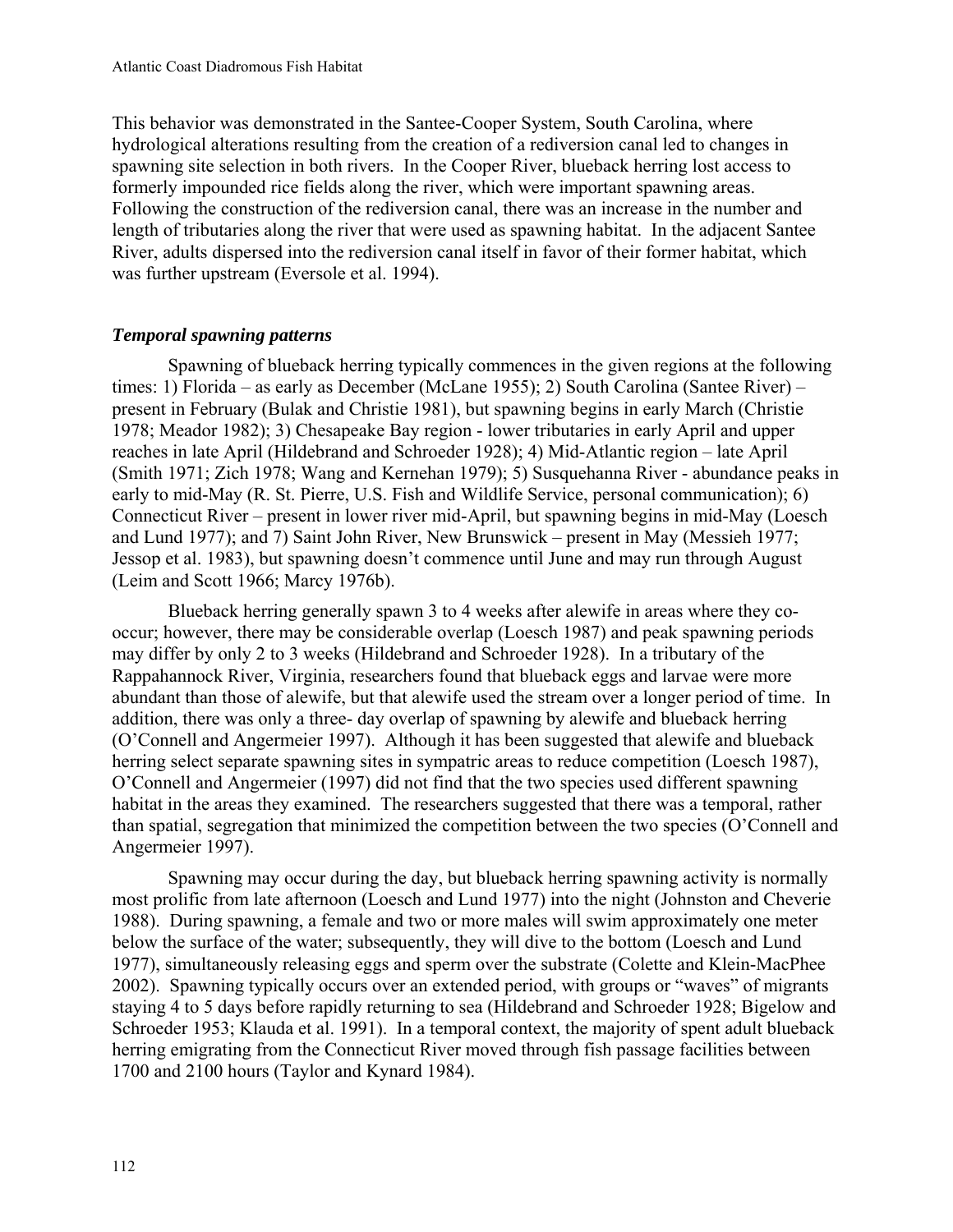This behavior was demonstrated in the Santee-Cooper System, South Carolina, where hydrological alterations resulting from the creation of a rediversion canal led to changes in spawning site selection in both rivers. In the Cooper River, blueback herring lost access to formerly impounded rice fields along the river, which were important spawning areas. Following the construction of the rediversion canal, there was an increase in the number and length of tributaries along the river that were used as spawning habitat. In the adjacent Santee River, adults dispersed into the rediversion canal itself in favor of their former habitat, which was further upstream (Eversole et al. 1994).

## *Temporal spawning patterns*

Spawning of blueback herring typically commences in the given regions at the following times: 1) Florida – as early as December (McLane 1955); 2) South Carolina (Santee River) – present in February (Bulak and Christie 1981), but spawning begins in early March (Christie 1978; Meador 1982); 3) Chesapeake Bay region - lower tributaries in early April and upper reaches in late April (Hildebrand and Schroeder 1928); 4) Mid-Atlantic region – late April (Smith 1971; Zich 1978; Wang and Kernehan 1979); 5) Susquehanna River - abundance peaks in early to mid-May (R. St. Pierre, U.S. Fish and Wildlife Service, personal communication); 6) Connecticut River – present in lower river mid-April, but spawning begins in mid-May (Loesch and Lund 1977); and 7) Saint John River, New Brunswick – present in May (Messieh 1977; Jessop et al. 1983), but spawning doesn't commence until June and may run through August (Leim and Scott 1966; Marcy 1976b).

Blueback herring generally spawn 3 to 4 weeks after alewife in areas where they cooccur; however, there may be considerable overlap (Loesch 1987) and peak spawning periods may differ by only 2 to 3 weeks (Hildebrand and Schroeder 1928). In a tributary of the Rappahannock River, Virginia, researchers found that blueback eggs and larvae were more abundant than those of alewife, but that alewife used the stream over a longer period of time. In addition, there was only a three- day overlap of spawning by alewife and blueback herring (O'Connell and Angermeier 1997). Although it has been suggested that alewife and blueback herring select separate spawning sites in sympatric areas to reduce competition (Loesch 1987), O'Connell and Angermeier (1997) did not find that the two species used different spawning habitat in the areas they examined. The researchers suggested that there was a temporal, rather than spatial, segregation that minimized the competition between the two species (O'Connell and Angermeier 1997).

Spawning may occur during the day, but blueback herring spawning activity is normally most prolific from late afternoon (Loesch and Lund 1977) into the night (Johnston and Cheverie 1988). During spawning, a female and two or more males will swim approximately one meter below the surface of the water; subsequently, they will dive to the bottom (Loesch and Lund 1977), simultaneously releasing eggs and sperm over the substrate (Colette and Klein-MacPhee 2002). Spawning typically occurs over an extended period, with groups or "waves" of migrants staying 4 to 5 days before rapidly returning to sea (Hildebrand and Schroeder 1928; Bigelow and Schroeder 1953; Klauda et al. 1991). In a temporal context, the majority of spent adult blueback herring emigrating from the Connecticut River moved through fish passage facilities between 1700 and 2100 hours (Taylor and Kynard 1984).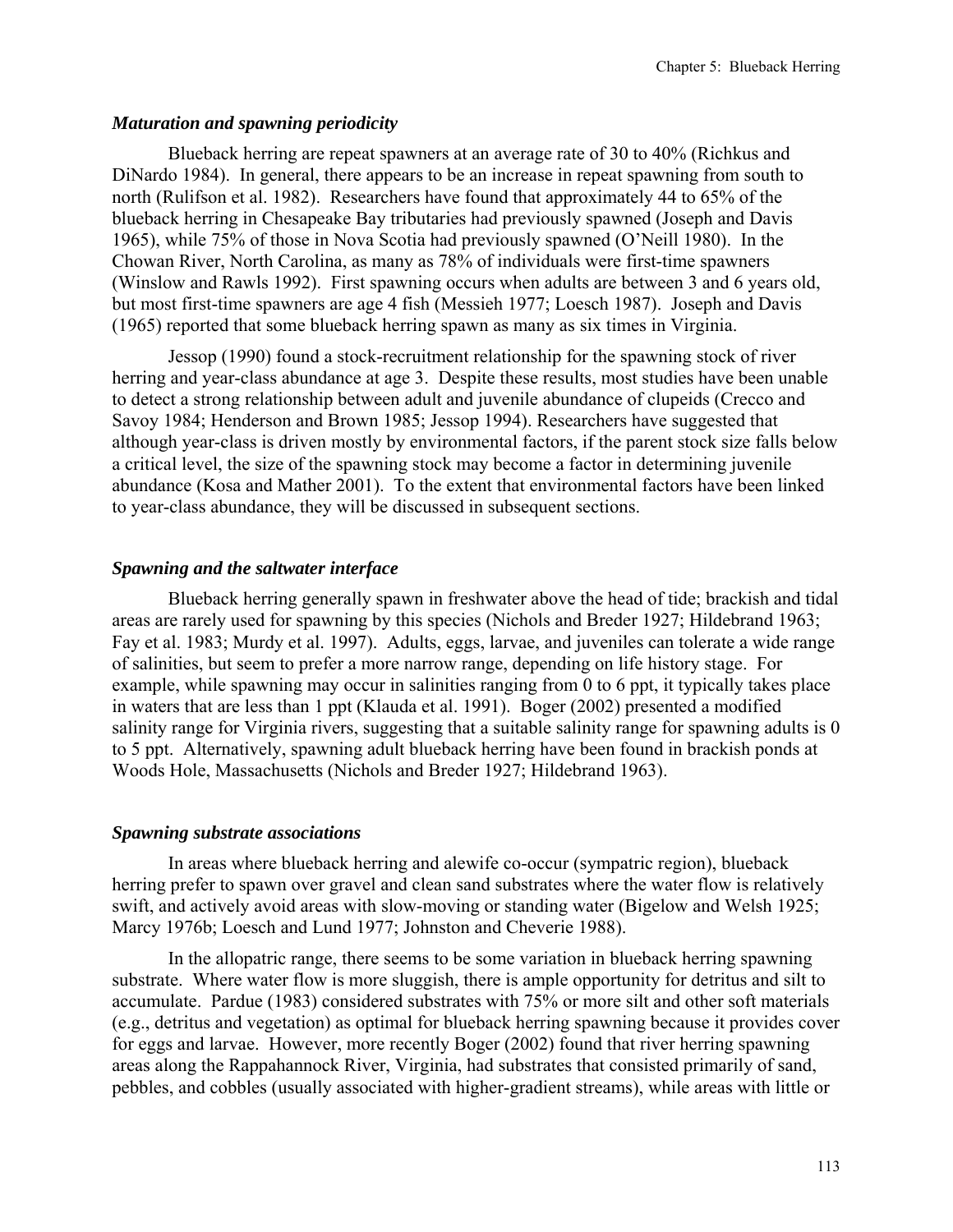## *Maturation and spawning periodicity*

Blueback herring are repeat spawners at an average rate of 30 to 40% (Richkus and DiNardo 1984). In general, there appears to be an increase in repeat spawning from south to north (Rulifson et al. 1982). Researchers have found that approximately 44 to 65% of the blueback herring in Chesapeake Bay tributaries had previously spawned (Joseph and Davis 1965), while 75% of those in Nova Scotia had previously spawned (O'Neill 1980). In the Chowan River, North Carolina, as many as 78% of individuals were first-time spawners (Winslow and Rawls 1992). First spawning occurs when adults are between 3 and 6 years old, but most first-time spawners are age 4 fish (Messieh 1977; Loesch 1987). Joseph and Davis (1965) reported that some blueback herring spawn as many as six times in Virginia.

Jessop (1990) found a stock-recruitment relationship for the spawning stock of river herring and year-class abundance at age 3. Despite these results, most studies have been unable to detect a strong relationship between adult and juvenile abundance of clupeids (Crecco and Savoy 1984; Henderson and Brown 1985; Jessop 1994). Researchers have suggested that although year-class is driven mostly by environmental factors, if the parent stock size falls below a critical level, the size of the spawning stock may become a factor in determining juvenile abundance (Kosa and Mather 2001). To the extent that environmental factors have been linked to year-class abundance, they will be discussed in subsequent sections.

# *Spawning and the saltwater interface*

Blueback herring generally spawn in freshwater above the head of tide; brackish and tidal areas are rarely used for spawning by this species (Nichols and Breder 1927; Hildebrand 1963; Fay et al. 1983; Murdy et al. 1997). Adults, eggs, larvae, and juveniles can tolerate a wide range of salinities, but seem to prefer a more narrow range, depending on life history stage. For example, while spawning may occur in salinities ranging from 0 to 6 ppt, it typically takes place in waters that are less than 1 ppt (Klauda et al. 1991). Boger (2002) presented a modified salinity range for Virginia rivers, suggesting that a suitable salinity range for spawning adults is 0 to 5 ppt. Alternatively, spawning adult blueback herring have been found in brackish ponds at Woods Hole, Massachusetts (Nichols and Breder 1927; Hildebrand 1963).

## *Spawning substrate associations*

In areas where blueback herring and alewife co-occur (sympatric region), blueback herring prefer to spawn over gravel and clean sand substrates where the water flow is relatively swift, and actively avoid areas with slow-moving or standing water (Bigelow and Welsh 1925; Marcy 1976b; Loesch and Lund 1977; Johnston and Cheverie 1988).

In the allopatric range, there seems to be some variation in blueback herring spawning substrate. Where water flow is more sluggish, there is ample opportunity for detritus and silt to accumulate. Pardue (1983) considered substrates with 75% or more silt and other soft materials (e.g., detritus and vegetation) as optimal for blueback herring spawning because it provides cover for eggs and larvae. However, more recently Boger (2002) found that river herring spawning areas along the Rappahannock River, Virginia, had substrates that consisted primarily of sand, pebbles, and cobbles (usually associated with higher-gradient streams), while areas with little or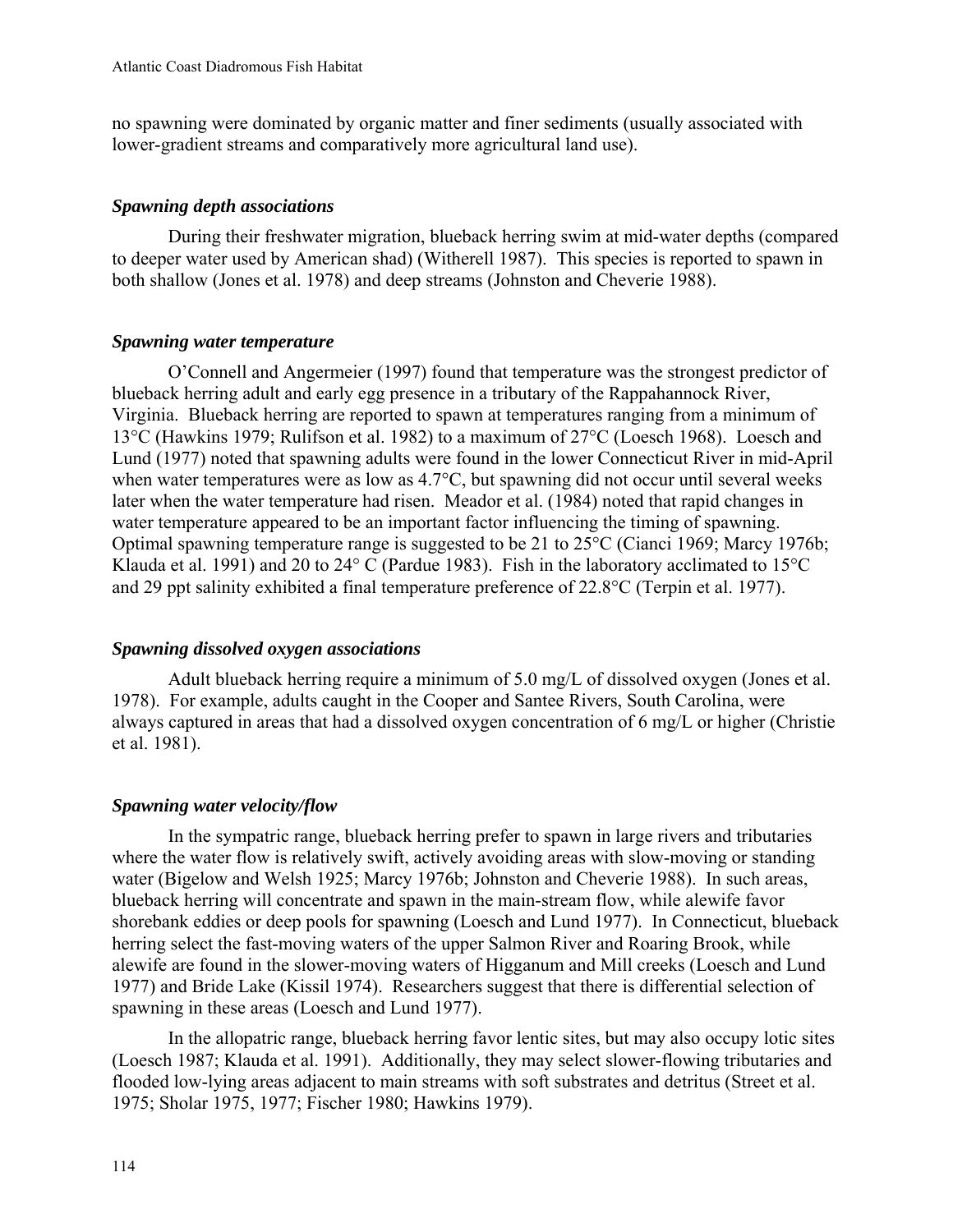no spawning were dominated by organic matter and finer sediments (usually associated with lower-gradient streams and comparatively more agricultural land use).

## *Spawning depth associations*

During their freshwater migration, blueback herring swim at mid-water depths (compared to deeper water used by American shad) (Witherell 1987). This species is reported to spawn in both shallow (Jones et al. 1978) and deep streams (Johnston and Cheverie 1988).

# *Spawning water temperature*

O'Connell and Angermeier (1997) found that temperature was the strongest predictor of blueback herring adult and early egg presence in a tributary of the Rappahannock River, Virginia. Blueback herring are reported to spawn at temperatures ranging from a minimum of 13°C (Hawkins 1979; Rulifson et al. 1982) to a maximum of 27°C (Loesch 1968). Loesch and Lund (1977) noted that spawning adults were found in the lower Connecticut River in mid-April when water temperatures were as low as 4.7°C, but spawning did not occur until several weeks later when the water temperature had risen. Meador et al. (1984) noted that rapid changes in water temperature appeared to be an important factor influencing the timing of spawning. Optimal spawning temperature range is suggested to be 21 to 25°C (Cianci 1969; Marcy 1976b; Klauda et al. 1991) and 20 to 24° C (Pardue 1983). Fish in the laboratory acclimated to 15°C and 29 ppt salinity exhibited a final temperature preference of 22.8°C (Terpin et al. 1977).

## *Spawning dissolved oxygen associations*

Adult blueback herring require a minimum of 5.0 mg/L of dissolved oxygen (Jones et al. 1978). For example, adults caught in the Cooper and Santee Rivers, South Carolina, were always captured in areas that had a dissolved oxygen concentration of 6 mg/L or higher (Christie et al. 1981).

# *Spawning water velocity/flow*

In the sympatric range, blueback herring prefer to spawn in large rivers and tributaries where the water flow is relatively swift, actively avoiding areas with slow-moving or standing water (Bigelow and Welsh 1925; Marcy 1976b; Johnston and Cheverie 1988). In such areas, blueback herring will concentrate and spawn in the main-stream flow, while alewife favor shorebank eddies or deep pools for spawning (Loesch and Lund 1977). In Connecticut, blueback herring select the fast-moving waters of the upper Salmon River and Roaring Brook, while alewife are found in the slower-moving waters of Higganum and Mill creeks (Loesch and Lund 1977) and Bride Lake (Kissil 1974). Researchers suggest that there is differential selection of spawning in these areas (Loesch and Lund 1977).

In the allopatric range, blueback herring favor lentic sites, but may also occupy lotic sites (Loesch 1987; Klauda et al. 1991). Additionally, they may select slower-flowing tributaries and flooded low-lying areas adjacent to main streams with soft substrates and detritus (Street et al. 1975; Sholar 1975, 1977; Fischer 1980; Hawkins 1979).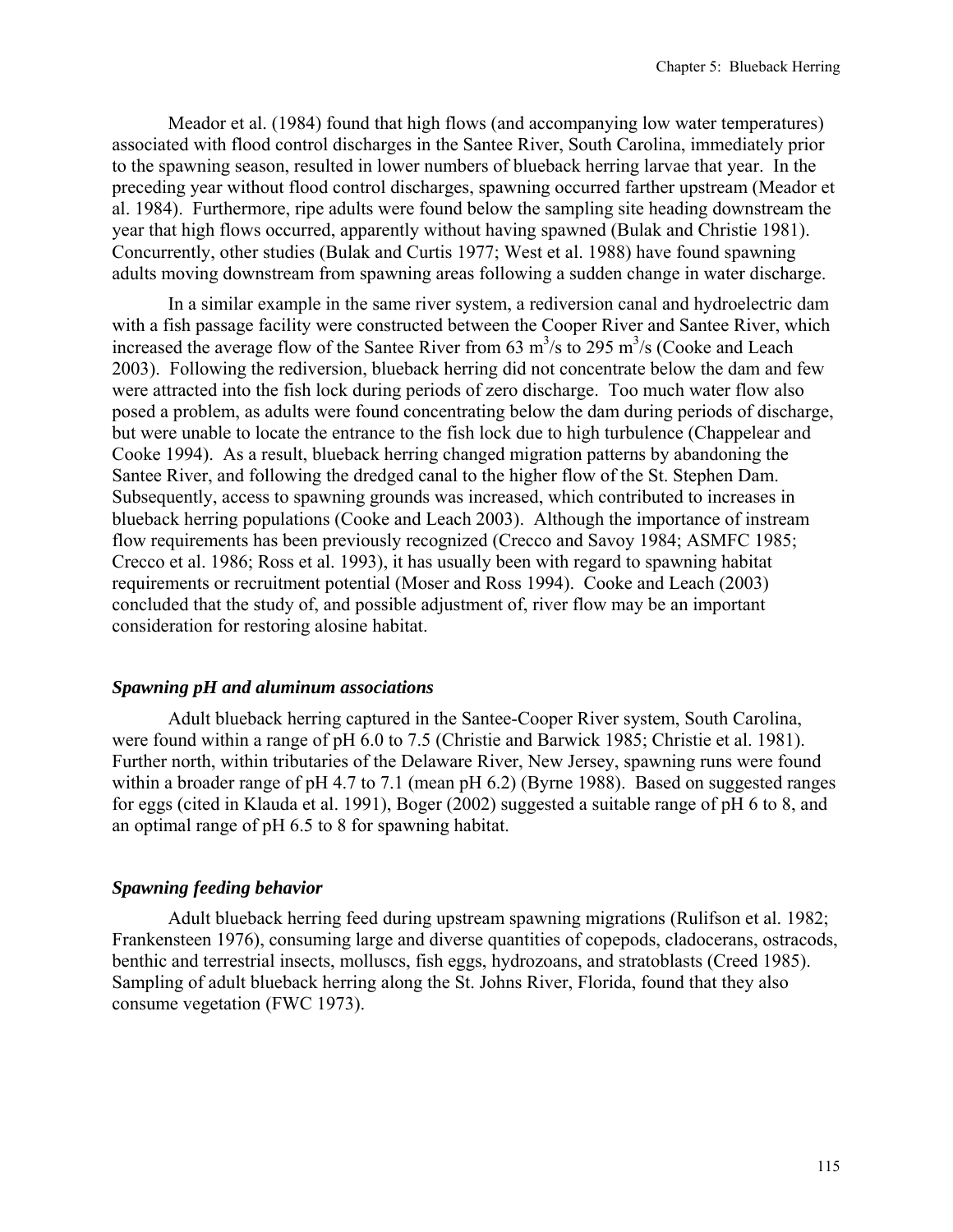Meador et al. (1984) found that high flows (and accompanying low water temperatures) associated with flood control discharges in the Santee River, South Carolina, immediately prior to the spawning season, resulted in lower numbers of blueback herring larvae that year. In the preceding year without flood control discharges, spawning occurred farther upstream (Meador et al. 1984). Furthermore, ripe adults were found below the sampling site heading downstream the year that high flows occurred, apparently without having spawned (Bulak and Christie 1981). Concurrently, other studies (Bulak and Curtis 1977; West et al. 1988) have found spawning adults moving downstream from spawning areas following a sudden change in water discharge.

In a similar example in the same river system, a rediversion canal and hydroelectric dam with a fish passage facility were constructed between the Cooper River and Santee River, which increased the average flow of the Santee River from 63  $\text{m}^3\text{/s}$  to 295  $\text{m}^3\text{/s}$  (Cooke and Leach 2003). Following the rediversion, blueback herring did not concentrate below the dam and few were attracted into the fish lock during periods of zero discharge. Too much water flow also posed a problem, as adults were found concentrating below the dam during periods of discharge, but were unable to locate the entrance to the fish lock due to high turbulence (Chappelear and Cooke 1994). As a result, blueback herring changed migration patterns by abandoning the Santee River, and following the dredged canal to the higher flow of the St. Stephen Dam. Subsequently, access to spawning grounds was increased, which contributed to increases in blueback herring populations (Cooke and Leach 2003). Although the importance of instream flow requirements has been previously recognized (Crecco and Savoy 1984; ASMFC 1985; Crecco et al. 1986; Ross et al. 1993), it has usually been with regard to spawning habitat requirements or recruitment potential (Moser and Ross 1994). Cooke and Leach (2003) concluded that the study of, and possible adjustment of, river flow may be an important consideration for restoring alosine habitat.

#### *Spawning pH and aluminum associations*

Adult blueback herring captured in the Santee-Cooper River system, South Carolina, were found within a range of pH 6.0 to 7.5 (Christie and Barwick 1985; Christie et al. 1981). Further north, within tributaries of the Delaware River, New Jersey, spawning runs were found within a broader range of pH 4.7 to 7.1 (mean pH 6.2) (Byrne 1988). Based on suggested ranges for eggs (cited in Klauda et al. 1991), Boger (2002) suggested a suitable range of pH 6 to 8, and an optimal range of pH 6.5 to 8 for spawning habitat.

#### *Spawning feeding behavior*

Adult blueback herring feed during upstream spawning migrations (Rulifson et al. 1982; Frankensteen 1976), consuming large and diverse quantities of copepods, cladocerans, ostracods, benthic and terrestrial insects, molluscs, fish eggs, hydrozoans, and stratoblasts (Creed 1985). Sampling of adult blueback herring along the St. Johns River, Florida, found that they also consume vegetation (FWC 1973).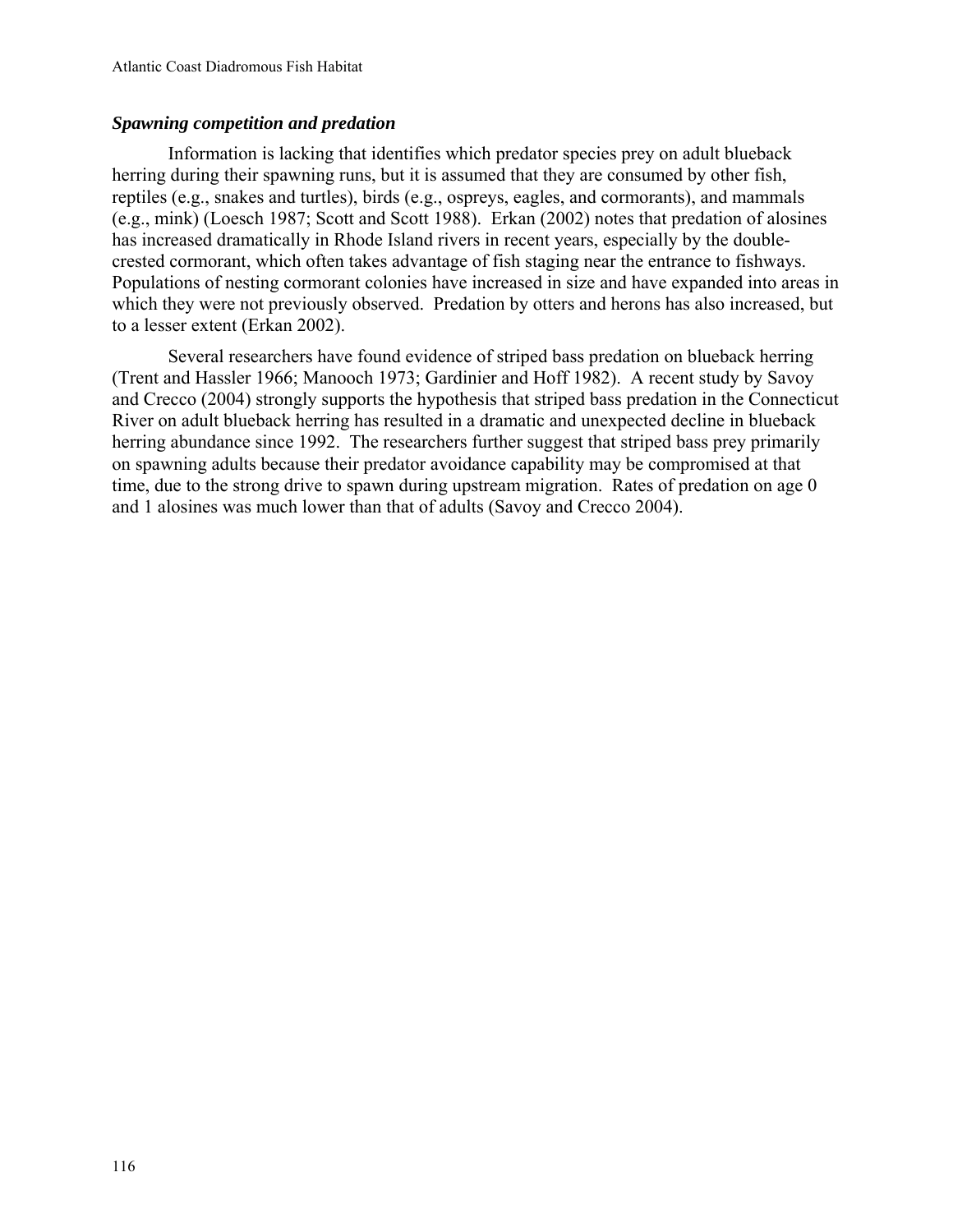## *Spawning competition and predation*

Information is lacking that identifies which predator species prey on adult blueback herring during their spawning runs, but it is assumed that they are consumed by other fish, reptiles (e.g., snakes and turtles), birds (e.g., ospreys, eagles, and cormorants), and mammals (e.g., mink) (Loesch 1987; Scott and Scott 1988). Erkan (2002) notes that predation of alosines has increased dramatically in Rhode Island rivers in recent years, especially by the doublecrested cormorant, which often takes advantage of fish staging near the entrance to fishways. Populations of nesting cormorant colonies have increased in size and have expanded into areas in which they were not previously observed. Predation by otters and herons has also increased, but to a lesser extent (Erkan 2002).

Several researchers have found evidence of striped bass predation on blueback herring (Trent and Hassler 1966; Manooch 1973; Gardinier and Hoff 1982). A recent study by Savoy and Crecco (2004) strongly supports the hypothesis that striped bass predation in the Connecticut River on adult blueback herring has resulted in a dramatic and unexpected decline in blueback herring abundance since 1992. The researchers further suggest that striped bass prey primarily on spawning adults because their predator avoidance capability may be compromised at that time, due to the strong drive to spawn during upstream migration. Rates of predation on age 0 and 1 alosines was much lower than that of adults (Savoy and Crecco 2004).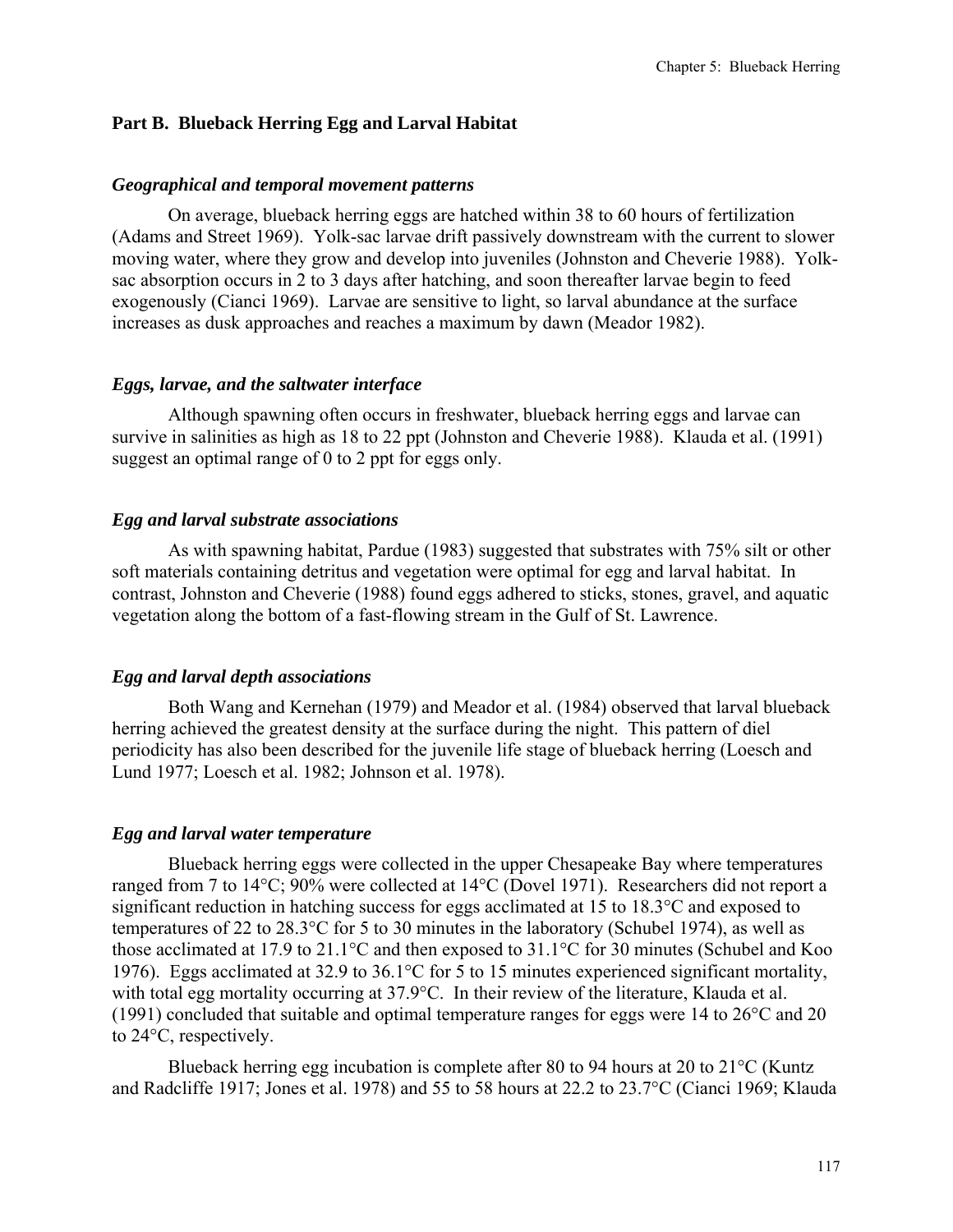## **Part B. Blueback Herring Egg and Larval Habitat**

#### *Geographical and temporal movement patterns*

On average, blueback herring eggs are hatched within 38 to 60 hours of fertilization (Adams and Street 1969). Yolk-sac larvae drift passively downstream with the current to slower moving water, where they grow and develop into juveniles (Johnston and Cheverie 1988). Yolksac absorption occurs in 2 to 3 days after hatching, and soon thereafter larvae begin to feed exogenously (Cianci 1969). Larvae are sensitive to light, so larval abundance at the surface increases as dusk approaches and reaches a maximum by dawn (Meador 1982).

#### *Eggs, larvae, and the saltwater interface*

Although spawning often occurs in freshwater, blueback herring eggs and larvae can survive in salinities as high as 18 to 22 ppt (Johnston and Cheverie 1988). Klauda et al. (1991) suggest an optimal range of 0 to 2 ppt for eggs only.

#### *Egg and larval substrate associations*

As with spawning habitat, Pardue (1983) suggested that substrates with 75% silt or other soft materials containing detritus and vegetation were optimal for egg and larval habitat. In contrast, Johnston and Cheverie (1988) found eggs adhered to sticks, stones, gravel, and aquatic vegetation along the bottom of a fast-flowing stream in the Gulf of St. Lawrence.

#### *Egg and larval depth associations*

Both Wang and Kernehan (1979) and Meador et al. (1984) observed that larval blueback herring achieved the greatest density at the surface during the night. This pattern of diel periodicity has also been described for the juvenile life stage of blueback herring (Loesch and Lund 1977; Loesch et al. 1982; Johnson et al. 1978).

#### *Egg and larval water temperature*

Blueback herring eggs were collected in the upper Chesapeake Bay where temperatures ranged from 7 to 14°C; 90% were collected at 14°C (Dovel 1971). Researchers did not report a significant reduction in hatching success for eggs acclimated at 15 to 18.3°C and exposed to temperatures of 22 to 28.3°C for 5 to 30 minutes in the laboratory (Schubel 1974), as well as those acclimated at 17.9 to 21.1°C and then exposed to 31.1°C for 30 minutes (Schubel and Koo 1976). Eggs acclimated at 32.9 to 36.1°C for 5 to 15 minutes experienced significant mortality, with total egg mortality occurring at 37.9°C. In their review of the literature, Klauda et al. (1991) concluded that suitable and optimal temperature ranges for eggs were 14 to 26°C and 20 to 24°C, respectively.

Blueback herring egg incubation is complete after 80 to 94 hours at 20 to 21°C (Kuntz and Radcliffe 1917; Jones et al. 1978) and 55 to 58 hours at 22.2 to 23.7°C (Cianci 1969; Klauda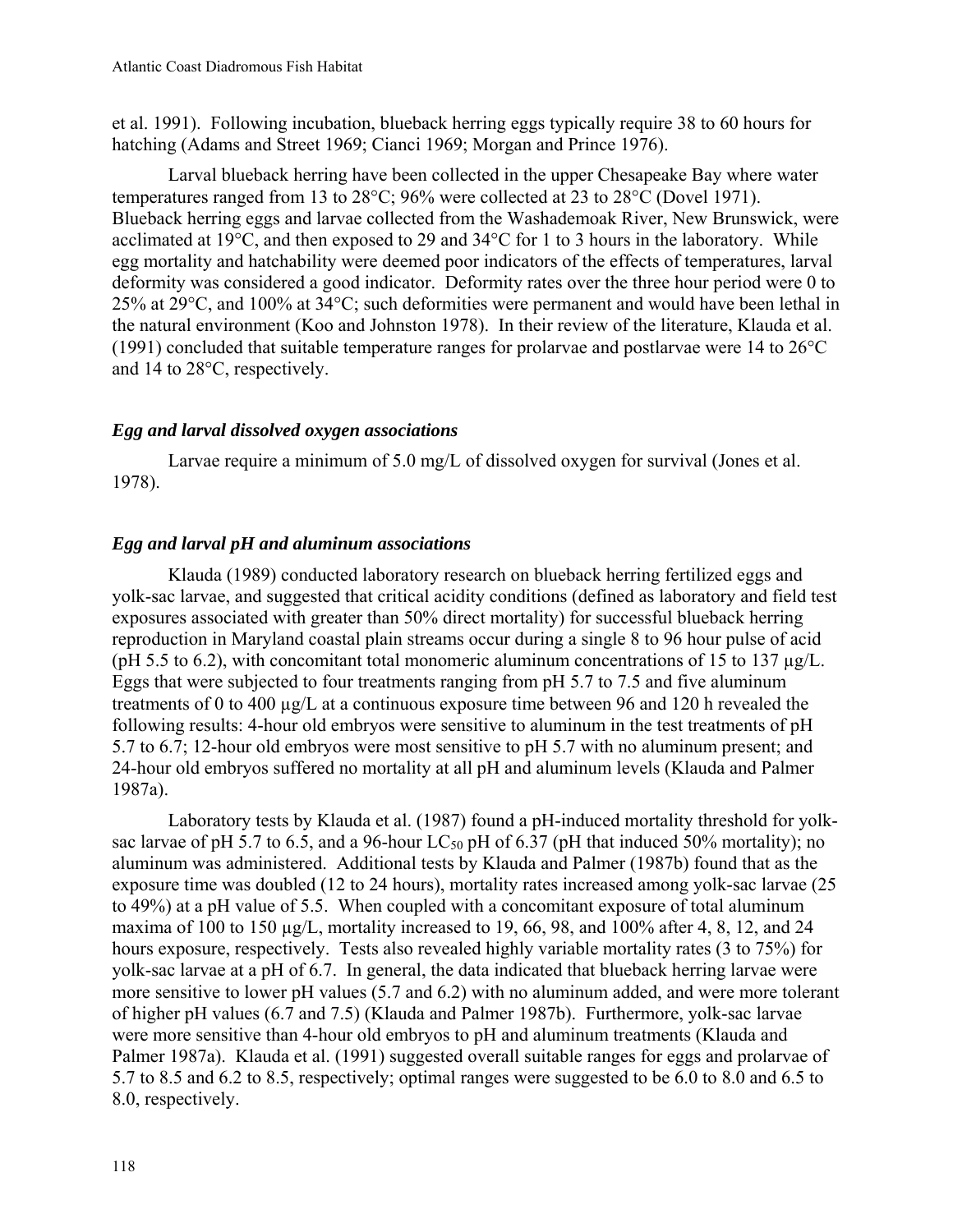et al. 1991). Following incubation, blueback herring eggs typically require 38 to 60 hours for hatching (Adams and Street 1969; Cianci 1969; Morgan and Prince 1976).

Larval blueback herring have been collected in the upper Chesapeake Bay where water temperatures ranged from 13 to 28°C; 96% were collected at 23 to 28°C (Dovel 1971). Blueback herring eggs and larvae collected from the Washademoak River, New Brunswick, were acclimated at 19°C, and then exposed to 29 and 34°C for 1 to 3 hours in the laboratory. While egg mortality and hatchability were deemed poor indicators of the effects of temperatures, larval deformity was considered a good indicator. Deformity rates over the three hour period were 0 to 25% at 29°C, and 100% at 34°C; such deformities were permanent and would have been lethal in the natural environment (Koo and Johnston 1978). In their review of the literature, Klauda et al. (1991) concluded that suitable temperature ranges for prolarvae and postlarvae were 14 to 26°C and 14 to 28°C, respectively.

# *Egg and larval dissolved oxygen associations*

Larvae require a minimum of 5.0 mg/L of dissolved oxygen for survival (Jones et al. 1978).

# *Egg and larval pH and aluminum associations*

Klauda (1989) conducted laboratory research on blueback herring fertilized eggs and yolk-sac larvae, and suggested that critical acidity conditions (defined as laboratory and field test exposures associated with greater than 50% direct mortality) for successful blueback herring reproduction in Maryland coastal plain streams occur during a single 8 to 96 hour pulse of acid (pH 5.5 to 6.2), with concomitant total monomeric aluminum concentrations of 15 to 137  $\mu$ g/L. Eggs that were subjected to four treatments ranging from pH 5.7 to 7.5 and five aluminum treatments of 0 to 400 µg/L at a continuous exposure time between 96 and 120 h revealed the following results: 4-hour old embryos were sensitive to aluminum in the test treatments of pH 5.7 to 6.7; 12-hour old embryos were most sensitive to pH 5.7 with no aluminum present; and 24-hour old embryos suffered no mortality at all pH and aluminum levels (Klauda and Palmer 1987a).

Laboratory tests by Klauda et al. (1987) found a pH-induced mortality threshold for yolksac larvae of pH 5.7 to 6.5, and a 96-hour LC<sub>50</sub> pH of 6.37 (pH that induced 50% mortality); no aluminum was administered. Additional tests by Klauda and Palmer (1987b) found that as the exposure time was doubled (12 to 24 hours), mortality rates increased among yolk-sac larvae (25 to 49%) at a pH value of 5.5. When coupled with a concomitant exposure of total aluminum maxima of 100 to 150  $\mu$ g/L, mortality increased to 19, 66, 98, and 100% after 4, 8, 12, and 24 hours exposure, respectively. Tests also revealed highly variable mortality rates (3 to 75%) for yolk-sac larvae at a pH of 6.7. In general, the data indicated that blueback herring larvae were more sensitive to lower pH values (5.7 and 6.2) with no aluminum added, and were more tolerant of higher pH values (6.7 and 7.5) (Klauda and Palmer 1987b). Furthermore, yolk-sac larvae were more sensitive than 4-hour old embryos to pH and aluminum treatments (Klauda and Palmer 1987a). Klauda et al. (1991) suggested overall suitable ranges for eggs and prolarvae of 5.7 to 8.5 and 6.2 to 8.5, respectively; optimal ranges were suggested to be 6.0 to 8.0 and 6.5 to 8.0, respectively.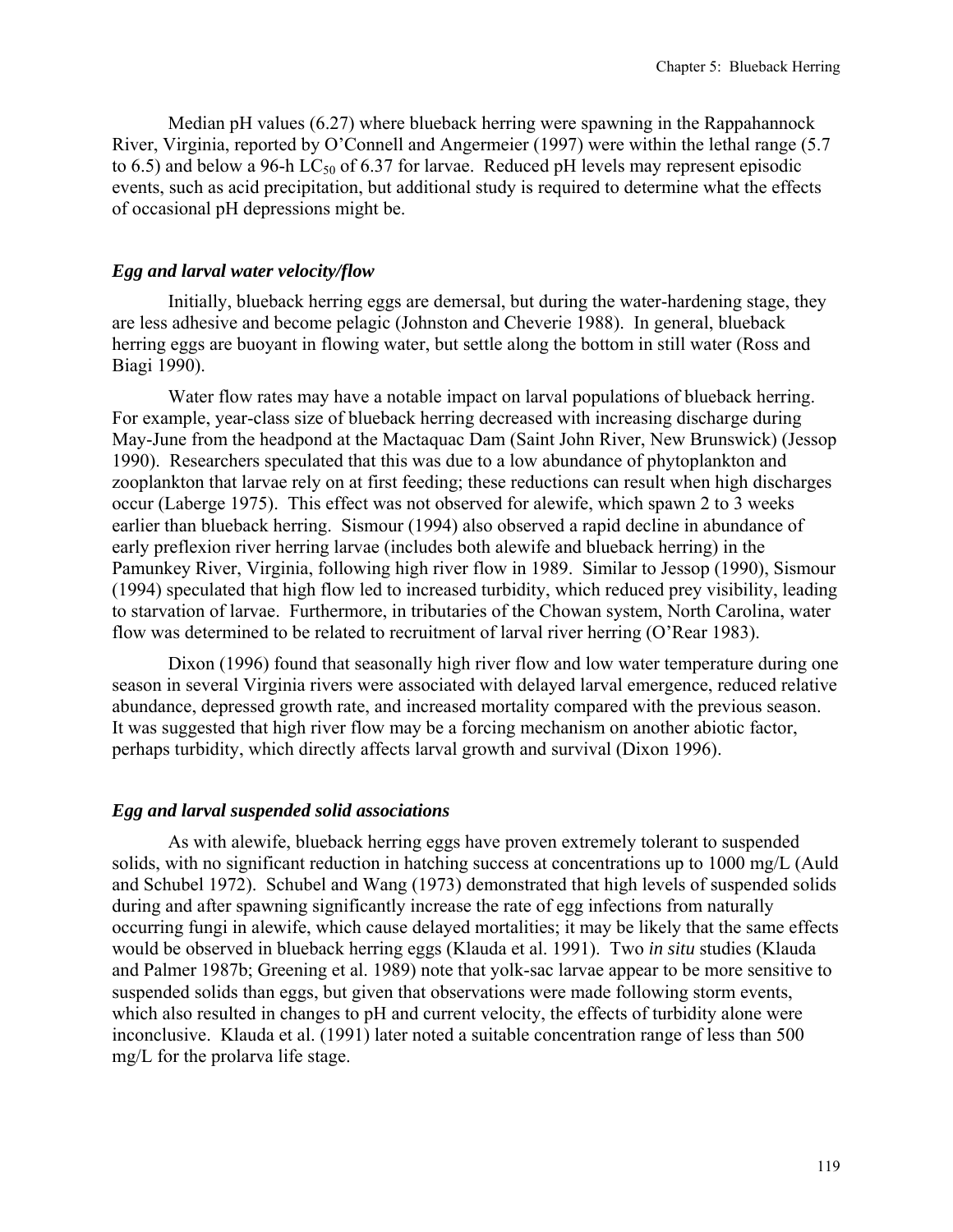Median pH values (6.27) where blueback herring were spawning in the Rappahannock River, Virginia, reported by O'Connell and Angermeier (1997) were within the lethal range (5.7 to 6.5) and below a 96-h LC<sub>50</sub> of 6.37 for larvae. Reduced pH levels may represent episodic events, such as acid precipitation, but additional study is required to determine what the effects of occasional pH depressions might be.

#### *Egg and larval water velocity/flow*

Initially, blueback herring eggs are demersal, but during the water-hardening stage, they are less adhesive and become pelagic (Johnston and Cheverie 1988). In general, blueback herring eggs are buoyant in flowing water, but settle along the bottom in still water (Ross and Biagi 1990).

Water flow rates may have a notable impact on larval populations of blueback herring. For example, year-class size of blueback herring decreased with increasing discharge during May-June from the headpond at the Mactaquac Dam (Saint John River, New Brunswick) (Jessop 1990). Researchers speculated that this was due to a low abundance of phytoplankton and zooplankton that larvae rely on at first feeding; these reductions can result when high discharges occur (Laberge 1975). This effect was not observed for alewife, which spawn 2 to 3 weeks earlier than blueback herring. Sismour (1994) also observed a rapid decline in abundance of early preflexion river herring larvae (includes both alewife and blueback herring) in the Pamunkey River, Virginia, following high river flow in 1989. Similar to Jessop (1990), Sismour (1994) speculated that high flow led to increased turbidity, which reduced prey visibility, leading to starvation of larvae. Furthermore, in tributaries of the Chowan system, North Carolina, water flow was determined to be related to recruitment of larval river herring (O'Rear 1983).

Dixon (1996) found that seasonally high river flow and low water temperature during one season in several Virginia rivers were associated with delayed larval emergence, reduced relative abundance, depressed growth rate, and increased mortality compared with the previous season. It was suggested that high river flow may be a forcing mechanism on another abiotic factor, perhaps turbidity, which directly affects larval growth and survival (Dixon 1996).

#### *Egg and larval suspended solid associations*

As with alewife, blueback herring eggs have proven extremely tolerant to suspended solids, with no significant reduction in hatching success at concentrations up to 1000 mg/L (Auld and Schubel 1972). Schubel and Wang (1973) demonstrated that high levels of suspended solids during and after spawning significantly increase the rate of egg infections from naturally occurring fungi in alewife, which cause delayed mortalities; it may be likely that the same effects would be observed in blueback herring eggs (Klauda et al. 1991). Two *in situ* studies (Klauda and Palmer 1987b; Greening et al. 1989) note that yolk-sac larvae appear to be more sensitive to suspended solids than eggs, but given that observations were made following storm events, which also resulted in changes to pH and current velocity, the effects of turbidity alone were inconclusive. Klauda et al. (1991) later noted a suitable concentration range of less than 500 mg/L for the prolarva life stage.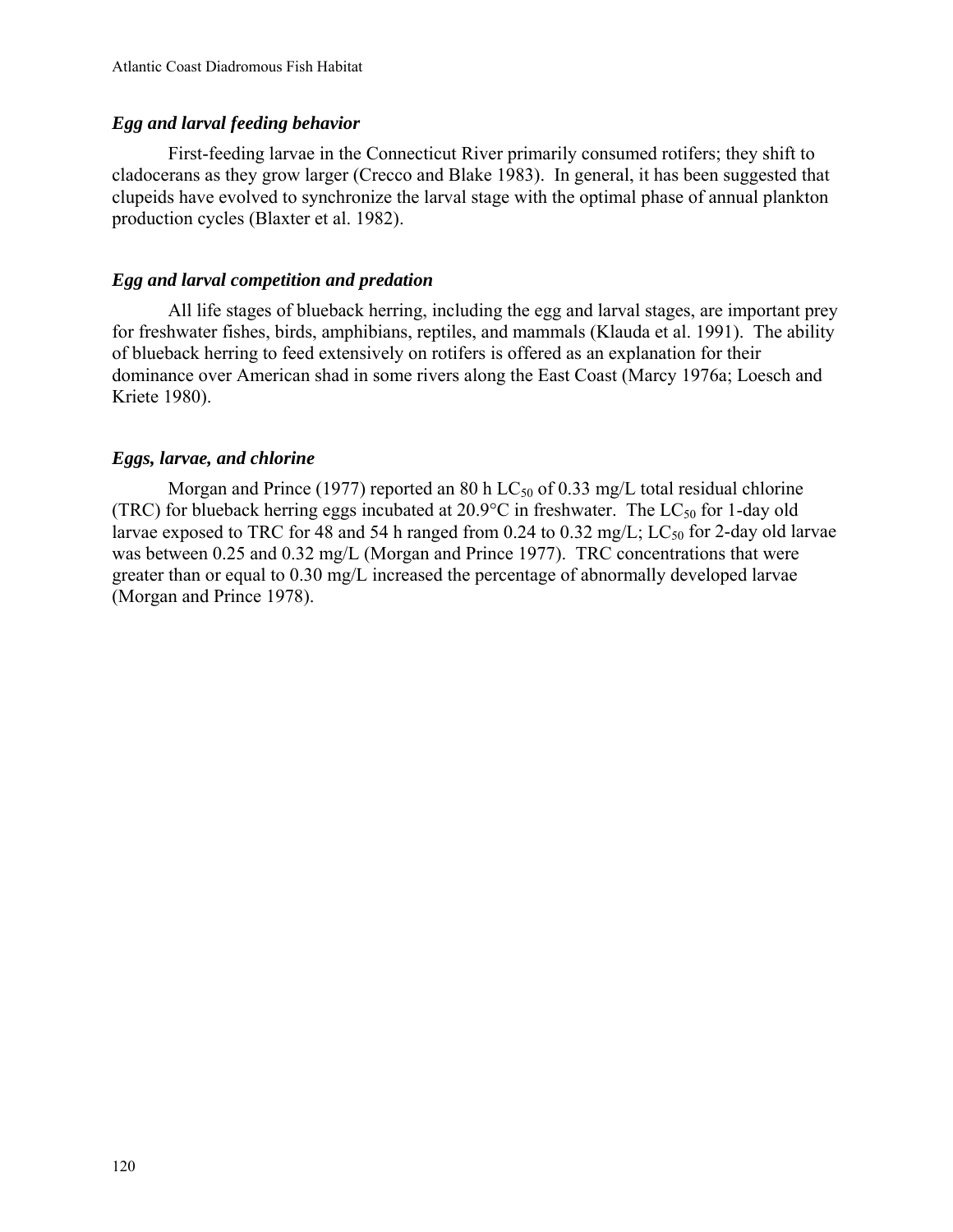# *Egg and larval feeding behavior*

First-feeding larvae in the Connecticut River primarily consumed rotifers; they shift to cladocerans as they grow larger (Crecco and Blake 1983). In general, it has been suggested that clupeids have evolved to synchronize the larval stage with the optimal phase of annual plankton production cycles (Blaxter et al. 1982).

# *Egg and larval competition and predation*

All life stages of blueback herring, including the egg and larval stages, are important prey for freshwater fishes, birds, amphibians, reptiles, and mammals (Klauda et al. 1991). The ability of blueback herring to feed extensively on rotifers is offered as an explanation for their dominance over American shad in some rivers along the East Coast (Marcy 1976a; Loesch and Kriete 1980).

# *Eggs, larvae, and chlorine*

Morgan and Prince (1977) reported an 80 h  $LC_{50}$  of 0.33 mg/L total residual chlorine (TRC) for blueback herring eggs incubated at  $20.9^{\circ}$ C in freshwater. The LC<sub>50</sub> for 1-day old larvae exposed to TRC for 48 and 54 h ranged from 0.24 to 0.32 mg/L; LC<sub>50</sub> for 2-day old larvae was between 0.25 and 0.32 mg/L (Morgan and Prince 1977). TRC concentrations that were greater than or equal to 0.30 mg/L increased the percentage of abnormally developed larvae (Morgan and Prince 1978).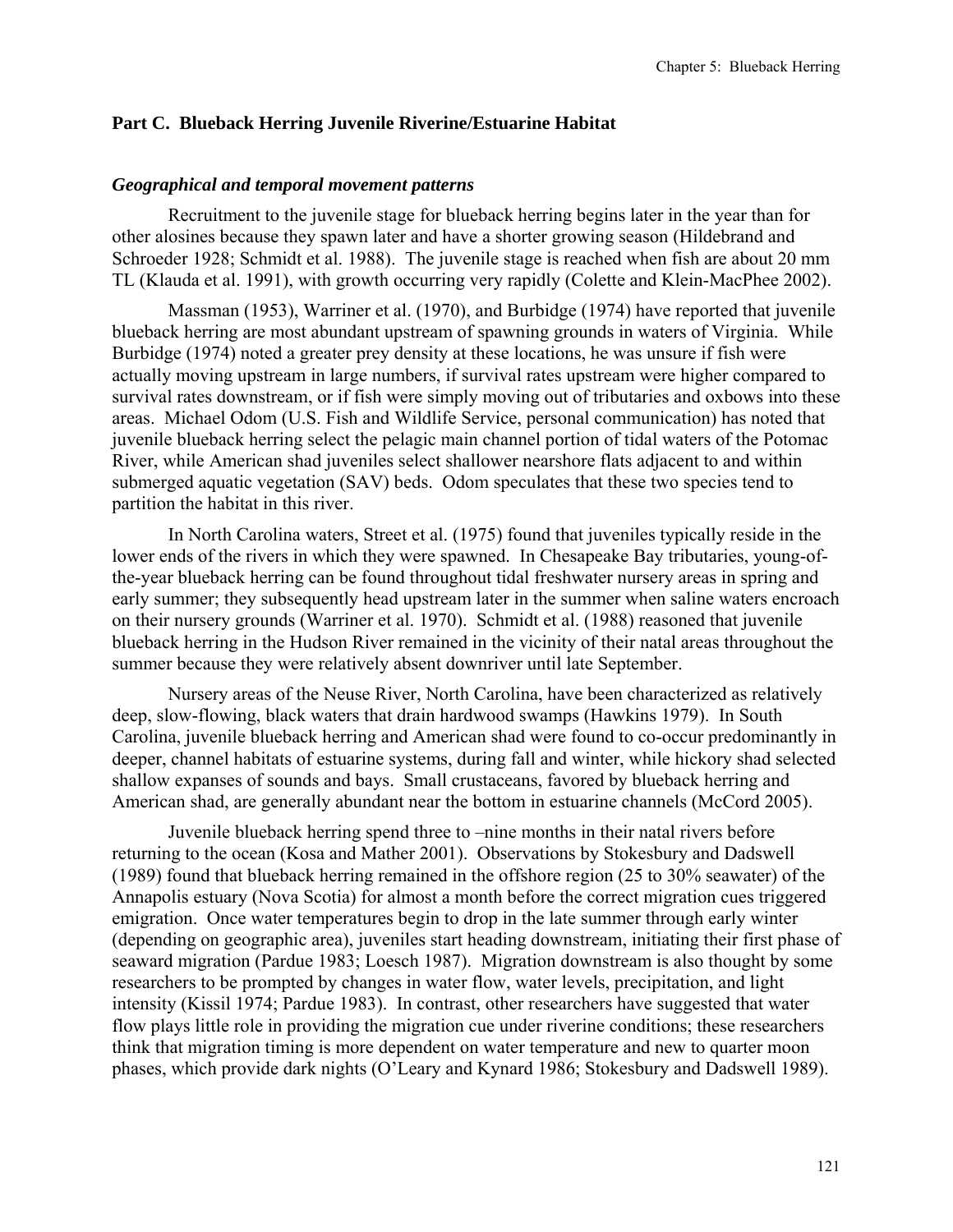### **Part C. Blueback Herring Juvenile Riverine/Estuarine Habitat**

#### *Geographical and temporal movement patterns*

Recruitment to the juvenile stage for blueback herring begins later in the year than for other alosines because they spawn later and have a shorter growing season (Hildebrand and Schroeder 1928; Schmidt et al. 1988). The juvenile stage is reached when fish are about 20 mm TL (Klauda et al. 1991), with growth occurring very rapidly (Colette and Klein-MacPhee 2002).

Massman (1953), Warriner et al. (1970), and Burbidge (1974) have reported that juvenile blueback herring are most abundant upstream of spawning grounds in waters of Virginia. While Burbidge (1974) noted a greater prey density at these locations, he was unsure if fish were actually moving upstream in large numbers, if survival rates upstream were higher compared to survival rates downstream, or if fish were simply moving out of tributaries and oxbows into these areas. Michael Odom (U.S. Fish and Wildlife Service, personal communication) has noted that juvenile blueback herring select the pelagic main channel portion of tidal waters of the Potomac River, while American shad juveniles select shallower nearshore flats adjacent to and within submerged aquatic vegetation (SAV) beds. Odom speculates that these two species tend to partition the habitat in this river.

In North Carolina waters, Street et al. (1975) found that juveniles typically reside in the lower ends of the rivers in which they were spawned. In Chesapeake Bay tributaries, young-ofthe-year blueback herring can be found throughout tidal freshwater nursery areas in spring and early summer; they subsequently head upstream later in the summer when saline waters encroach on their nursery grounds (Warriner et al. 1970). Schmidt et al. (1988) reasoned that juvenile blueback herring in the Hudson River remained in the vicinity of their natal areas throughout the summer because they were relatively absent downriver until late September.

Nursery areas of the Neuse River, North Carolina, have been characterized as relatively deep, slow-flowing, black waters that drain hardwood swamps (Hawkins 1979). In South Carolina, juvenile blueback herring and American shad were found to co-occur predominantly in deeper, channel habitats of estuarine systems, during fall and winter, while hickory shad selected shallow expanses of sounds and bays. Small crustaceans, favored by blueback herring and American shad, are generally abundant near the bottom in estuarine channels (McCord 2005).

Juvenile blueback herring spend three to –nine months in their natal rivers before returning to the ocean (Kosa and Mather 2001). Observations by Stokesbury and Dadswell (1989) found that blueback herring remained in the offshore region (25 to 30% seawater) of the Annapolis estuary (Nova Scotia) for almost a month before the correct migration cues triggered emigration. Once water temperatures begin to drop in the late summer through early winter (depending on geographic area), juveniles start heading downstream, initiating their first phase of seaward migration (Pardue 1983; Loesch 1987). Migration downstream is also thought by some researchers to be prompted by changes in water flow, water levels, precipitation, and light intensity (Kissil 1974; Pardue 1983). In contrast, other researchers have suggested that water flow plays little role in providing the migration cue under riverine conditions; these researchers think that migration timing is more dependent on water temperature and new to quarter moon phases, which provide dark nights (O'Leary and Kynard 1986; Stokesbury and Dadswell 1989).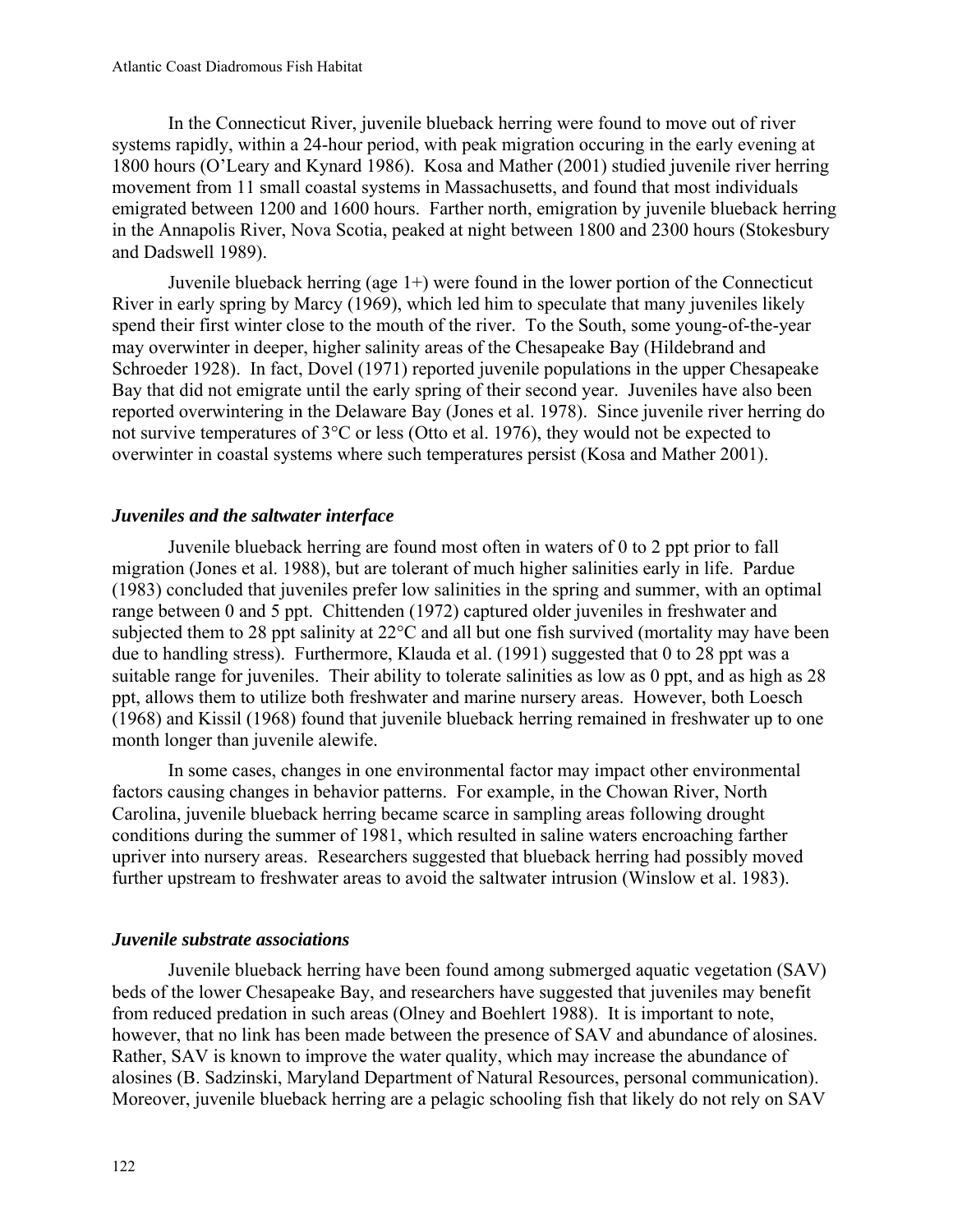In the Connecticut River, juvenile blueback herring were found to move out of river systems rapidly, within a 24-hour period, with peak migration occuring in the early evening at 1800 hours (O'Leary and Kynard 1986). Kosa and Mather (2001) studied juvenile river herring movement from 11 small coastal systems in Massachusetts, and found that most individuals emigrated between 1200 and 1600 hours. Farther north, emigration by juvenile blueback herring in the Annapolis River, Nova Scotia, peaked at night between 1800 and 2300 hours (Stokesbury and Dadswell 1989).

Juvenile blueback herring (age 1+) were found in the lower portion of the Connecticut River in early spring by Marcy (1969), which led him to speculate that many juveniles likely spend their first winter close to the mouth of the river. To the South, some young-of-the-year may overwinter in deeper, higher salinity areas of the Chesapeake Bay (Hildebrand and Schroeder 1928). In fact, Dovel (1971) reported juvenile populations in the upper Chesapeake Bay that did not emigrate until the early spring of their second year. Juveniles have also been reported overwintering in the Delaware Bay (Jones et al. 1978). Since juvenile river herring do not survive temperatures of 3°C or less (Otto et al. 1976), they would not be expected to overwinter in coastal systems where such temperatures persist (Kosa and Mather 2001).

# *Juveniles and the saltwater interface*

Juvenile blueback herring are found most often in waters of 0 to 2 ppt prior to fall migration (Jones et al. 1988), but are tolerant of much higher salinities early in life. Pardue (1983) concluded that juveniles prefer low salinities in the spring and summer, with an optimal range between 0 and 5 ppt. Chittenden (1972) captured older juveniles in freshwater and subjected them to 28 ppt salinity at 22°C and all but one fish survived (mortality may have been due to handling stress). Furthermore, Klauda et al. (1991) suggested that 0 to 28 ppt was a suitable range for juveniles. Their ability to tolerate salinities as low as 0 ppt, and as high as 28 ppt, allows them to utilize both freshwater and marine nursery areas. However, both Loesch (1968) and Kissil (1968) found that juvenile blueback herring remained in freshwater up to one month longer than juvenile alewife.

In some cases, changes in one environmental factor may impact other environmental factors causing changes in behavior patterns. For example, in the Chowan River, North Carolina, juvenile blueback herring became scarce in sampling areas following drought conditions during the summer of 1981, which resulted in saline waters encroaching farther upriver into nursery areas. Researchers suggested that blueback herring had possibly moved further upstream to freshwater areas to avoid the saltwater intrusion (Winslow et al. 1983).

## *Juvenile substrate associations*

Juvenile blueback herring have been found among submerged aquatic vegetation (SAV) beds of the lower Chesapeake Bay, and researchers have suggested that juveniles may benefit from reduced predation in such areas (Olney and Boehlert 1988). It is important to note, however, that no link has been made between the presence of SAV and abundance of alosines. Rather, SAV is known to improve the water quality, which may increase the abundance of alosines (B. Sadzinski, Maryland Department of Natural Resources, personal communication). Moreover, juvenile blueback herring are a pelagic schooling fish that likely do not rely on SAV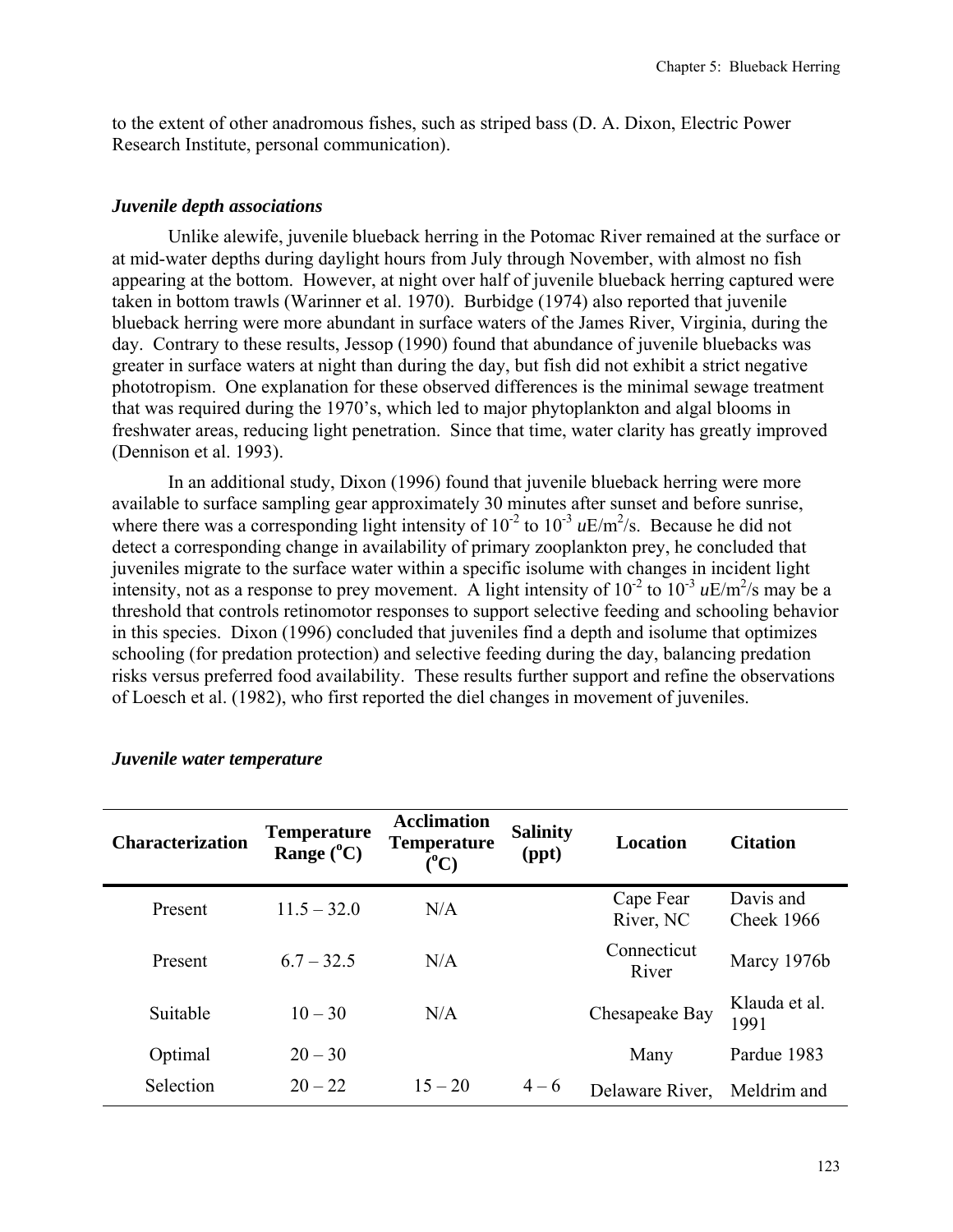to the extent of other anadromous fishes, such as striped bass (D. A. Dixon, Electric Power Research Institute, personal communication).

### *Juvenile depth associations*

Unlike alewife, juvenile blueback herring in the Potomac River remained at the surface or at mid-water depths during daylight hours from July through November, with almost no fish appearing at the bottom. However, at night over half of juvenile blueback herring captured were taken in bottom trawls (Warinner et al. 1970). Burbidge (1974) also reported that juvenile blueback herring were more abundant in surface waters of the James River, Virginia, during the day. Contrary to these results, Jessop (1990) found that abundance of juvenile bluebacks was greater in surface waters at night than during the day, but fish did not exhibit a strict negative phototropism. One explanation for these observed differences is the minimal sewage treatment that was required during the 1970's, which led to major phytoplankton and algal blooms in freshwater areas, reducing light penetration. Since that time, water clarity has greatly improved (Dennison et al. 1993).

In an additional study, Dixon (1996) found that juvenile blueback herring were more available to surface sampling gear approximately 30 minutes after sunset and before sunrise, where there was a corresponding light intensity of  $10^{-2}$  to  $10^{-3}$   $\mu$ E/m<sup>2</sup>/s. Because he did not detect a corresponding change in availability of primary zooplankton prey, he concluded that juveniles migrate to the surface water within a specific isolume with changes in incident light intensity, not as a response to prey movement. A light intensity of  $10^{-2}$  to  $10^{-3}$  *uE/m<sup>2</sup>/s* may be a threshold that controls retinomotor responses to support selective feeding and schooling behavior in this species. Dixon (1996) concluded that juveniles find a depth and isolume that optimizes schooling (for predation protection) and selective feeding during the day, balancing predation risks versus preferred food availability. These results further support and refine the observations of Loesch et al. (1982), who first reported the diel changes in movement of juveniles.

| <b>Characterization</b> | <b>Temperature</b><br>Range $(^{\circ}C)$ | <b>Acclimation</b><br><b>Temperature</b><br>$({}^0C)$ | <b>Salinity</b><br>(ppt) | <b>Location</b>        | <b>Citation</b>         |
|-------------------------|-------------------------------------------|-------------------------------------------------------|--------------------------|------------------------|-------------------------|
| Present                 | $11.5 - 32.0$                             | N/A                                                   |                          | Cape Fear<br>River, NC | Davis and<br>Cheek 1966 |
| Present                 | $6.7 - 32.5$                              | N/A                                                   |                          | Connecticut<br>River   | Marcy 1976b             |
| Suitable                | $10 - 30$                                 | N/A                                                   |                          | Chesapeake Bay         | Klauda et al.<br>1991   |
| Optimal                 | $20 - 30$                                 |                                                       |                          | Many                   | Pardue 1983             |
| <b>Selection</b>        | $20 - 22$                                 | $15 - 20$                                             | $4 - 6$                  | Delaware River,        | Meldrim and             |

#### *Juvenile water temperature*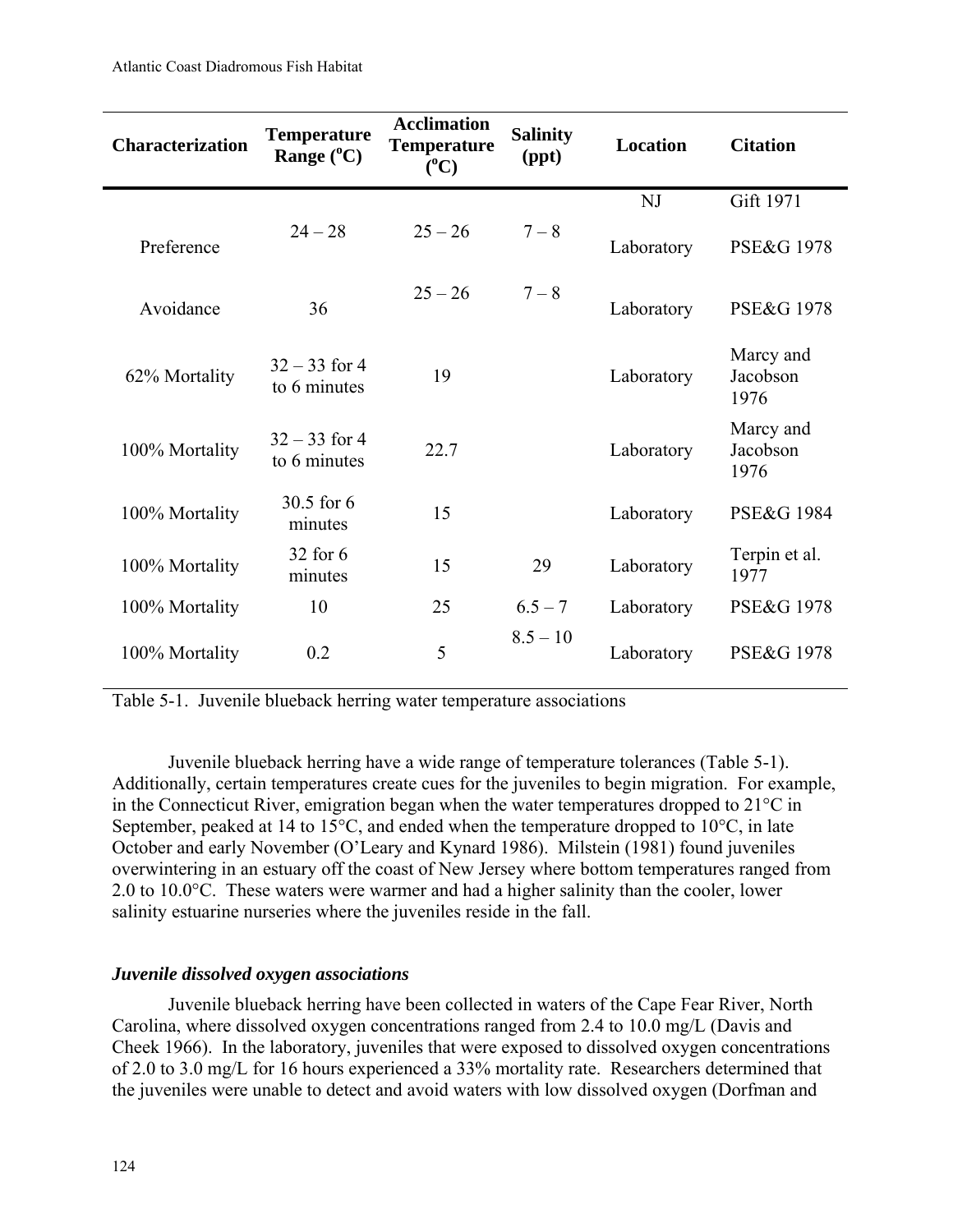| <b>Characterization</b> | <b>Temperature</b><br>Range $(^{\circ}C)$ | <b>Acclimation</b><br><b>Temperature</b><br>$({}^0C)$ | <b>Salinity</b><br>(ppt) | <b>Location</b> | <b>Citation</b>               |
|-------------------------|-------------------------------------------|-------------------------------------------------------|--------------------------|-----------------|-------------------------------|
|                         |                                           |                                                       |                          | <b>NJ</b>       | Gift 1971                     |
| Preference              | $24 - 28$                                 | $25 - 26$                                             | $7 - 8$                  | Laboratory      | <b>PSE&amp;G 1978</b>         |
| Avoidance               | 36                                        | $25 - 26$                                             | $7 - 8$                  | Laboratory      | <b>PSE&amp;G 1978</b>         |
| 62% Mortality           | $32 - 33$ for 4<br>to 6 minutes           | 19                                                    |                          | Laboratory      | Marcy and<br>Jacobson<br>1976 |
| 100% Mortality          | $32 - 33$ for 4<br>to 6 minutes           | 22.7                                                  |                          | Laboratory      | Marcy and<br>Jacobson<br>1976 |
| 100% Mortality          | 30.5 for 6<br>minutes                     | 15                                                    |                          | Laboratory      | <b>PSE&amp;G 1984</b>         |
| 100% Mortality          | 32 for 6<br>minutes                       | 15                                                    | 29                       | Laboratory      | Terpin et al.<br>1977         |
| 100% Mortality          | 10                                        | 25                                                    | $6.5 - 7$                | Laboratory      | <b>PSE&amp;G 1978</b>         |
| 100% Mortality          | 0.2                                       | 5                                                     | $8.5 - 10$               | Laboratory      | <b>PSE&amp;G 1978</b>         |

Table 5-1. Juvenile blueback herring water temperature associations

Juvenile blueback herring have a wide range of temperature tolerances (Table 5-1). Additionally, certain temperatures create cues for the juveniles to begin migration. For example, in the Connecticut River, emigration began when the water temperatures dropped to 21°C in September, peaked at 14 to 15<sup>o</sup>C, and ended when the temperature dropped to 10<sup>o</sup>C, in late October and early November (O'Leary and Kynard 1986). Milstein (1981) found juveniles overwintering in an estuary off the coast of New Jersey where bottom temperatures ranged from 2.0 to 10.0°C. These waters were warmer and had a higher salinity than the cooler, lower salinity estuarine nurseries where the juveniles reside in the fall.

## *Juvenile dissolved oxygen associations*

Juvenile blueback herring have been collected in waters of the Cape Fear River, North Carolina, where dissolved oxygen concentrations ranged from 2.4 to 10.0 mg/L (Davis and Cheek 1966). In the laboratory, juveniles that were exposed to dissolved oxygen concentrations of 2.0 to 3.0 mg/L for 16 hours experienced a 33% mortality rate. Researchers determined that the juveniles were unable to detect and avoid waters with low dissolved oxygen (Dorfman and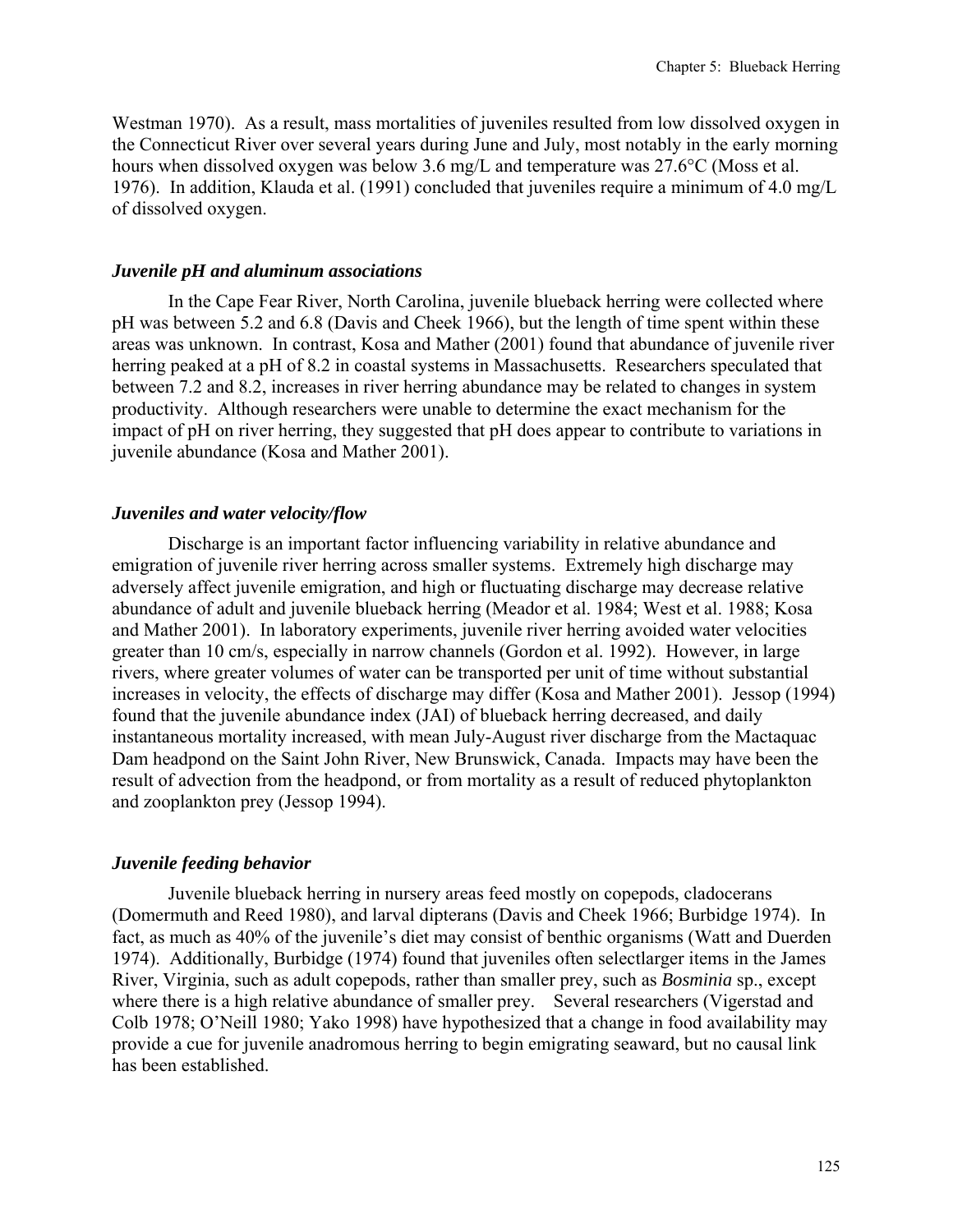Westman 1970). As a result, mass mortalities of juveniles resulted from low dissolved oxygen in the Connecticut River over several years during June and July, most notably in the early morning hours when dissolved oxygen was below 3.6 mg/L and temperature was 27.6°C (Moss et al. 1976). In addition, Klauda et al. (1991) concluded that juveniles require a minimum of 4.0 mg/L of dissolved oxygen.

#### *Juvenile pH and aluminum associations*

In the Cape Fear River, North Carolina, juvenile blueback herring were collected where pH was between 5.2 and 6.8 (Davis and Cheek 1966), but the length of time spent within these areas was unknown. In contrast, Kosa and Mather (2001) found that abundance of juvenile river herring peaked at a pH of 8.2 in coastal systems in Massachusetts. Researchers speculated that between 7.2 and 8.2, increases in river herring abundance may be related to changes in system productivity. Although researchers were unable to determine the exact mechanism for the impact of pH on river herring, they suggested that pH does appear to contribute to variations in juvenile abundance (Kosa and Mather 2001).

#### *Juveniles and water velocity/flow*

Discharge is an important factor influencing variability in relative abundance and emigration of juvenile river herring across smaller systems. Extremely high discharge may adversely affect juvenile emigration, and high or fluctuating discharge may decrease relative abundance of adult and juvenile blueback herring (Meador et al. 1984; West et al. 1988; Kosa and Mather 2001). In laboratory experiments, juvenile river herring avoided water velocities greater than 10 cm/s, especially in narrow channels (Gordon et al. 1992). However, in large rivers, where greater volumes of water can be transported per unit of time without substantial increases in velocity, the effects of discharge may differ (Kosa and Mather 2001). Jessop (1994) found that the juvenile abundance index (JAI) of blueback herring decreased, and daily instantaneous mortality increased, with mean July-August river discharge from the Mactaquac Dam headpond on the Saint John River, New Brunswick, Canada. Impacts may have been the result of advection from the headpond, or from mortality as a result of reduced phytoplankton and zooplankton prey (Jessop 1994).

## *Juvenile feeding behavior*

Juvenile blueback herring in nursery areas feed mostly on copepods, cladocerans (Domermuth and Reed 1980), and larval dipterans (Davis and Cheek 1966; Burbidge 1974). In fact, as much as 40% of the juvenile's diet may consist of benthic organisms (Watt and Duerden 1974). Additionally, Burbidge (1974) found that juveniles often selectlarger items in the James River, Virginia, such as adult copepods, rather than smaller prey, such as *Bosminia* sp., except where there is a high relative abundance of smaller prey. Several researchers (Vigerstad and Colb 1978; O'Neill 1980; Yako 1998) have hypothesized that a change in food availability may provide a cue for juvenile anadromous herring to begin emigrating seaward, but no causal link has been established.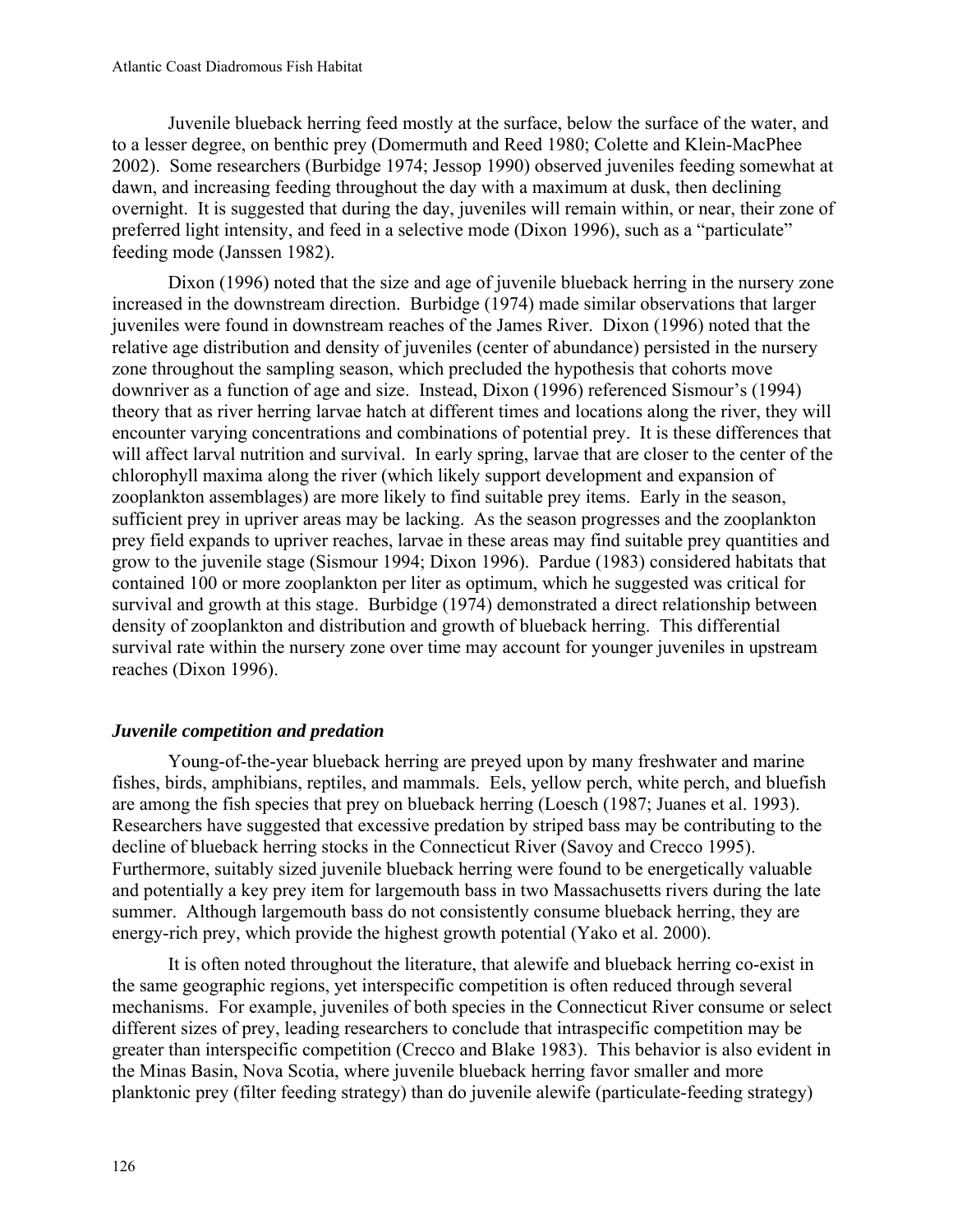Juvenile blueback herring feed mostly at the surface, below the surface of the water, and to a lesser degree, on benthic prey (Domermuth and Reed 1980; Colette and Klein-MacPhee 2002). Some researchers (Burbidge 1974; Jessop 1990) observed juveniles feeding somewhat at dawn, and increasing feeding throughout the day with a maximum at dusk, then declining overnight. It is suggested that during the day, juveniles will remain within, or near, their zone of preferred light intensity, and feed in a selective mode (Dixon 1996), such as a "particulate" feeding mode (Janssen 1982).

Dixon (1996) noted that the size and age of juvenile blueback herring in the nursery zone increased in the downstream direction. Burbidge (1974) made similar observations that larger juveniles were found in downstream reaches of the James River. Dixon (1996) noted that the relative age distribution and density of juveniles (center of abundance) persisted in the nursery zone throughout the sampling season, which precluded the hypothesis that cohorts move downriver as a function of age and size. Instead, Dixon (1996) referenced Sismour's (1994) theory that as river herring larvae hatch at different times and locations along the river, they will encounter varying concentrations and combinations of potential prey. It is these differences that will affect larval nutrition and survival. In early spring, larvae that are closer to the center of the chlorophyll maxima along the river (which likely support development and expansion of zooplankton assemblages) are more likely to find suitable prey items. Early in the season, sufficient prey in upriver areas may be lacking. As the season progresses and the zooplankton prey field expands to upriver reaches, larvae in these areas may find suitable prey quantities and grow to the juvenile stage (Sismour 1994; Dixon 1996). Pardue (1983) considered habitats that contained 100 or more zooplankton per liter as optimum, which he suggested was critical for survival and growth at this stage. Burbidge (1974) demonstrated a direct relationship between density of zooplankton and distribution and growth of blueback herring. This differential survival rate within the nursery zone over time may account for younger juveniles in upstream reaches (Dixon 1996).

## *Juvenile competition and predation*

Young-of-the-year blueback herring are preyed upon by many freshwater and marine fishes, birds, amphibians, reptiles, and mammals. Eels, yellow perch, white perch, and bluefish are among the fish species that prey on blueback herring (Loesch (1987; Juanes et al. 1993). Researchers have suggested that excessive predation by striped bass may be contributing to the decline of blueback herring stocks in the Connecticut River (Savoy and Crecco 1995). Furthermore, suitably sized juvenile blueback herring were found to be energetically valuable and potentially a key prey item for largemouth bass in two Massachusetts rivers during the late summer. Although largemouth bass do not consistently consume blueback herring, they are energy-rich prey, which provide the highest growth potential (Yako et al. 2000).

It is often noted throughout the literature, that alewife and blueback herring co-exist in the same geographic regions, yet interspecific competition is often reduced through several mechanisms. For example, juveniles of both species in the Connecticut River consume or select different sizes of prey, leading researchers to conclude that intraspecific competition may be greater than interspecific competition (Crecco and Blake 1983). This behavior is also evident in the Minas Basin, Nova Scotia, where juvenile blueback herring favor smaller and more planktonic prey (filter feeding strategy) than do juvenile alewife (particulate-feeding strategy)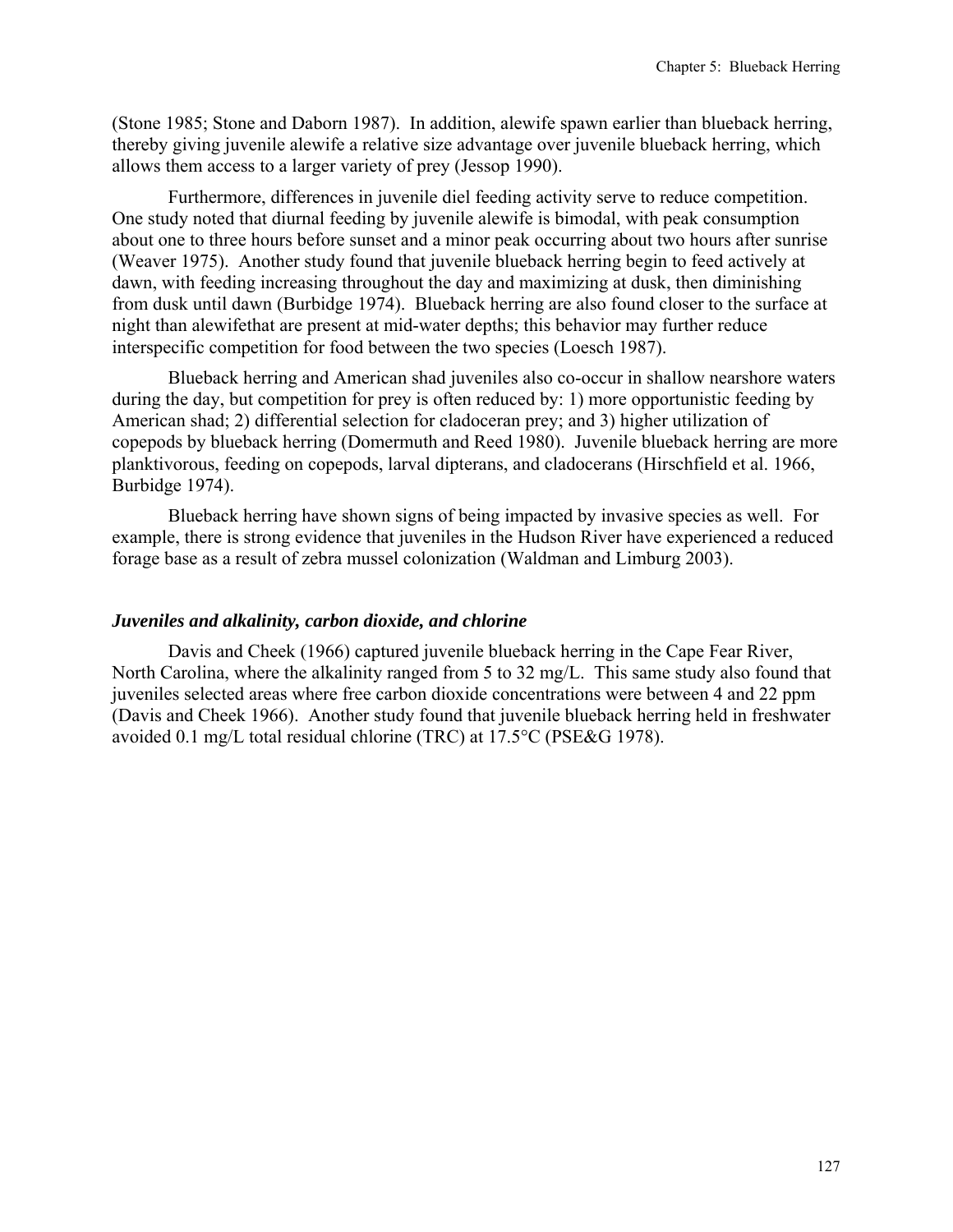(Stone 1985; Stone and Daborn 1987). In addition, alewife spawn earlier than blueback herring, thereby giving juvenile alewife a relative size advantage over juvenile blueback herring, which allows them access to a larger variety of prey (Jessop 1990).

Furthermore, differences in juvenile diel feeding activity serve to reduce competition. One study noted that diurnal feeding by juvenile alewife is bimodal, with peak consumption about one to three hours before sunset and a minor peak occurring about two hours after sunrise (Weaver 1975). Another study found that juvenile blueback herring begin to feed actively at dawn, with feeding increasing throughout the day and maximizing at dusk, then diminishing from dusk until dawn (Burbidge 1974). Blueback herring are also found closer to the surface at night than alewifethat are present at mid-water depths; this behavior may further reduce interspecific competition for food between the two species (Loesch 1987).

Blueback herring and American shad juveniles also co-occur in shallow nearshore waters during the day, but competition for prey is often reduced by: 1) more opportunistic feeding by American shad; 2) differential selection for cladoceran prey; and 3) higher utilization of copepods by blueback herring (Domermuth and Reed 1980). Juvenile blueback herring are more planktivorous, feeding on copepods, larval dipterans, and cladocerans (Hirschfield et al. 1966, Burbidge 1974).

Blueback herring have shown signs of being impacted by invasive species as well. For example, there is strong evidence that juveniles in the Hudson River have experienced a reduced forage base as a result of zebra mussel colonization (Waldman and Limburg 2003).

#### *Juveniles and alkalinity, carbon dioxide, and chlorine*

Davis and Cheek (1966) captured juvenile blueback herring in the Cape Fear River, North Carolina, where the alkalinity ranged from 5 to 32 mg/L. This same study also found that juveniles selected areas where free carbon dioxide concentrations were between 4 and 22 ppm (Davis and Cheek 1966). Another study found that juvenile blueback herring held in freshwater avoided 0.1 mg/L total residual chlorine (TRC) at 17.5°C (PSE&G 1978).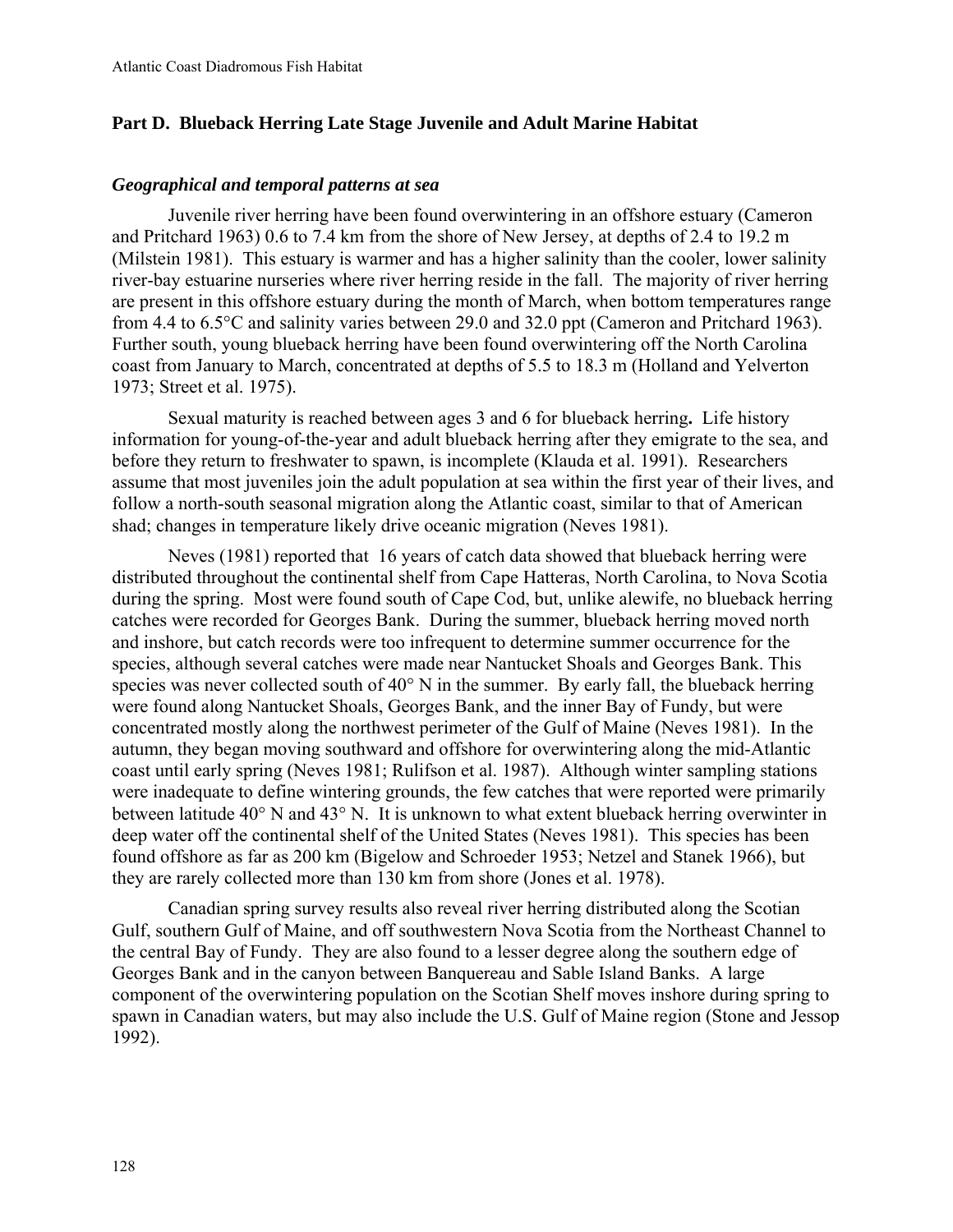# **Part D. Blueback Herring Late Stage Juvenile and Adult Marine Habitat**

#### *Geographical and temporal patterns at sea*

Juvenile river herring have been found overwintering in an offshore estuary (Cameron and Pritchard 1963) 0.6 to 7.4 km from the shore of New Jersey, at depths of 2.4 to 19.2 m (Milstein 1981). This estuary is warmer and has a higher salinity than the cooler, lower salinity river-bay estuarine nurseries where river herring reside in the fall. The majority of river herring are present in this offshore estuary during the month of March, when bottom temperatures range from 4.4 to 6.5°C and salinity varies between 29.0 and 32.0 ppt (Cameron and Pritchard 1963). Further south, young blueback herring have been found overwintering off the North Carolina coast from January to March, concentrated at depths of 5.5 to 18.3 m (Holland and Yelverton 1973; Street et al. 1975).

Sexual maturity is reached between ages 3 and 6 for blueback herring**.** Life history information for young-of-the-year and adult blueback herring after they emigrate to the sea, and before they return to freshwater to spawn, is incomplete (Klauda et al. 1991). Researchers assume that most juveniles join the adult population at sea within the first year of their lives, and follow a north-south seasonal migration along the Atlantic coast, similar to that of American shad; changes in temperature likely drive oceanic migration (Neves 1981).

Neves (1981) reported that 16 years of catch data showed that blueback herring were distributed throughout the continental shelf from Cape Hatteras, North Carolina, to Nova Scotia during the spring. Most were found south of Cape Cod, but, unlike alewife, no blueback herring catches were recorded for Georges Bank. During the summer, blueback herring moved north and inshore, but catch records were too infrequent to determine summer occurrence for the species, although several catches were made near Nantucket Shoals and Georges Bank. This species was never collected south of 40° N in the summer. By early fall, the blueback herring were found along Nantucket Shoals, Georges Bank, and the inner Bay of Fundy, but were concentrated mostly along the northwest perimeter of the Gulf of Maine (Neves 1981). In the autumn, they began moving southward and offshore for overwintering along the mid-Atlantic coast until early spring (Neves 1981; Rulifson et al. 1987). Although winter sampling stations were inadequate to define wintering grounds, the few catches that were reported were primarily between latitude 40° N and 43° N. It is unknown to what extent blueback herring overwinter in deep water off the continental shelf of the United States (Neves 1981). This species has been found offshore as far as 200 km (Bigelow and Schroeder 1953; Netzel and Stanek 1966), but they are rarely collected more than 130 km from shore (Jones et al. 1978).

Canadian spring survey results also reveal river herring distributed along the Scotian Gulf, southern Gulf of Maine, and off southwestern Nova Scotia from the Northeast Channel to the central Bay of Fundy. They are also found to a lesser degree along the southern edge of Georges Bank and in the canyon between Banquereau and Sable Island Banks. A large component of the overwintering population on the Scotian Shelf moves inshore during spring to spawn in Canadian waters, but may also include the U.S. Gulf of Maine region (Stone and Jessop 1992).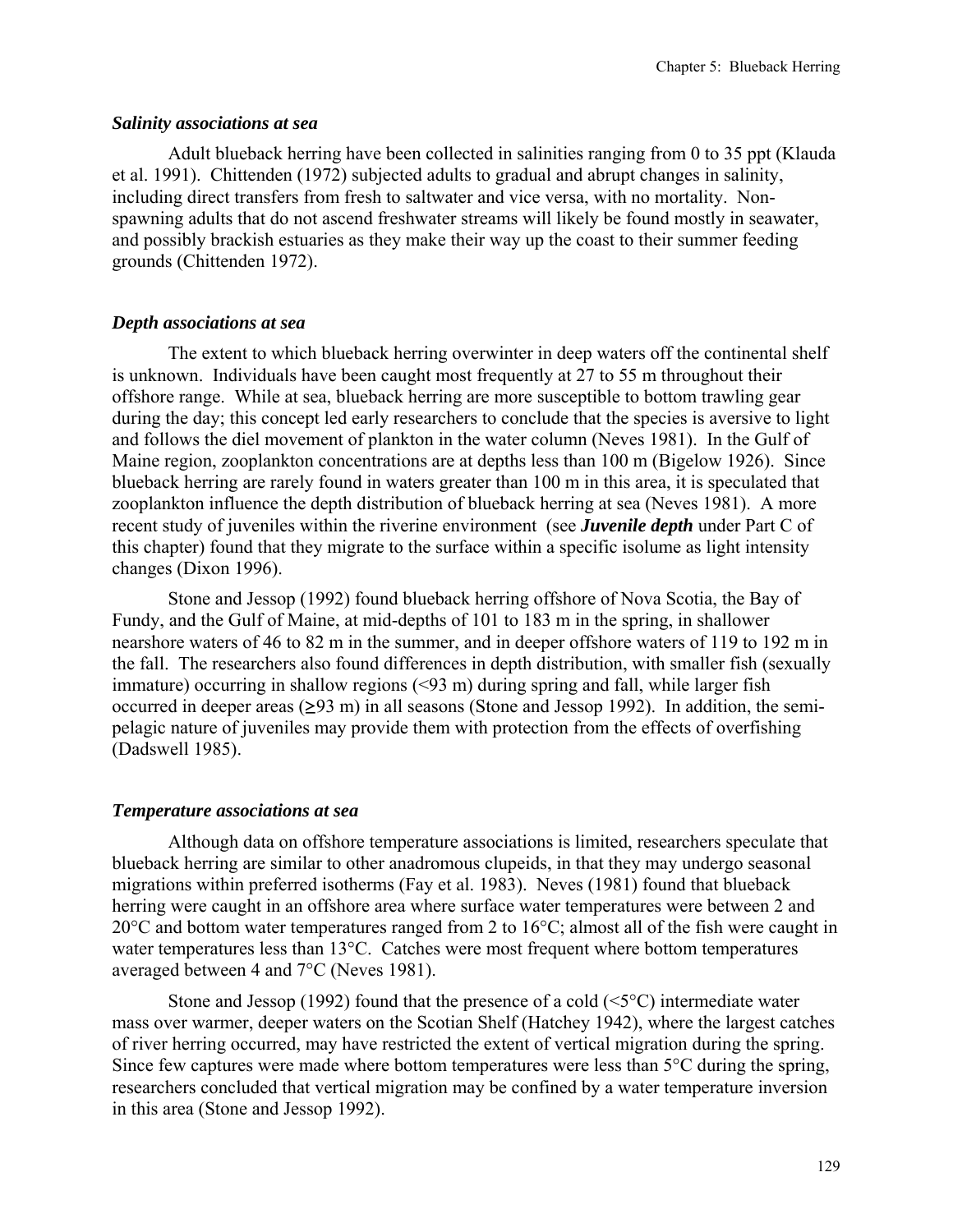#### *Salinity associations at sea*

Adult blueback herring have been collected in salinities ranging from 0 to 35 ppt (Klauda et al. 1991). Chittenden (1972) subjected adults to gradual and abrupt changes in salinity, including direct transfers from fresh to saltwater and vice versa, with no mortality. Nonspawning adults that do not ascend freshwater streams will likely be found mostly in seawater, and possibly brackish estuaries as they make their way up the coast to their summer feeding grounds (Chittenden 1972).

## *Depth associations at sea*

The extent to which blueback herring overwinter in deep waters off the continental shelf is unknown. Individuals have been caught most frequently at 27 to 55 m throughout their offshore range. While at sea, blueback herring are more susceptible to bottom trawling gear during the day; this concept led early researchers to conclude that the species is aversive to light and follows the diel movement of plankton in the water column (Neves 1981). In the Gulf of Maine region, zooplankton concentrations are at depths less than 100 m (Bigelow 1926). Since blueback herring are rarely found in waters greater than 100 m in this area, it is speculated that zooplankton influence the depth distribution of blueback herring at sea (Neves 1981). A more recent study of juveniles within the riverine environment (see *Juvenile depth* under Part C of this chapter) found that they migrate to the surface within a specific isolume as light intensity changes (Dixon 1996).

Stone and Jessop (1992) found blueback herring offshore of Nova Scotia, the Bay of Fundy, and the Gulf of Maine, at mid-depths of 101 to 183 m in the spring, in shallower nearshore waters of 46 to 82 m in the summer, and in deeper offshore waters of 119 to 192 m in the fall. The researchers also found differences in depth distribution, with smaller fish (sexually immature) occurring in shallow regions (<93 m) during spring and fall, while larger fish occurred in deeper areas  $(\geq 93 \text{ m})$  in all seasons (Stone and Jessop 1992). In addition, the semipelagic nature of juveniles may provide them with protection from the effects of overfishing (Dadswell 1985).

## *Temperature associations at sea*

Although data on offshore temperature associations is limited, researchers speculate that blueback herring are similar to other anadromous clupeids, in that they may undergo seasonal migrations within preferred isotherms (Fay et al. 1983). Neves (1981) found that blueback herring were caught in an offshore area where surface water temperatures were between 2 and 20°C and bottom water temperatures ranged from 2 to 16°C; almost all of the fish were caught in water temperatures less than 13°C. Catches were most frequent where bottom temperatures averaged between 4 and 7°C (Neves 1981).

Stone and Jessop (1992) found that the presence of a cold  $(\leq 5^{\circ}C)$  intermediate water mass over warmer, deeper waters on the Scotian Shelf (Hatchey 1942), where the largest catches of river herring occurred, may have restricted the extent of vertical migration during the spring. Since few captures were made where bottom temperatures were less than 5<sup>o</sup>C during the spring, researchers concluded that vertical migration may be confined by a water temperature inversion in this area (Stone and Jessop 1992).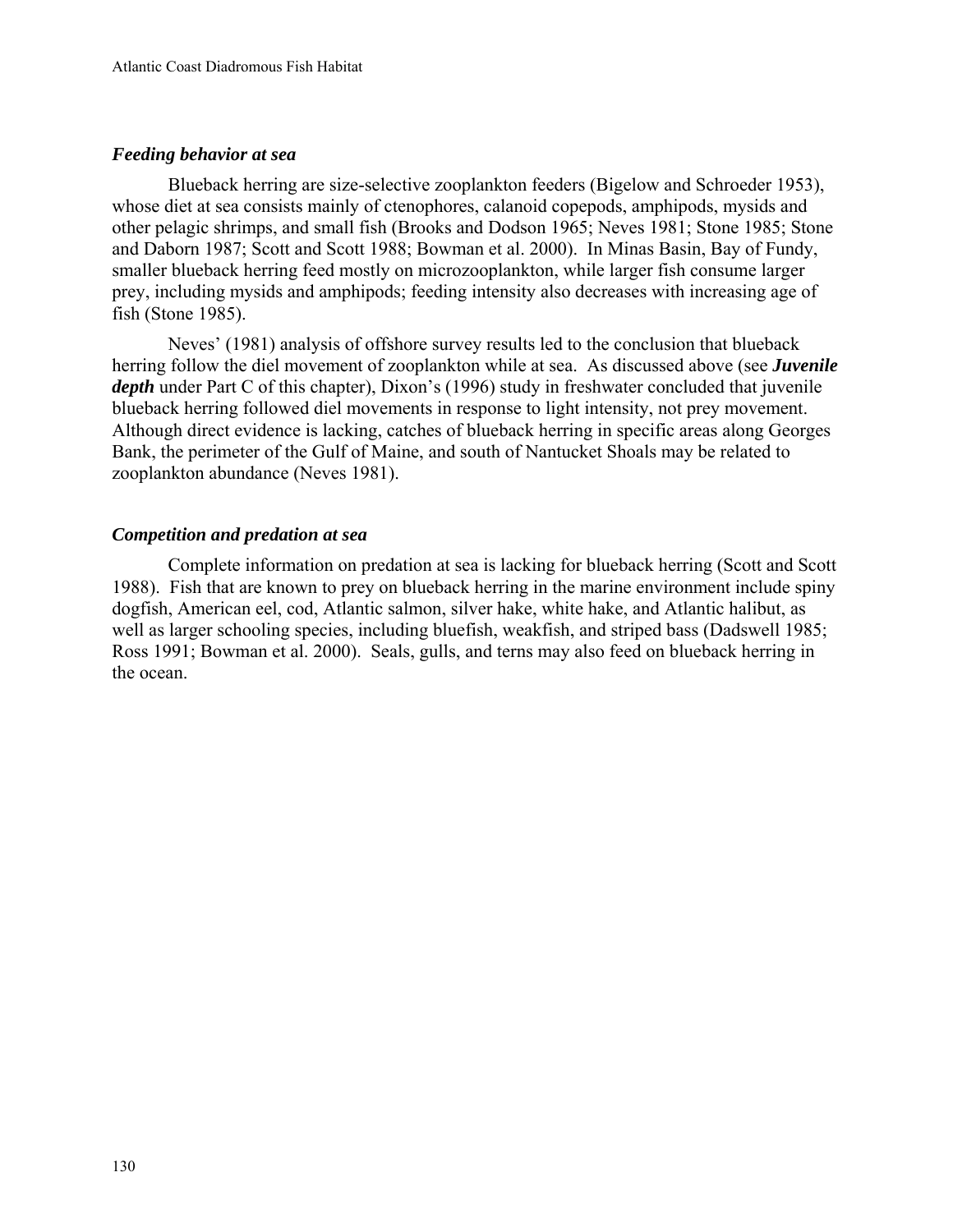# *Feeding behavior at sea*

Blueback herring are size-selective zooplankton feeders (Bigelow and Schroeder 1953), whose diet at sea consists mainly of ctenophores, calanoid copepods, amphipods, mysids and other pelagic shrimps, and small fish (Brooks and Dodson 1965; Neves 1981; Stone 1985; Stone and Daborn 1987; Scott and Scott 1988; Bowman et al. 2000). In Minas Basin, Bay of Fundy, smaller blueback herring feed mostly on microzooplankton, while larger fish consume larger prey, including mysids and amphipods; feeding intensity also decreases with increasing age of fish (Stone 1985).

Neves' (1981) analysis of offshore survey results led to the conclusion that blueback herring follow the diel movement of zooplankton while at sea. As discussed above (see *Juvenile depth* under Part C of this chapter), Dixon's (1996) study in freshwater concluded that juvenile blueback herring followed diel movements in response to light intensity, not prey movement. Although direct evidence is lacking, catches of blueback herring in specific areas along Georges Bank, the perimeter of the Gulf of Maine, and south of Nantucket Shoals may be related to zooplankton abundance (Neves 1981).

# *Competition and predation at sea*

Complete information on predation at sea is lacking for blueback herring (Scott and Scott 1988). Fish that are known to prey on blueback herring in the marine environment include spiny dogfish, American eel, cod, Atlantic salmon, silver hake, white hake, and Atlantic halibut, as well as larger schooling species, including bluefish, weakfish, and striped bass (Dadswell 1985; Ross 1991; Bowman et al. 2000). Seals, gulls, and terns may also feed on blueback herring in the ocean.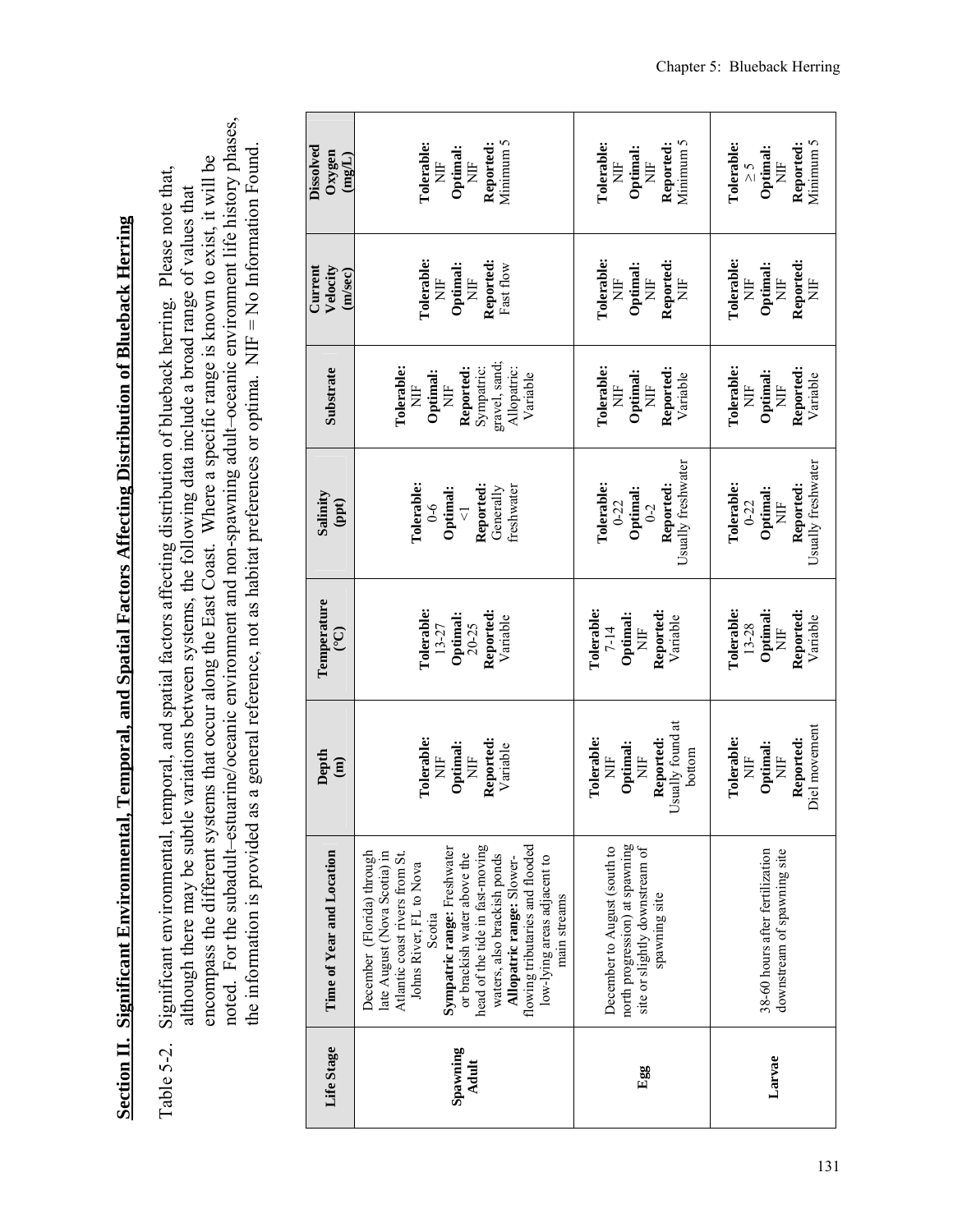Section II. Significant Environmental, Temporal, and Spatial Factors Affecting Distribution of Blueback Herring **Section II. Significant Environmental, Temporal, and Spatial Factors Affecting Distribution of Blueback Herring**

noted. For the subadult–estuarine/oceanic environment and non-spawning adult–oceanic environment life history phases, noted. For the subadult-estuarine/oceanic environment and non-spawning adult-oceanic environment life history phases, the information is provided as a general reference, not as habitat preferences or optima. NIF = No Information Found. the information is provided as a general reference, not as habitat preferences or optima. NIF = No Information Found. encompass the different systems that occur along the East Coast. Where a specific range is known to exist, it will be encompass the different systems that occur along the East Coast. Where a specific range is known to exist, it will be Significant environmental, temporal, and spatial factors affecting distribution of blueback herring. Please note that, Table 5-2. Significant environmental, temporal, and spatial factors affecting distribution of blueback herring. Please note that, although there may be subtle variations between systems, the following data include a broad range of values that although there may be subtle variations between systems, the following data include a broad range of values that Table 5-2.

| Dissolved<br>Oxygen<br>(mgL)   | Minimum 5<br><b>Tolerable:</b><br>Reported:<br>Optimal:<br>Ë<br>Ë                                                                                                                                                                                                                                                                                                                | Minimum 5<br>Reported:<br><b>L'olerable:</b><br>Optimal:<br>Ë<br>È                                                | Minimum 5<br>Reported:<br>Tolerable:<br>Optimal:<br>Ĕ<br>$\zeta$ $\leq$    |
|--------------------------------|----------------------------------------------------------------------------------------------------------------------------------------------------------------------------------------------------------------------------------------------------------------------------------------------------------------------------------------------------------------------------------|-------------------------------------------------------------------------------------------------------------------|----------------------------------------------------------------------------|
| Velocity<br>Current<br>(m/sec) | Tolerable:<br>Reported:<br>Optimal:<br>Fast flow<br>Ë<br>Ë                                                                                                                                                                                                                                                                                                                       | Tolerable:<br>Reported:<br>Optimal:<br>$\overline{H}$<br>Ë                                                        | <b>Tolerable:</b><br>Reported:<br>Optimal:<br>$\overline{H}$<br>Ë<br>È     |
| Substrate                      | gravel, sand;<br>Allopatric:<br>Sympatric:<br><b>Tolerable:</b><br>Reported:<br>Variable<br>Optimal<br>È<br>È                                                                                                                                                                                                                                                                    | <b>Tolerable:</b><br>Reported:<br>Optimal:<br>Variable<br>Ë<br>È                                                  | Tolerable:<br>Reported:<br>Optimal:<br>Variable<br>Ë<br>È                  |
| Salinity<br>(ppt)              | Tolerable:<br>Reported:<br>freshwater<br>Generally<br>Optimal:<br>$0 - 6$<br>$\overline{\vee}$                                                                                                                                                                                                                                                                                   | Usually freshwater<br>Tolerable:<br>Reported:<br>Optimal:<br>$0 - 22$<br>$C - 0$                                  | Usually freshwater<br>Tolerable:<br>Reported:<br>Optimal:<br>$0 - 22$<br>È |
| Temperature<br>$\widetilde{C}$ | Tolerable:<br>Reported:<br>Optimal:<br>Variable<br>$20 - 25$<br>$13 - 27$                                                                                                                                                                                                                                                                                                        | Tolerable:<br>Reported:<br>Optimal:<br>Variable<br>$7-14$<br>$\overline{E}$                                       | Optimal:<br><b>Tolerable:</b><br>Reported:<br>Variable<br>$13 - 28$<br>Ë   |
| Depth<br>$\widehat{a}$         | Tolerable:<br>Reported:<br>Optimal:<br>Variable<br>Ë<br>Ë                                                                                                                                                                                                                                                                                                                        | Isually found at<br>Tolerable:<br>Reported:<br>Optimal:<br>bottom<br>Ë<br>Ë                                       | Diel movement<br>Reported:<br>Tolerable:<br>Optimal:<br>Ë<br>E<br>Z        |
| Time of Year and Location      | head of the tide in fast-moving<br>flowing tributaries and flooded<br>Sympatric range: Freshwater<br>December (Florida) through<br>late August (Nova Scotia) in<br>Atlantic coast rivers from St.<br>waters, also brackish ponds<br>or brackish water above the<br>low-lying areas adjacent to<br>Allopatric range: Slower-<br>Johns River, FL to Nova<br>main streams<br>Scotia | north progression) at spawning<br>December to August (south to<br>site or slightly downstream of<br>spawning site | 38-60 hours after fertilization<br>downstream of spawning site             |
| Life Stage                     | Spawning<br>Adult                                                                                                                                                                                                                                                                                                                                                                | Egg                                                                                                               | Larvae                                                                     |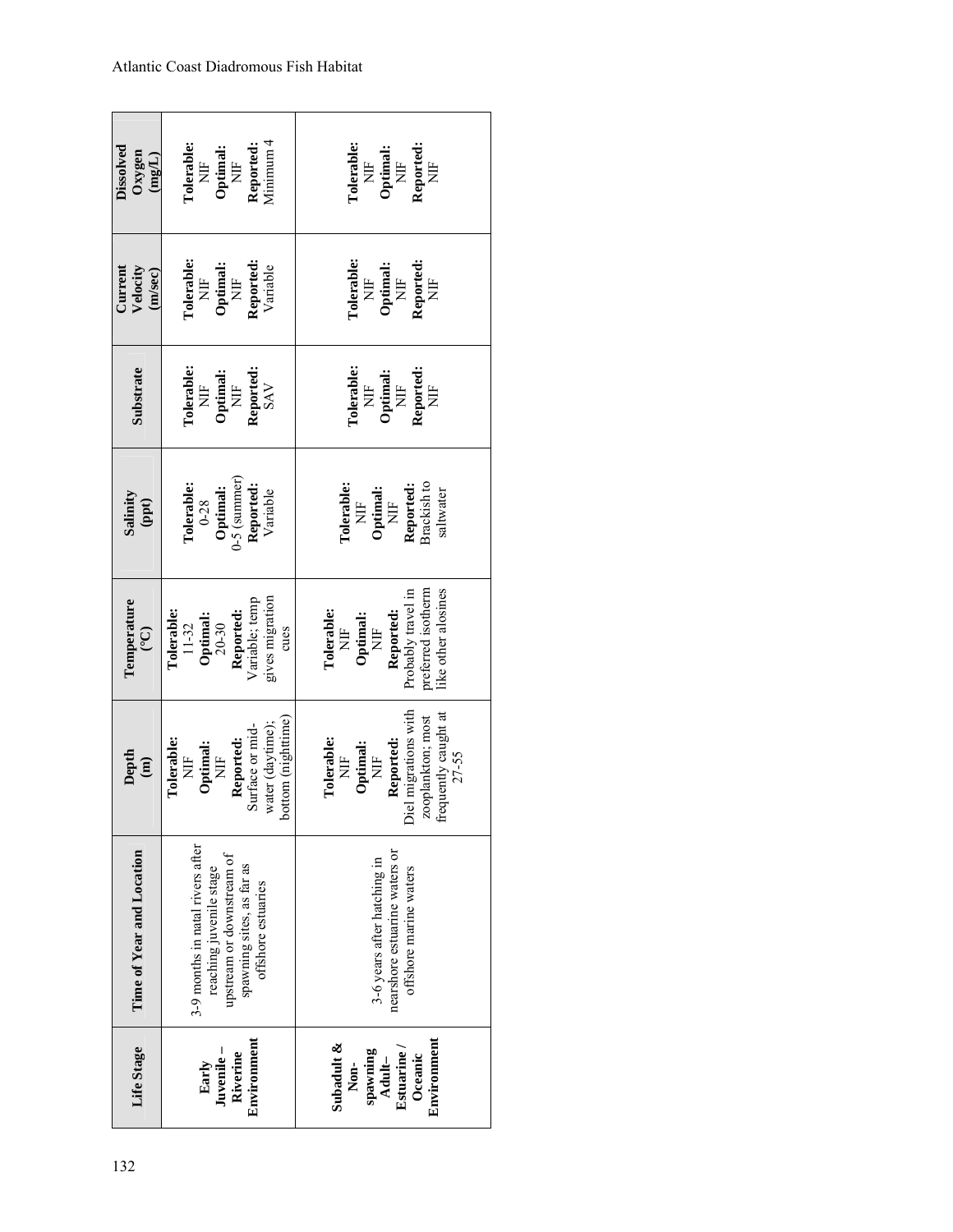| Life Stage                                                                             | Time of Year and Location                                                                                                                   | Depth<br>$\begin{array}{c} \mathbf{m} \end{array}$                                                                                  | Temperature<br>$\widetilde{C}$                                                                                   | Salinity<br>$($ ppt $)$                                                      | Substrate                                                                          | Current<br>Velocity<br>(m/sec)                                                                                         | Dissolved<br>Oxygen<br>$(\mathrm{mg/L})$                                                 |
|----------------------------------------------------------------------------------------|---------------------------------------------------------------------------------------------------------------------------------------------|-------------------------------------------------------------------------------------------------------------------------------------|------------------------------------------------------------------------------------------------------------------|------------------------------------------------------------------------------|------------------------------------------------------------------------------------|------------------------------------------------------------------------------------------------------------------------|------------------------------------------------------------------------------------------|
| Environment<br>Juvenile-<br>Riverine<br>Early                                          | 3-9 months in natal rivers after<br>upstream or downstream of<br>spawning sites, as far as<br>reaching juvenile stage<br>offshore estuaries | bottom (nighttime)<br>water (daytime):<br>Surface or mid-<br>Reported:<br>Tolerable:<br>Optimal:<br>Ë<br>Ë                          | gives migration<br>Variable; temp<br>Reported:<br>Tolerable:<br>Optimal:<br>$20-30$<br>$11 - 32$<br>cues         | $-5$ (summer)<br>Reported:<br>Tolerable:<br>Optimal:<br>Variable<br>$0 - 28$ | <b>Tolerable:</b><br>Reported:<br>Optimal: $\overline{\text{NIF}}$<br>SAV<br>$\Xi$ | <b>Tolerable:</b><br>$\begin{array}{ll} \textbf{Optimal:} \\ \text{NIF} \end{array}$<br>Reported:<br>Variable<br>$\Xi$ | Minimum 4<br><b>Tolerable:</b><br>Reported:<br>Optimal: $\overline{\text{NIF}}$<br>$\Xi$ |
| Environment<br>Subadult &<br>spawning<br><b>Estuarine</b><br>Oceanic<br>Adult-<br>Non- | nearshore estuarine waters or<br>3-6 years after hatching in<br>offshore marine waters                                                      | Diel migrations with<br>frequently caught at<br>ooplankton; most<br>Tolerable:<br>Reported:<br>Optimal:<br>$27 - 55$<br>Ë<br>È<br>Ñ | like other alosines<br>preferred isotherm<br>Probably travel in<br>Tolerable:<br>Reported:<br>Optimal:<br>Ë<br>Ë | Brackish to<br>Tolerable<br>Reported:<br>Optimal:<br>saltwater<br>Ë<br>E,    | <b>Tolerable:</b><br>Reported:<br>Optimal: $\overline{\text{NIF}}$<br>Ë<br>È       | <b>Tolerable:</b><br>Optimal: $N\mathbb{H}$<br>Reported<br>$\overline{E}$<br>È                                         | <b>Tolerable:</b><br>Reported:<br>Optimal: $N\mathbb{H}$<br>$\frac{1}{2}$<br>Ë           |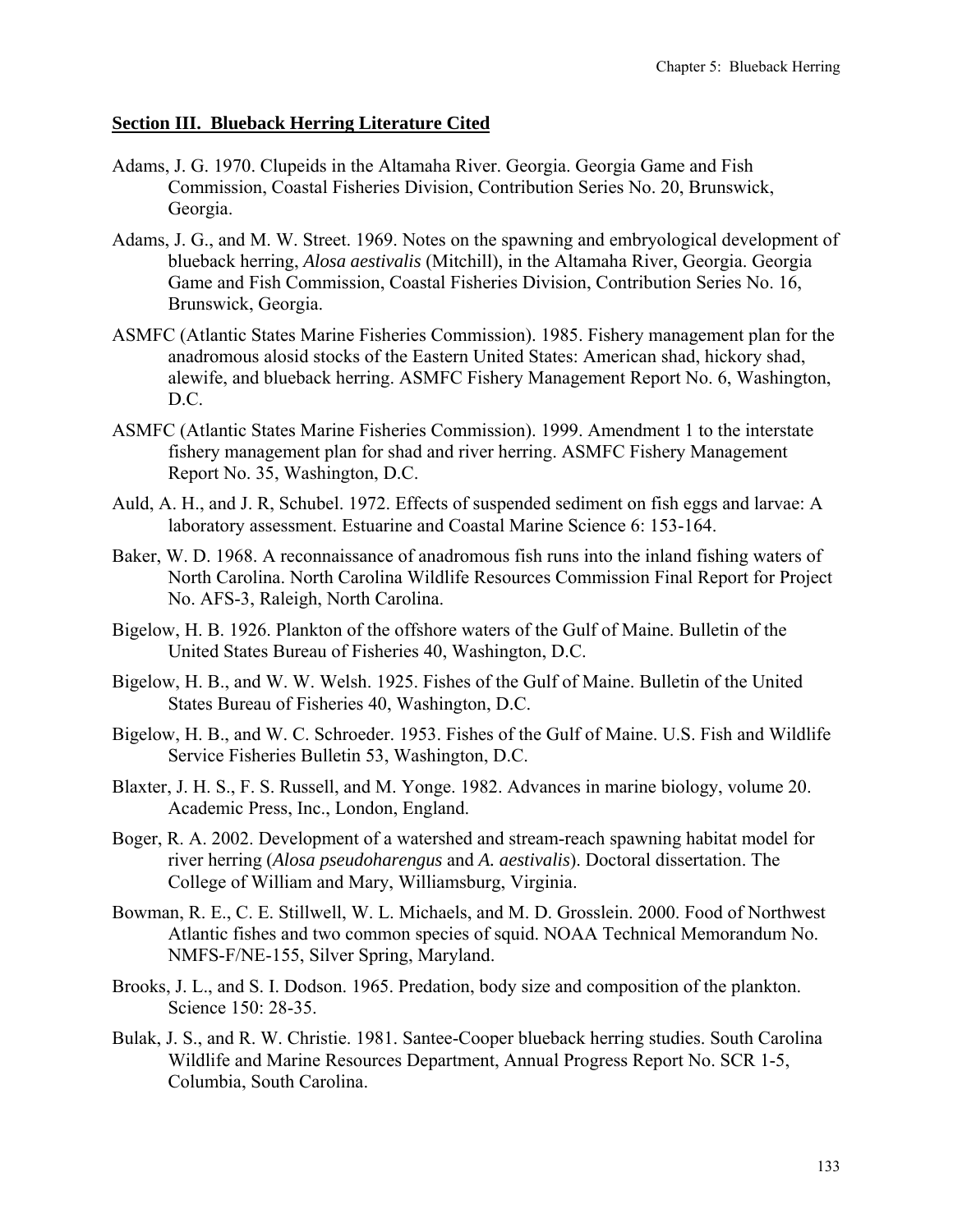### **Section III. Blueback Herring Literature Cited**

- Adams, J. G. 1970. Clupeids in the Altamaha River. Georgia. Georgia Game and Fish Commission, Coastal Fisheries Division, Contribution Series No. 20, Brunswick, Georgia.
- Adams, J. G., and M. W. Street. 1969. Notes on the spawning and embryological development of blueback herring, *Alosa aestivalis* (Mitchill), in the Altamaha River, Georgia. Georgia Game and Fish Commission, Coastal Fisheries Division, Contribution Series No. 16, Brunswick, Georgia.
- ASMFC (Atlantic States Marine Fisheries Commission). 1985. Fishery management plan for the anadromous alosid stocks of the Eastern United States: American shad, hickory shad, alewife, and blueback herring. ASMFC Fishery Management Report No. 6, Washington, D.C.
- ASMFC (Atlantic States Marine Fisheries Commission). 1999. Amendment 1 to the interstate fishery management plan for shad and river herring. ASMFC Fishery Management Report No. 35, Washington, D.C.
- Auld, A. H., and J. R, Schubel. 1972. Effects of suspended sediment on fish eggs and larvae: A laboratory assessment. Estuarine and Coastal Marine Science 6: 153-164.
- Baker, W. D. 1968. A reconnaissance of anadromous fish runs into the inland fishing waters of North Carolina. North Carolina Wildlife Resources Commission Final Report for Project No. AFS-3, Raleigh, North Carolina.
- Bigelow, H. B. 1926. Plankton of the offshore waters of the Gulf of Maine. Bulletin of the United States Bureau of Fisheries 40, Washington, D.C.
- Bigelow, H. B., and W. W. Welsh. 1925. Fishes of the Gulf of Maine. Bulletin of the United States Bureau of Fisheries 40, Washington, D.C.
- Bigelow, H. B., and W. C. Schroeder. 1953. Fishes of the Gulf of Maine. U.S. Fish and Wildlife Service Fisheries Bulletin 53, Washington, D.C.
- Blaxter, J. H. S., F. S. Russell, and M. Yonge. 1982. Advances in marine biology, volume 20. Academic Press, Inc., London, England.
- Boger, R. A. 2002. Development of a watershed and stream-reach spawning habitat model for river herring (*Alosa pseudoharengus* and *A. aestivalis*). Doctoral dissertation. The College of William and Mary, Williamsburg, Virginia.
- Bowman, R. E., C. E. Stillwell, W. L. Michaels, and M. D. Grosslein. 2000. Food of Northwest Atlantic fishes and two common species of squid. NOAA Technical Memorandum No. NMFS-F/NE-155, Silver Spring, Maryland.
- Brooks, J. L., and S. I. Dodson. 1965. Predation, body size and composition of the plankton. Science 150: 28-35.
- Bulak, J. S., and R. W. Christie. 1981. Santee-Cooper blueback herring studies. South Carolina Wildlife and Marine Resources Department, Annual Progress Report No. SCR 1-5, Columbia, South Carolina.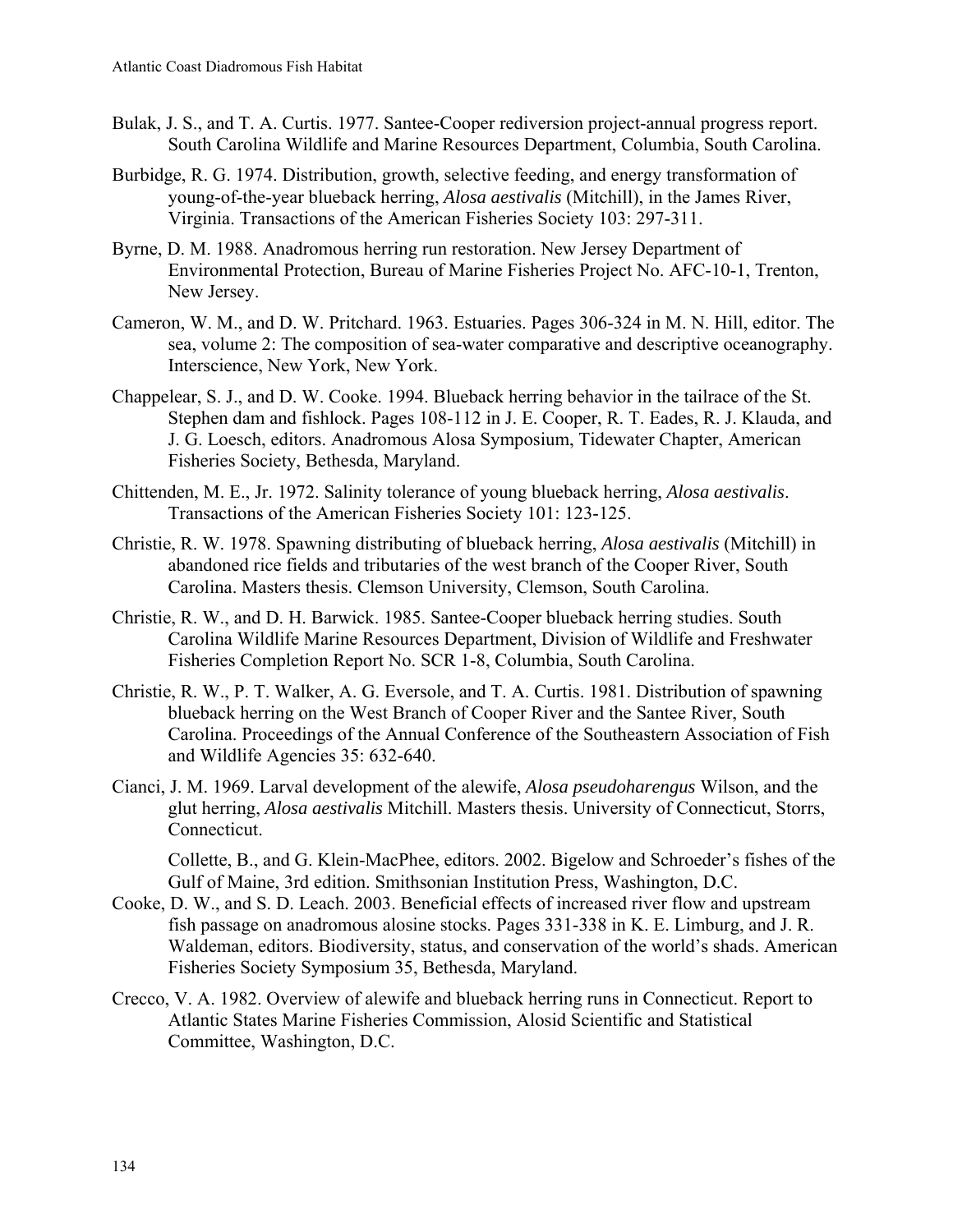- Bulak, J. S., and T. A. Curtis. 1977. Santee-Cooper rediversion project-annual progress report. South Carolina Wildlife and Marine Resources Department, Columbia, South Carolina.
- Burbidge, R. G. 1974. Distribution, growth, selective feeding, and energy transformation of young-of-the-year blueback herring, *Alosa aestivalis* (Mitchill), in the James River, Virginia. Transactions of the American Fisheries Society 103: 297-311.
- Byrne, D. M. 1988. Anadromous herring run restoration. New Jersey Department of Environmental Protection, Bureau of Marine Fisheries Project No. AFC-10-1, Trenton, New Jersey.
- Cameron, W. M., and D. W. Pritchard. 1963. Estuaries. Pages 306-324 in M. N. Hill, editor. The sea, volume 2: The composition of sea-water comparative and descriptive oceanography. Interscience, New York, New York.
- Chappelear, S. J., and D. W. Cooke. 1994. Blueback herring behavior in the tailrace of the St. Stephen dam and fishlock. Pages 108-112 in J. E. Cooper, R. T. Eades, R. J. Klauda, and J. G. Loesch, editors. Anadromous Alosa Symposium, Tidewater Chapter, American Fisheries Society, Bethesda, Maryland.
- Chittenden, M. E., Jr. 1972. Salinity tolerance of young blueback herring, *Alosa aestivalis*. Transactions of the American Fisheries Society 101: 123-125.
- Christie, R. W. 1978. Spawning distributing of blueback herring, *Alosa aestivalis* (Mitchill) in abandoned rice fields and tributaries of the west branch of the Cooper River, South Carolina. Masters thesis. Clemson University, Clemson, South Carolina.
- Christie, R. W., and D. H. Barwick. 1985. Santee-Cooper blueback herring studies. South Carolina Wildlife Marine Resources Department, Division of Wildlife and Freshwater Fisheries Completion Report No. SCR 1-8, Columbia, South Carolina.
- Christie, R. W., P. T. Walker, A. G. Eversole, and T. A. Curtis. 1981. Distribution of spawning blueback herring on the West Branch of Cooper River and the Santee River, South Carolina. Proceedings of the Annual Conference of the Southeastern Association of Fish and Wildlife Agencies 35: 632-640.
- Cianci, J. M. 1969. Larval development of the alewife, *Alosa pseudoharengus* Wilson, and the glut herring, *Alosa aestivalis* Mitchill. Masters thesis. University of Connecticut, Storrs, Connecticut.

Collette, B., and G. Klein-MacPhee, editors. 2002. Bigelow and Schroeder's fishes of the Gulf of Maine, 3rd edition. Smithsonian Institution Press, Washington, D.C.

- Cooke, D. W., and S. D. Leach. 2003. Beneficial effects of increased river flow and upstream fish passage on anadromous alosine stocks. Pages 331-338 in K. E. Limburg, and J. R. Waldeman, editors. Biodiversity, status, and conservation of the world's shads. American Fisheries Society Symposium 35, Bethesda, Maryland.
- Crecco, V. A. 1982. Overview of alewife and blueback herring runs in Connecticut. Report to Atlantic States Marine Fisheries Commission, Alosid Scientific and Statistical Committee, Washington, D.C.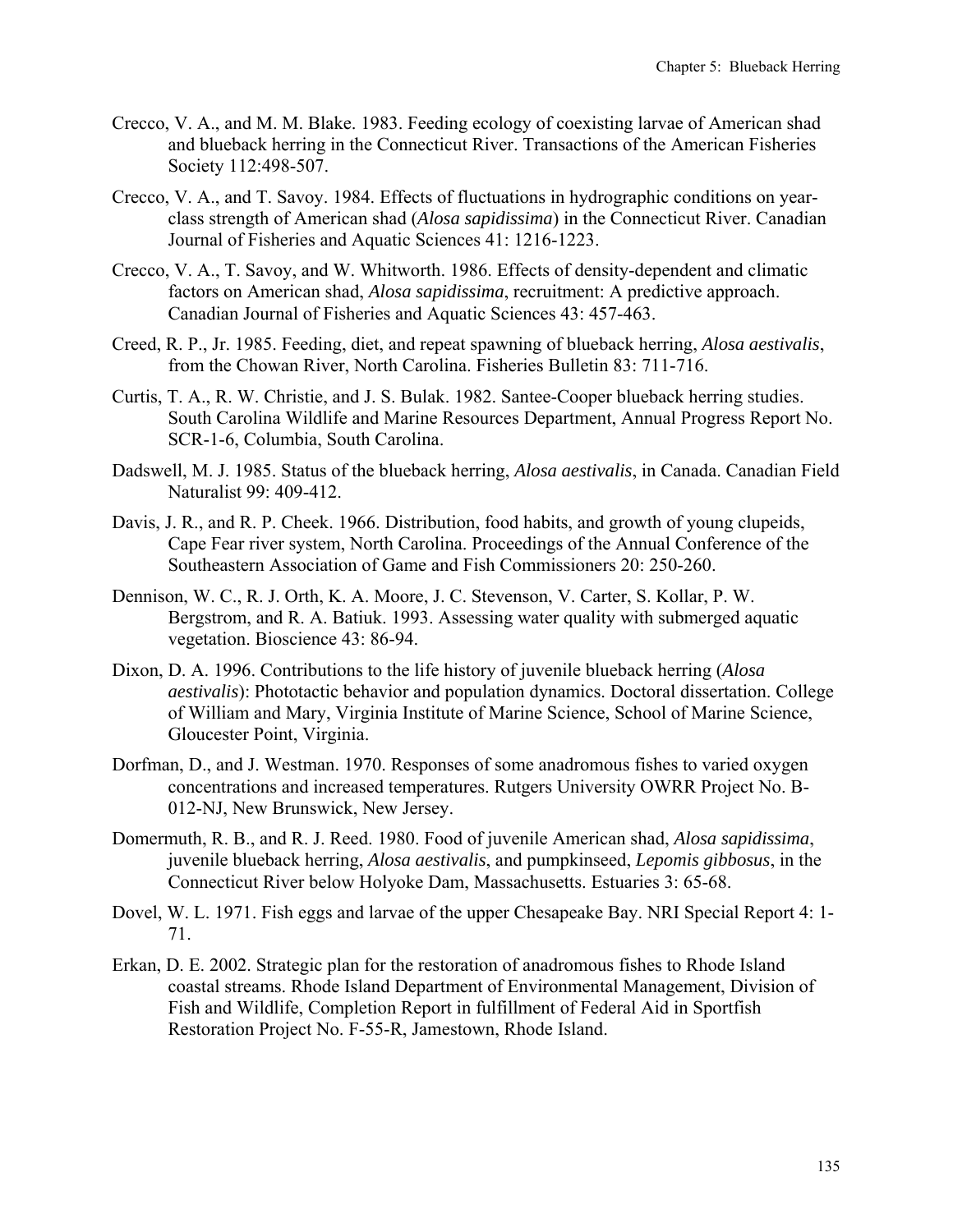- Crecco, V. A., and M. M. Blake. 1983. Feeding ecology of coexisting larvae of American shad and blueback herring in the Connecticut River. Transactions of the American Fisheries Society 112:498-507.
- Crecco, V. A., and T. Savoy. 1984. Effects of fluctuations in hydrographic conditions on yearclass strength of American shad (*Alosa sapidissima*) in the Connecticut River. Canadian Journal of Fisheries and Aquatic Sciences 41: 1216-1223.
- Crecco, V. A., T. Savoy, and W. Whitworth. 1986. Effects of density-dependent and climatic factors on American shad, *Alosa sapidissima*, recruitment: A predictive approach. Canadian Journal of Fisheries and Aquatic Sciences 43: 457-463.
- Creed, R. P., Jr. 1985. Feeding, diet, and repeat spawning of blueback herring, *Alosa aestivalis*, from the Chowan River, North Carolina. Fisheries Bulletin 83: 711-716.
- Curtis, T. A., R. W. Christie, and J. S. Bulak. 1982. Santee-Cooper blueback herring studies. South Carolina Wildlife and Marine Resources Department, Annual Progress Report No. SCR-1-6, Columbia, South Carolina.
- Dadswell, M. J. 1985. Status of the blueback herring, *Alosa aestivalis*, in Canada. Canadian Field Naturalist 99: 409-412.
- Davis, J. R., and R. P. Cheek. 1966. Distribution, food habits, and growth of young clupeids, Cape Fear river system, North Carolina. Proceedings of the Annual Conference of the Southeastern Association of Game and Fish Commissioners 20: 250-260.
- Dennison, W. C., R. J. Orth, K. A. Moore, J. C. Stevenson, V. Carter, S. Kollar, P. W. Bergstrom, and R. A. Batiuk. 1993. Assessing water quality with submerged aquatic vegetation. Bioscience 43: 86-94.
- Dixon, D. A. 1996. Contributions to the life history of juvenile blueback herring (*Alosa aestivalis*): Phototactic behavior and population dynamics. Doctoral dissertation. College of William and Mary, Virginia Institute of Marine Science, School of Marine Science, Gloucester Point, Virginia.
- Dorfman, D., and J. Westman. 1970. Responses of some anadromous fishes to varied oxygen concentrations and increased temperatures. Rutgers University OWRR Project No. B-012-NJ, New Brunswick, New Jersey.
- Domermuth, R. B., and R. J. Reed. 1980. Food of juvenile American shad, *Alosa sapidissima*, juvenile blueback herring, *Alosa aestivalis*, and pumpkinseed, *Lepomis gibbosus*, in the Connecticut River below Holyoke Dam, Massachusetts. Estuaries 3: 65-68.
- Dovel, W. L. 1971. Fish eggs and larvae of the upper Chesapeake Bay. NRI Special Report 4: 1- 71.
- Erkan, D. E. 2002. Strategic plan for the restoration of anadromous fishes to Rhode Island coastal streams. Rhode Island Department of Environmental Management, Division of Fish and Wildlife, Completion Report in fulfillment of Federal Aid in Sportfish Restoration Project No. F-55-R, Jamestown, Rhode Island.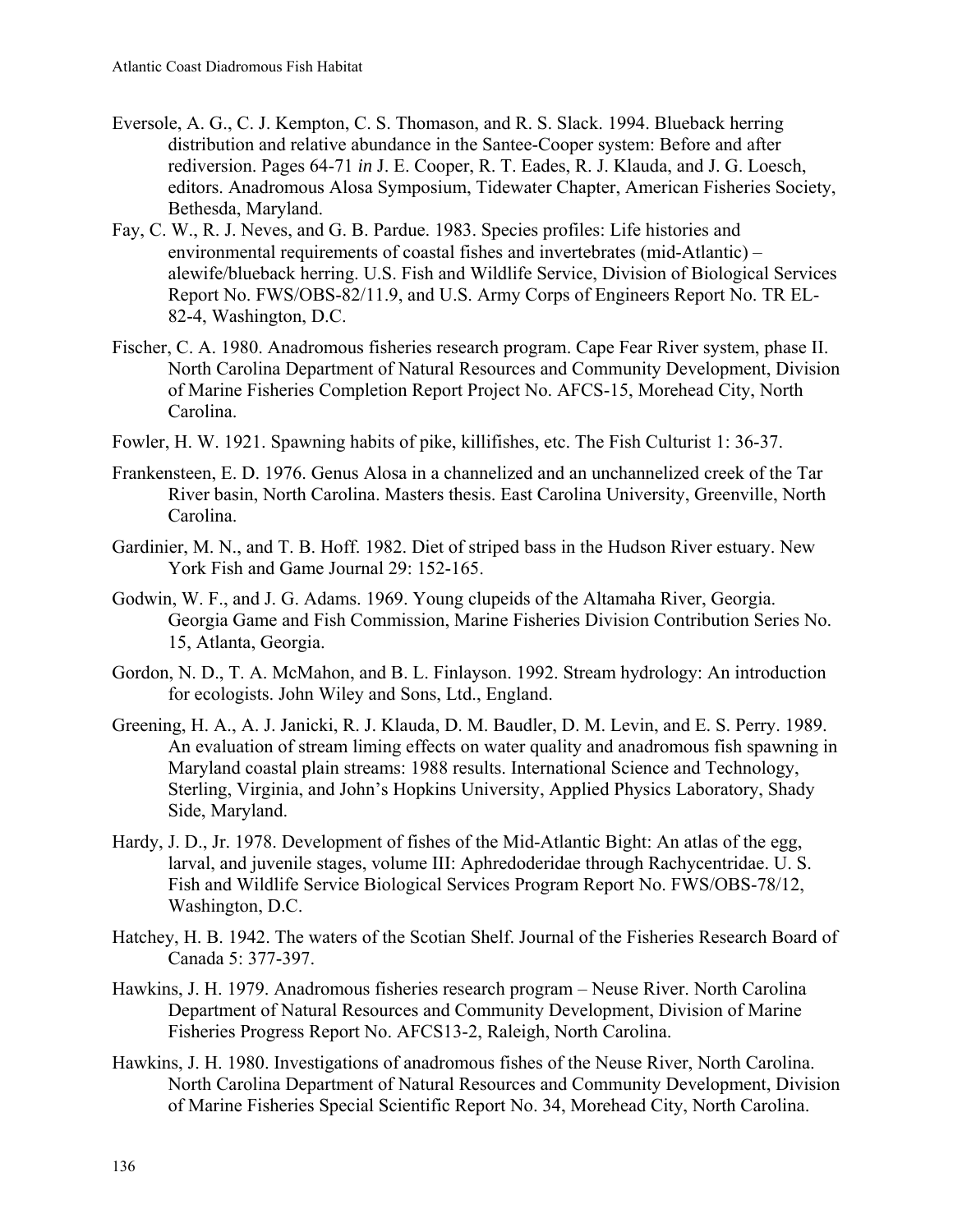- Eversole, A. G., C. J. Kempton, C. S. Thomason, and R. S. Slack. 1994. Blueback herring distribution and relative abundance in the Santee-Cooper system: Before and after rediversion. Pages 64-71 *in* J. E. Cooper, R. T. Eades, R. J. Klauda, and J. G. Loesch, editors. Anadromous Alosa Symposium, Tidewater Chapter, American Fisheries Society, Bethesda, Maryland.
- Fay, C. W., R. J. Neves, and G. B. Pardue. 1983. Species profiles: Life histories and environmental requirements of coastal fishes and invertebrates (mid-Atlantic) – alewife/blueback herring. U.S. Fish and Wildlife Service, Division of Biological Services Report No. FWS/OBS-82/11.9, and U.S. Army Corps of Engineers Report No. TR EL-82-4, Washington, D.C.
- Fischer, C. A. 1980. Anadromous fisheries research program. Cape Fear River system, phase II. North Carolina Department of Natural Resources and Community Development, Division of Marine Fisheries Completion Report Project No. AFCS-15, Morehead City, North Carolina.
- Fowler, H. W. 1921. Spawning habits of pike, killifishes, etc. The Fish Culturist 1: 36-37.
- Frankensteen, E. D. 1976. Genus Alosa in a channelized and an unchannelized creek of the Tar River basin, North Carolina. Masters thesis. East Carolina University, Greenville, North Carolina.
- Gardinier, M. N., and T. B. Hoff. 1982. Diet of striped bass in the Hudson River estuary. New York Fish and Game Journal 29: 152-165.
- Godwin, W. F., and J. G. Adams. 1969. Young clupeids of the Altamaha River, Georgia. Georgia Game and Fish Commission, Marine Fisheries Division Contribution Series No. 15, Atlanta, Georgia.
- Gordon, N. D., T. A. McMahon, and B. L. Finlayson. 1992. Stream hydrology: An introduction for ecologists. John Wiley and Sons, Ltd., England.
- Greening, H. A., A. J. Janicki, R. J. Klauda, D. M. Baudler, D. M. Levin, and E. S. Perry. 1989. An evaluation of stream liming effects on water quality and anadromous fish spawning in Maryland coastal plain streams: 1988 results. International Science and Technology, Sterling, Virginia, and John's Hopkins University, Applied Physics Laboratory, Shady Side, Maryland.
- Hardy, J. D., Jr. 1978. Development of fishes of the Mid-Atlantic Bight: An atlas of the egg, larval, and juvenile stages, volume III: Aphredoderidae through Rachycentridae. U. S. Fish and Wildlife Service Biological Services Program Report No. FWS/OBS-78/12, Washington, D.C.
- Hatchey, H. B. 1942. The waters of the Scotian Shelf. Journal of the Fisheries Research Board of Canada 5: 377-397.
- Hawkins, J. H. 1979. Anadromous fisheries research program Neuse River. North Carolina Department of Natural Resources and Community Development, Division of Marine Fisheries Progress Report No. AFCS13-2, Raleigh, North Carolina.
- Hawkins, J. H. 1980. Investigations of anadromous fishes of the Neuse River, North Carolina. North Carolina Department of Natural Resources and Community Development, Division of Marine Fisheries Special Scientific Report No. 34, Morehead City, North Carolina.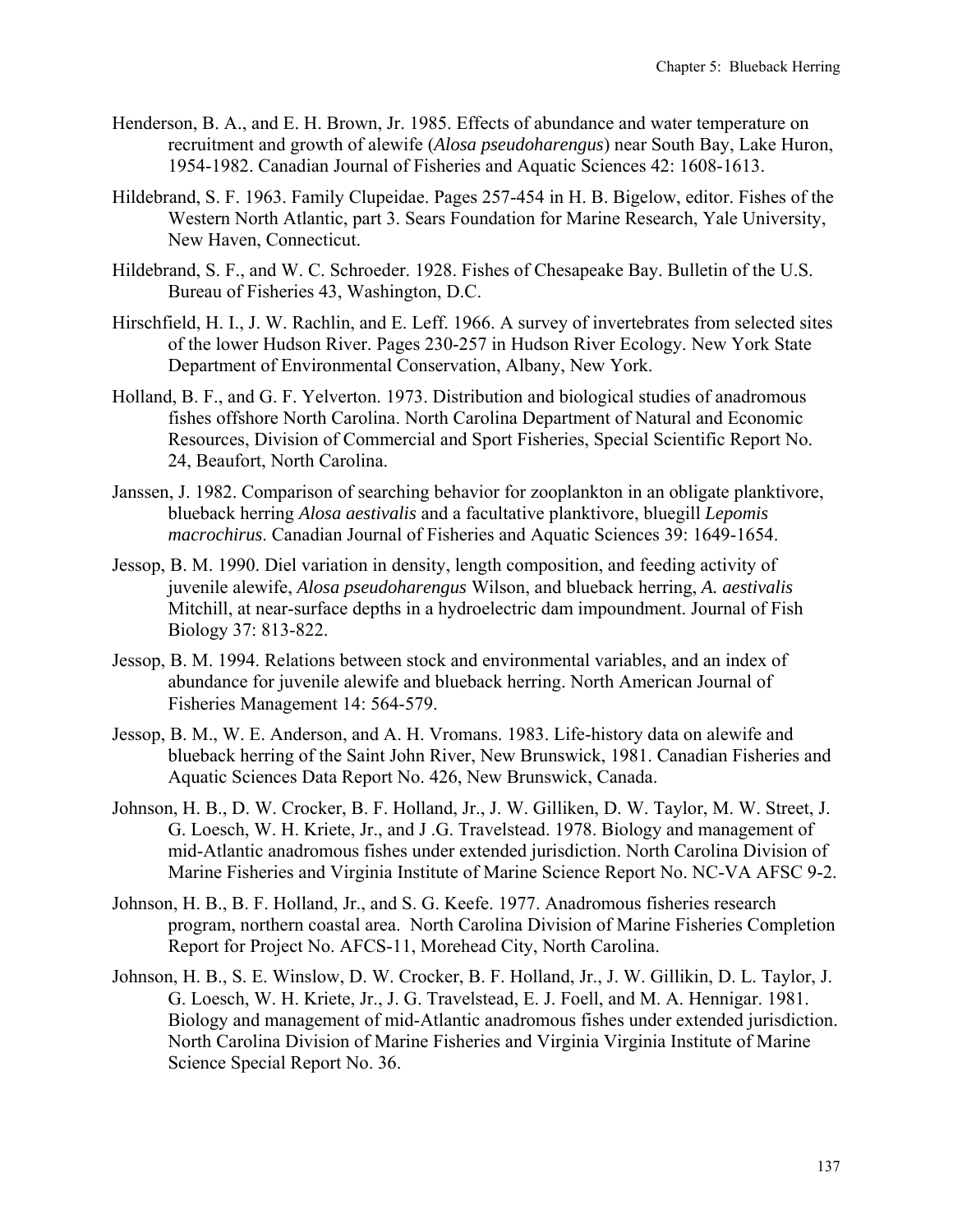- Henderson, B. A., and E. H. Brown, Jr. 1985. Effects of abundance and water temperature on recruitment and growth of alewife (*Alosa pseudoharengus*) near South Bay, Lake Huron, 1954-1982. Canadian Journal of Fisheries and Aquatic Sciences 42: 1608-1613.
- Hildebrand, S. F. 1963. Family Clupeidae. Pages 257-454 in H. B. Bigelow, editor. Fishes of the Western North Atlantic, part 3. Sears Foundation for Marine Research, Yale University, New Haven, Connecticut.
- Hildebrand, S. F., and W. C. Schroeder. 1928. Fishes of Chesapeake Bay. Bulletin of the U.S. Bureau of Fisheries 43, Washington, D.C.
- Hirschfield, H. I., J. W. Rachlin, and E. Leff. 1966. A survey of invertebrates from selected sites of the lower Hudson River. Pages 230-257 in Hudson River Ecology. New York State Department of Environmental Conservation, Albany, New York.
- Holland, B. F., and G. F. Yelverton. 1973. Distribution and biological studies of anadromous fishes offshore North Carolina. North Carolina Department of Natural and Economic Resources, Division of Commercial and Sport Fisheries, Special Scientific Report No. 24, Beaufort, North Carolina.
- Janssen, J. 1982. Comparison of searching behavior for zooplankton in an obligate planktivore, blueback herring *Alosa aestivalis* and a facultative planktivore, bluegill *Lepomis macrochirus*. Canadian Journal of Fisheries and Aquatic Sciences 39: 1649-1654.
- Jessop, B. M. 1990. Diel variation in density, length composition, and feeding activity of juvenile alewife, *Alosa pseudoharengus* Wilson, and blueback herring, *A. aestivalis*  Mitchill, at near-surface depths in a hydroelectric dam impoundment. Journal of Fish Biology 37: 813-822.
- Jessop, B. M. 1994. Relations between stock and environmental variables, and an index of abundance for juvenile alewife and blueback herring. North American Journal of Fisheries Management 14: 564-579.
- Jessop, B. M., W. E. Anderson, and A. H. Vromans. 1983. Life-history data on alewife and blueback herring of the Saint John River, New Brunswick, 1981. Canadian Fisheries and Aquatic Sciences Data Report No. 426, New Brunswick, Canada.
- Johnson, H. B., D. W. Crocker, B. F. Holland, Jr., J. W. Gilliken, D. W. Taylor, M. W. Street, J. G. Loesch, W. H. Kriete, Jr., and J .G. Travelstead. 1978. Biology and management of mid-Atlantic anadromous fishes under extended jurisdiction. North Carolina Division of Marine Fisheries and Virginia Institute of Marine Science Report No. NC-VA AFSC 9-2.
- Johnson, H. B., B. F. Holland, Jr., and S. G. Keefe. 1977. Anadromous fisheries research program, northern coastal area. North Carolina Division of Marine Fisheries Completion Report for Project No. AFCS-11, Morehead City, North Carolina.
- Johnson, H. B., S. E. Winslow, D. W. Crocker, B. F. Holland, Jr., J. W. Gillikin, D. L. Taylor, J. G. Loesch, W. H. Kriete, Jr., J. G. Travelstead, E. J. Foell, and M. A. Hennigar. 1981. Biology and management of mid-Atlantic anadromous fishes under extended jurisdiction. North Carolina Division of Marine Fisheries and Virginia Virginia Institute of Marine Science Special Report No. 36.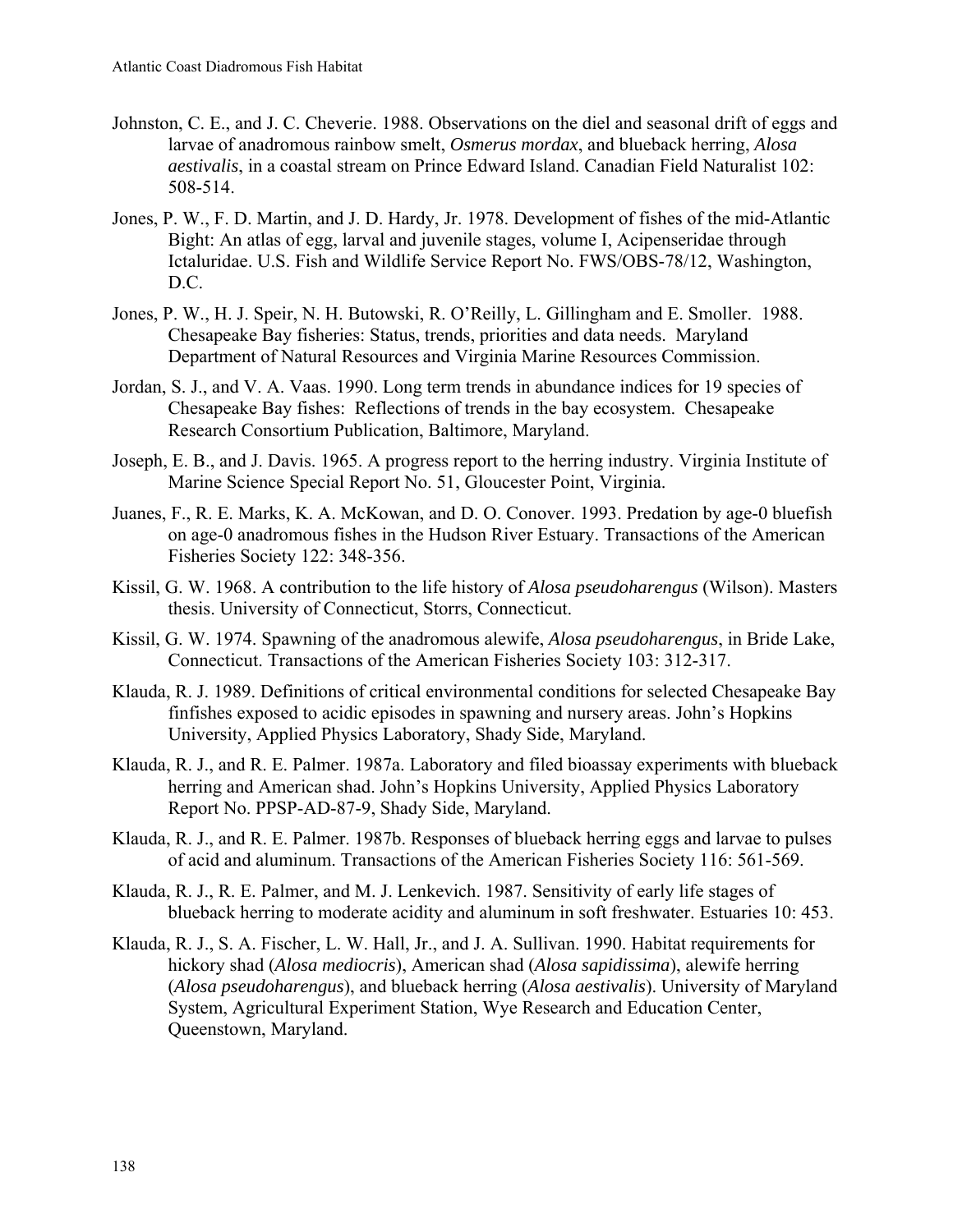- Johnston, C. E., and J. C. Cheverie. 1988. Observations on the diel and seasonal drift of eggs and larvae of anadromous rainbow smelt, *Osmerus mordax*, and blueback herring, *Alosa aestivalis*, in a coastal stream on Prince Edward Island. Canadian Field Naturalist 102: 508-514.
- Jones, P. W., F. D. Martin, and J. D. Hardy, Jr. 1978. Development of fishes of the mid-Atlantic Bight: An atlas of egg, larval and juvenile stages, volume I, Acipenseridae through Ictaluridae. U.S. Fish and Wildlife Service Report No. FWS/OBS-78/12, Washington, D.C.
- Jones, P. W., H. J. Speir, N. H. Butowski, R. O'Reilly, L. Gillingham and E. Smoller. 1988. Chesapeake Bay fisheries: Status, trends, priorities and data needs. Maryland Department of Natural Resources and Virginia Marine Resources Commission.
- Jordan, S. J., and V. A. Vaas. 1990. Long term trends in abundance indices for 19 species of Chesapeake Bay fishes: Reflections of trends in the bay ecosystem. Chesapeake Research Consortium Publication, Baltimore, Maryland.
- Joseph, E. B., and J. Davis. 1965. A progress report to the herring industry. Virginia Institute of Marine Science Special Report No. 51, Gloucester Point, Virginia.
- Juanes, F., R. E. Marks, K. A. McKowan, and D. O. Conover. 1993. Predation by age-0 bluefish on age-0 anadromous fishes in the Hudson River Estuary. Transactions of the American Fisheries Society 122: 348-356.
- Kissil, G. W. 1968. A contribution to the life history of *Alosa pseudoharengus* (Wilson). Masters thesis. University of Connecticut, Storrs, Connecticut.
- Kissil, G. W. 1974. Spawning of the anadromous alewife, *Alosa pseudoharengus*, in Bride Lake, Connecticut. Transactions of the American Fisheries Society 103: 312-317.
- Klauda, R. J. 1989. Definitions of critical environmental conditions for selected Chesapeake Bay finfishes exposed to acidic episodes in spawning and nursery areas. John's Hopkins University, Applied Physics Laboratory, Shady Side, Maryland.
- Klauda, R. J., and R. E. Palmer. 1987a. Laboratory and filed bioassay experiments with blueback herring and American shad. John's Hopkins University, Applied Physics Laboratory Report No. PPSP-AD-87-9, Shady Side, Maryland.
- Klauda, R. J., and R. E. Palmer. 1987b. Responses of blueback herring eggs and larvae to pulses of acid and aluminum. Transactions of the American Fisheries Society 116: 561-569.
- Klauda, R. J., R. E. Palmer, and M. J. Lenkevich. 1987. Sensitivity of early life stages of blueback herring to moderate acidity and aluminum in soft freshwater. Estuaries 10: 453.
- Klauda, R. J., S. A. Fischer, L. W. Hall, Jr., and J. A. Sullivan. 1990. Habitat requirements for hickory shad (*Alosa mediocris*), American shad (*Alosa sapidissima*), alewife herring (*Alosa pseudoharengus*), and blueback herring (*Alosa aestivalis*). University of Maryland System, Agricultural Experiment Station, Wye Research and Education Center, Queenstown, Maryland.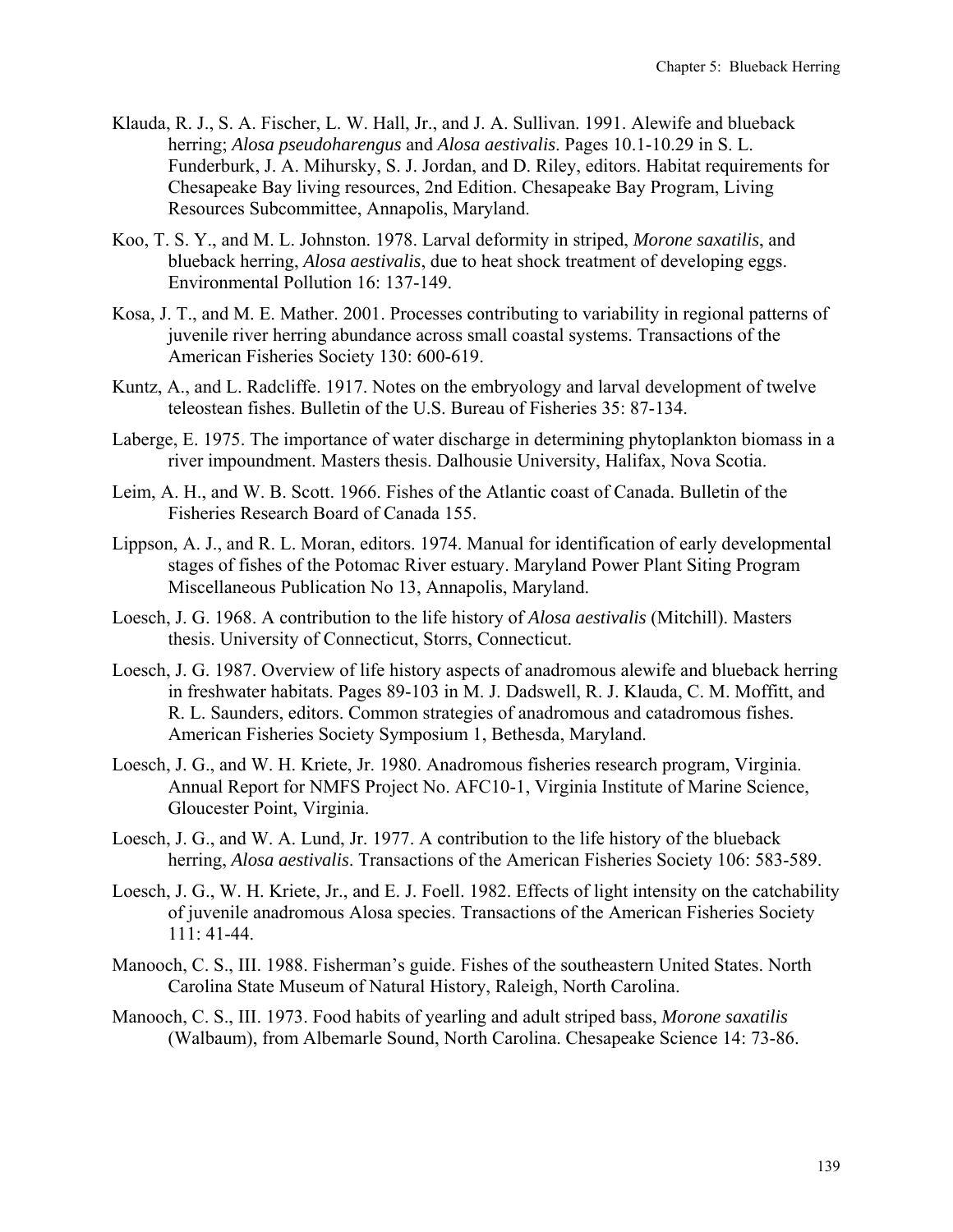- Klauda, R. J., S. A. Fischer, L. W. Hall, Jr., and J. A. Sullivan. 1991. Alewife and blueback herring; *Alosa pseudoharengus* and *Alosa aestivalis*. Pages 10.1-10.29 in S. L. Funderburk, J. A. Mihursky, S. J. Jordan, and D. Riley, editors. Habitat requirements for Chesapeake Bay living resources, 2nd Edition. Chesapeake Bay Program, Living Resources Subcommittee, Annapolis, Maryland.
- Koo, T. S. Y., and M. L. Johnston. 1978. Larval deformity in striped, *Morone saxatilis*, and blueback herring, *Alosa aestivalis*, due to heat shock treatment of developing eggs. Environmental Pollution 16: 137-149.
- Kosa, J. T., and M. E. Mather. 2001. Processes contributing to variability in regional patterns of juvenile river herring abundance across small coastal systems. Transactions of the American Fisheries Society 130: 600-619.
- Kuntz, A., and L. Radcliffe. 1917. Notes on the embryology and larval development of twelve teleostean fishes. Bulletin of the U.S. Bureau of Fisheries 35: 87-134.
- Laberge, E. 1975. The importance of water discharge in determining phytoplankton biomass in a river impoundment. Masters thesis. Dalhousie University, Halifax, Nova Scotia.
- Leim, A. H., and W. B. Scott. 1966. Fishes of the Atlantic coast of Canada. Bulletin of the Fisheries Research Board of Canada 155.
- Lippson, A. J., and R. L. Moran, editors. 1974. Manual for identification of early developmental stages of fishes of the Potomac River estuary. Maryland Power Plant Siting Program Miscellaneous Publication No 13, Annapolis, Maryland.
- Loesch, J. G. 1968. A contribution to the life history of *Alosa aestivalis* (Mitchill). Masters thesis. University of Connecticut, Storrs, Connecticut.
- Loesch, J. G. 1987. Overview of life history aspects of anadromous alewife and blueback herring in freshwater habitats. Pages 89-103 in M. J. Dadswell, R. J. Klauda, C. M. Moffitt, and R. L. Saunders, editors. Common strategies of anadromous and catadromous fishes. American Fisheries Society Symposium 1, Bethesda, Maryland.
- Loesch, J. G., and W. H. Kriete, Jr. 1980. Anadromous fisheries research program, Virginia. Annual Report for NMFS Project No. AFC10-1, Virginia Institute of Marine Science, Gloucester Point, Virginia.
- Loesch, J. G., and W. A. Lund, Jr. 1977. A contribution to the life history of the blueback herring, *Alosa aestivalis*. Transactions of the American Fisheries Society 106: 583-589.
- Loesch, J. G., W. H. Kriete, Jr., and E. J. Foell. 1982. Effects of light intensity on the catchability of juvenile anadromous Alosa species. Transactions of the American Fisheries Society 111: 41-44.
- Manooch, C. S., III. 1988. Fisherman's guide. Fishes of the southeastern United States. North Carolina State Museum of Natural History, Raleigh, North Carolina.
- Manooch, C. S., III. 1973. Food habits of yearling and adult striped bass, *Morone saxatilis* (Walbaum), from Albemarle Sound, North Carolina. Chesapeake Science 14: 73-86.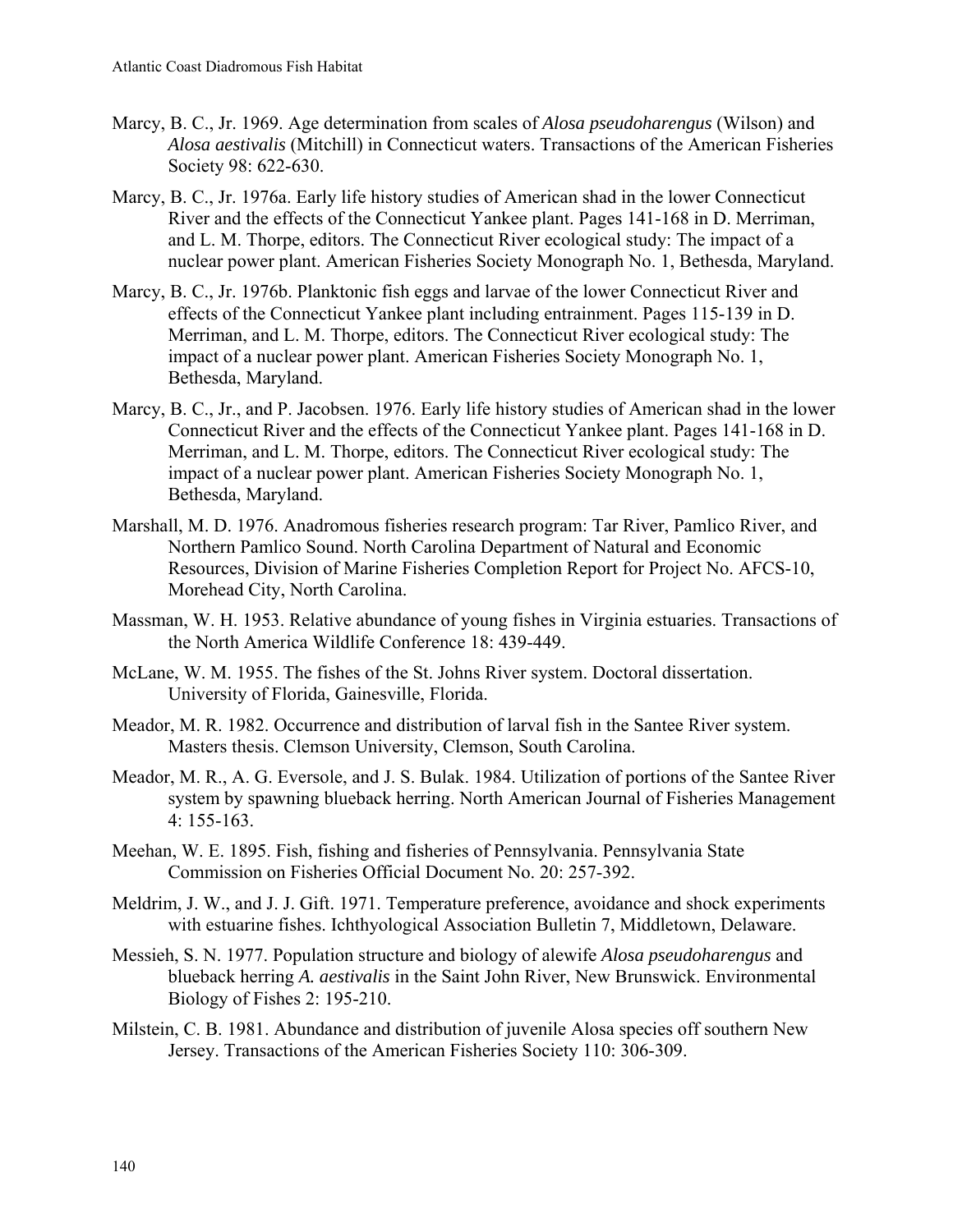- Marcy, B. C., Jr. 1969. Age determination from scales of *Alosa pseudoharengus* (Wilson) and *Alosa aestivalis* (Mitchill) in Connecticut waters. Transactions of the American Fisheries Society 98: 622-630.
- Marcy, B. C., Jr. 1976a. Early life history studies of American shad in the lower Connecticut River and the effects of the Connecticut Yankee plant. Pages 141-168 in D. Merriman, and L. M. Thorpe, editors. The Connecticut River ecological study: The impact of a nuclear power plant. American Fisheries Society Monograph No. 1, Bethesda, Maryland.
- Marcy, B. C., Jr. 1976b. Planktonic fish eggs and larvae of the lower Connecticut River and effects of the Connecticut Yankee plant including entrainment. Pages 115-139 in D. Merriman, and L. M. Thorpe, editors. The Connecticut River ecological study: The impact of a nuclear power plant. American Fisheries Society Monograph No. 1, Bethesda, Maryland.
- Marcy, B. C., Jr., and P. Jacobsen. 1976. Early life history studies of American shad in the lower Connecticut River and the effects of the Connecticut Yankee plant. Pages 141-168 in D. Merriman, and L. M. Thorpe, editors. The Connecticut River ecological study: The impact of a nuclear power plant. American Fisheries Society Monograph No. 1, Bethesda, Maryland.
- Marshall, M. D. 1976. Anadromous fisheries research program: Tar River, Pamlico River, and Northern Pamlico Sound. North Carolina Department of Natural and Economic Resources, Division of Marine Fisheries Completion Report for Project No. AFCS-10, Morehead City, North Carolina.
- Massman, W. H. 1953. Relative abundance of young fishes in Virginia estuaries. Transactions of the North America Wildlife Conference 18: 439-449.
- McLane, W. M. 1955. The fishes of the St. Johns River system. Doctoral dissertation. University of Florida, Gainesville, Florida.
- Meador, M. R. 1982. Occurrence and distribution of larval fish in the Santee River system. Masters thesis. Clemson University, Clemson, South Carolina.
- Meador, M. R., A. G. Eversole, and J. S. Bulak. 1984. Utilization of portions of the Santee River system by spawning blueback herring. North American Journal of Fisheries Management 4: 155-163.
- Meehan, W. E. 1895. Fish, fishing and fisheries of Pennsylvania. Pennsylvania State Commission on Fisheries Official Document No. 20: 257-392.
- Meldrim, J. W., and J. J. Gift. 1971. Temperature preference, avoidance and shock experiments with estuarine fishes. Ichthyological Association Bulletin 7, Middletown, Delaware.
- Messieh, S. N. 1977. Population structure and biology of alewife *Alosa pseudoharengus* and blueback herring *A. aestivalis* in the Saint John River, New Brunswick. Environmental Biology of Fishes 2: 195-210.
- Milstein, C. B. 1981. Abundance and distribution of juvenile Alosa species off southern New Jersey. Transactions of the American Fisheries Society 110: 306-309.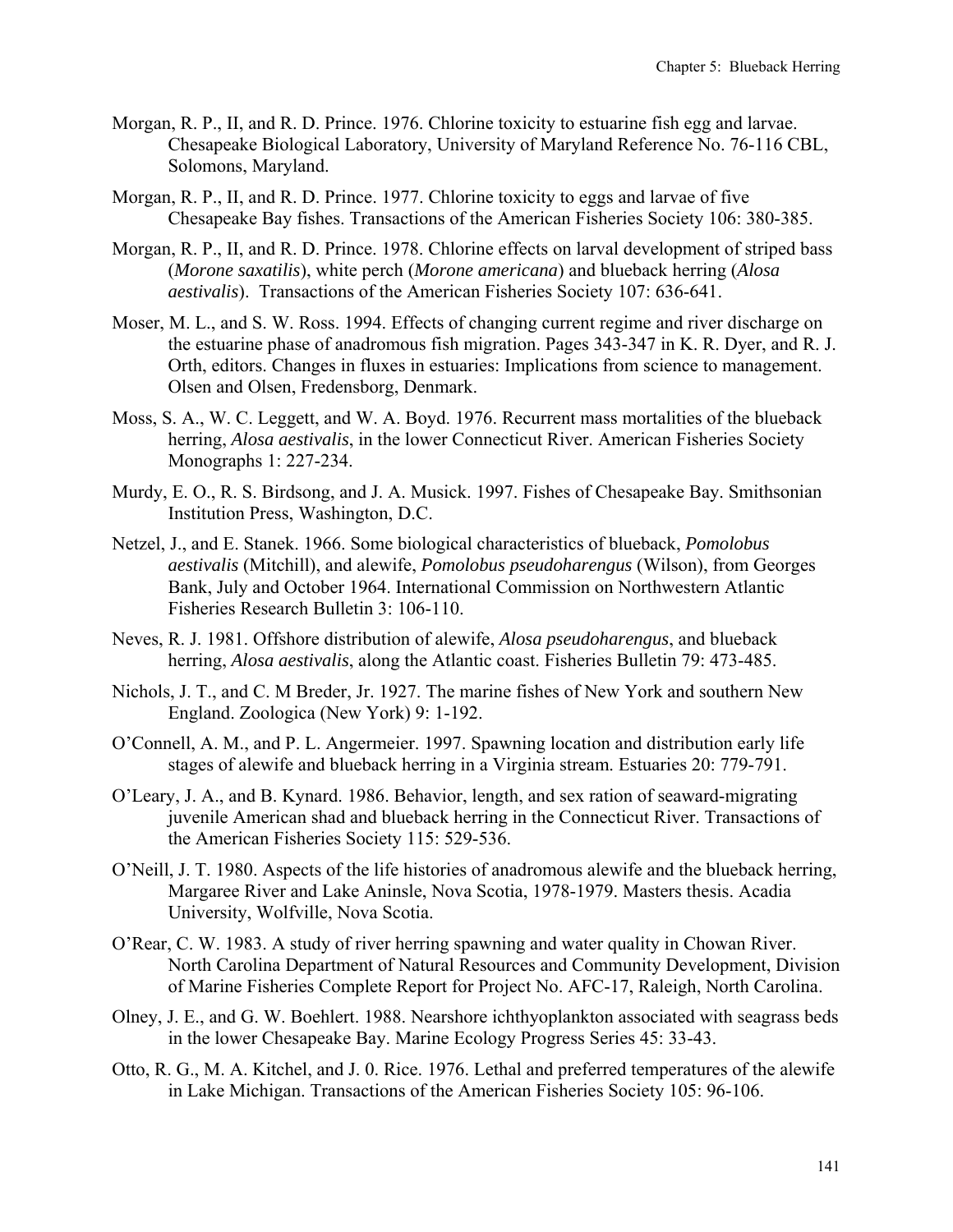- Morgan, R. P., II, and R. D. Prince. 1976. Chlorine toxicity to estuarine fish egg and larvae. Chesapeake Biological Laboratory, University of Maryland Reference No. 76-116 CBL, Solomons, Maryland.
- Morgan, R. P., II, and R. D. Prince. 1977. Chlorine toxicity to eggs and larvae of five Chesapeake Bay fishes. Transactions of the American Fisheries Society 106: 380-385.
- Morgan, R. P., II, and R. D. Prince. 1978. Chlorine effects on larval development of striped bass (*Morone saxatilis*), white perch (*Morone americana*) and blueback herring (*Alosa aestivalis*). Transactions of the American Fisheries Society 107: 636-641.
- Moser, M. L., and S. W. Ross. 1994. Effects of changing current regime and river discharge on the estuarine phase of anadromous fish migration. Pages 343-347 in K. R. Dyer, and R. J. Orth, editors. Changes in fluxes in estuaries: Implications from science to management. Olsen and Olsen, Fredensborg, Denmark.
- Moss, S. A., W. C. Leggett, and W. A. Boyd. 1976. Recurrent mass mortalities of the blueback herring, *Alosa aestivalis*, in the lower Connecticut River. American Fisheries Society Monographs 1: 227-234.
- Murdy, E. O., R. S. Birdsong, and J. A. Musick. 1997. Fishes of Chesapeake Bay. Smithsonian Institution Press, Washington, D.C.
- Netzel, J., and E. Stanek. 1966. Some biological characteristics of blueback, *Pomolobus aestivalis* (Mitchill), and alewife, *Pomolobus pseudoharengus* (Wilson), from Georges Bank, July and October 1964. International Commission on Northwestern Atlantic Fisheries Research Bulletin 3: 106-110.
- Neves, R. J. 1981. Offshore distribution of alewife, *Alosa pseudoharengus*, and blueback herring, *Alosa aestivalis*, along the Atlantic coast. Fisheries Bulletin 79: 473-485.
- Nichols, J. T., and C. M Breder, Jr. 1927. The marine fishes of New York and southern New England. Zoologica (New York) 9: 1-192.
- O'Connell, A. M., and P. L. Angermeier. 1997. Spawning location and distribution early life stages of alewife and blueback herring in a Virginia stream. Estuaries 20: 779-791.
- O'Leary, J. A., and B. Kynard. 1986. Behavior, length, and sex ration of seaward-migrating juvenile American shad and blueback herring in the Connecticut River. Transactions of the American Fisheries Society 115: 529-536.
- O'Neill, J. T. 1980. Aspects of the life histories of anadromous alewife and the blueback herring, Margaree River and Lake Aninsle, Nova Scotia, 1978-1979. Masters thesis. Acadia University, Wolfville, Nova Scotia.
- O'Rear, C. W. 1983. A study of river herring spawning and water quality in Chowan River. North Carolina Department of Natural Resources and Community Development, Division of Marine Fisheries Complete Report for Project No. AFC-17, Raleigh, North Carolina.
- Olney, J. E., and G. W. Boehlert. 1988. Nearshore ichthyoplankton associated with seagrass beds in the lower Chesapeake Bay. Marine Ecology Progress Series 45: 33-43.
- Otto, R. G., M. A. Kitchel, and J. 0. Rice. 1976. Lethal and preferred temperatures of the alewife in Lake Michigan. Transactions of the American Fisheries Society 105: 96-106.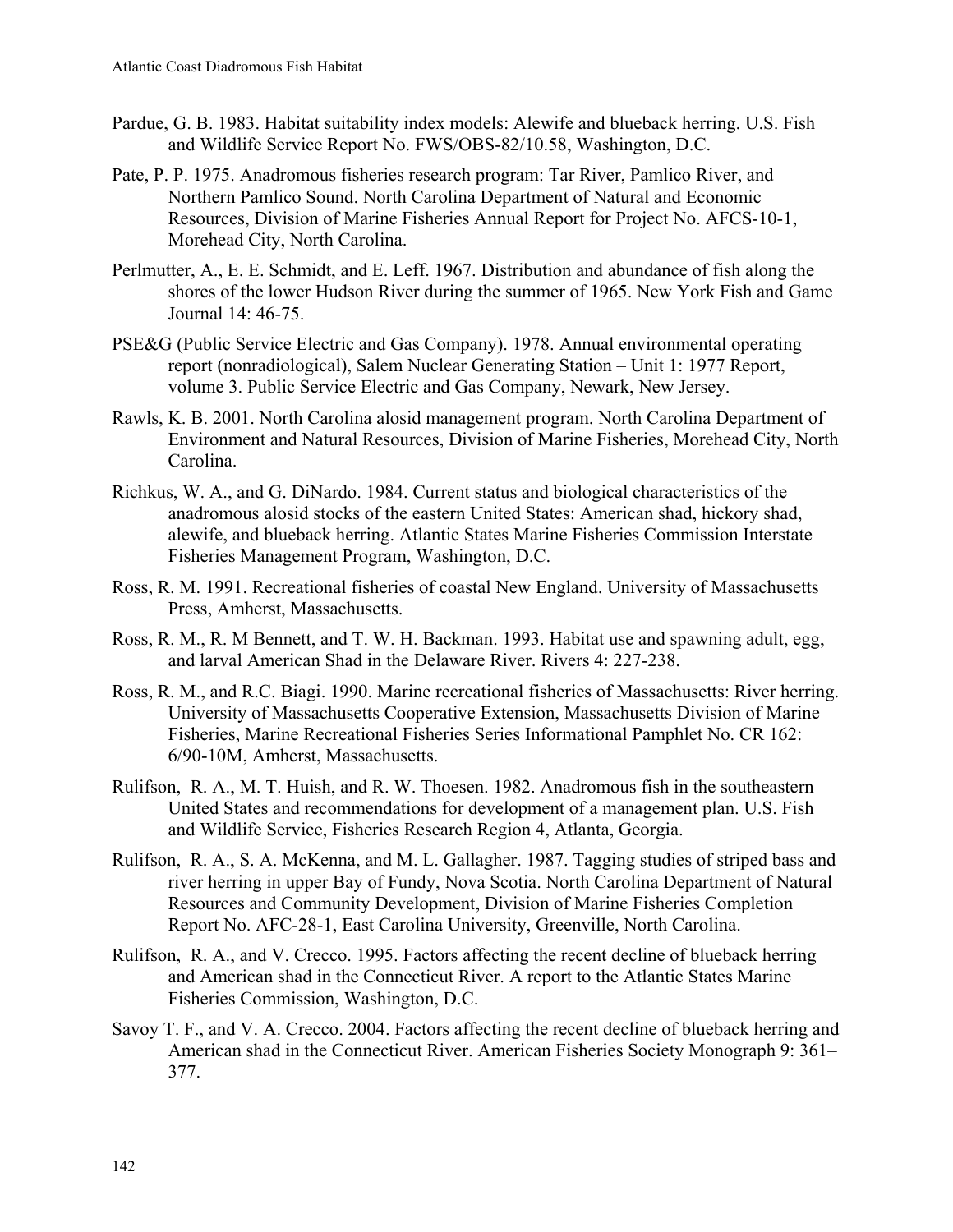- Pardue, G. B. 1983. Habitat suitability index models: Alewife and blueback herring. U.S. Fish and Wildlife Service Report No. FWS/OBS-82/10.58, Washington, D.C.
- Pate, P. P. 1975. Anadromous fisheries research program: Tar River, Pamlico River, and Northern Pamlico Sound. North Carolina Department of Natural and Economic Resources, Division of Marine Fisheries Annual Report for Project No. AFCS-10-1, Morehead City, North Carolina.
- Perlmutter, A., E. E. Schmidt, and E. Leff. 1967. Distribution and abundance of fish along the shores of the lower Hudson River during the summer of 1965. New York Fish and Game Journal 14: 46-75.
- PSE&G (Public Service Electric and Gas Company). 1978. Annual environmental operating report (nonradiological), Salem Nuclear Generating Station – Unit 1: 1977 Report, volume 3. Public Service Electric and Gas Company, Newark, New Jersey.
- Rawls, K. B. 2001. North Carolina alosid management program. North Carolina Department of Environment and Natural Resources, Division of Marine Fisheries, Morehead City, North Carolina.
- Richkus, W. A., and G. DiNardo. 1984. Current status and biological characteristics of the anadromous alosid stocks of the eastern United States: American shad, hickory shad, alewife, and blueback herring. Atlantic States Marine Fisheries Commission Interstate Fisheries Management Program, Washington, D.C.
- Ross, R. M. 1991. Recreational fisheries of coastal New England. University of Massachusetts Press, Amherst, Massachusetts.
- Ross, R. M., R. M Bennett, and T. W. H. Backman. 1993. Habitat use and spawning adult, egg, and larval American Shad in the Delaware River. Rivers 4: 227-238.
- Ross, R. M., and R.C. Biagi. 1990. Marine recreational fisheries of Massachusetts: River herring. University of Massachusetts Cooperative Extension, Massachusetts Division of Marine Fisheries, Marine Recreational Fisheries Series Informational Pamphlet No. CR 162: 6/90-10M, Amherst, Massachusetts.
- Rulifson, R. A., M. T. Huish, and R. W. Thoesen. 1982. Anadromous fish in the southeastern United States and recommendations for development of a management plan. U.S. Fish and Wildlife Service, Fisheries Research Region 4, Atlanta, Georgia.
- Rulifson, R. A., S. A. McKenna, and M. L. Gallagher. 1987. Tagging studies of striped bass and river herring in upper Bay of Fundy, Nova Scotia. North Carolina Department of Natural Resources and Community Development, Division of Marine Fisheries Completion Report No. AFC-28-1, East Carolina University, Greenville, North Carolina.
- Rulifson, R. A., and V. Crecco. 1995. Factors affecting the recent decline of blueback herring and American shad in the Connecticut River. A report to the Atlantic States Marine Fisheries Commission, Washington, D.C.
- Savoy T. F., and V. A. Crecco. 2004. Factors affecting the recent decline of blueback herring and American shad in the Connecticut River. American Fisheries Society Monograph 9: 361– 377.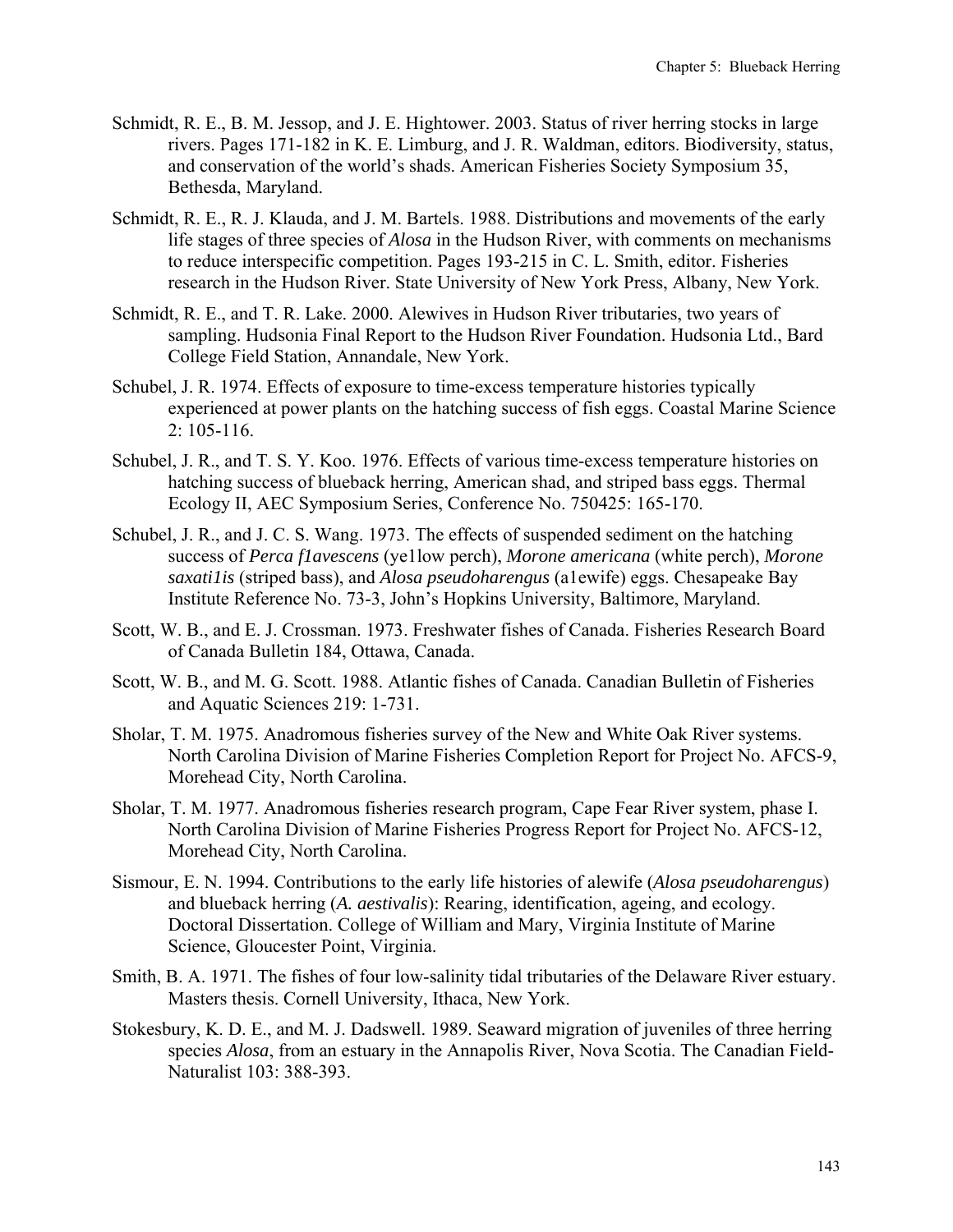- Schmidt, R. E., B. M. Jessop, and J. E. Hightower. 2003. Status of river herring stocks in large rivers. Pages 171-182 in K. E. Limburg, and J. R. Waldman, editors. Biodiversity, status, and conservation of the world's shads. American Fisheries Society Symposium 35, Bethesda, Maryland.
- Schmidt, R. E., R. J. Klauda, and J. M. Bartels. 1988. Distributions and movements of the early life stages of three species of *Alosa* in the Hudson River, with comments on mechanisms to reduce interspecific competition. Pages 193-215 in C. L. Smith, editor. Fisheries research in the Hudson River. State University of New York Press, Albany, New York.
- Schmidt, R. E., and T. R. Lake. 2000. Alewives in Hudson River tributaries, two years of sampling. Hudsonia Final Report to the Hudson River Foundation. Hudsonia Ltd., Bard College Field Station, Annandale, New York.
- Schubel, J. R. 1974. Effects of exposure to time-excess temperature histories typically experienced at power plants on the hatching success of fish eggs. Coastal Marine Science 2: 105-116.
- Schubel, J. R., and T. S. Y. Koo. 1976. Effects of various time-excess temperature histories on hatching success of blueback herring, American shad, and striped bass eggs. Thermal Ecology II, AEC Symposium Series, Conference No. 750425: 165-170.
- Schubel, J. R., and J. C. S. Wang. 1973. The effects of suspended sediment on the hatching success of *Perca f1avescens* (ye1low perch), *Morone americana* (white perch), *Morone saxati1is* (striped bass), and *Alosa pseudoharengus* (a1ewife) eggs. Chesapeake Bay Institute Reference No. 73-3, John's Hopkins University, Baltimore, Maryland.
- Scott, W. B., and E. J. Crossman. 1973. Freshwater fishes of Canada. Fisheries Research Board of Canada Bulletin 184, Ottawa, Canada.
- Scott, W. B., and M. G. Scott. 1988. Atlantic fishes of Canada. Canadian Bulletin of Fisheries and Aquatic Sciences 219: 1-731.
- Sholar, T. M. 1975. Anadromous fisheries survey of the New and White Oak River systems. North Carolina Division of Marine Fisheries Completion Report for Project No. AFCS-9, Morehead City, North Carolina.
- Sholar, T. M. 1977. Anadromous fisheries research program, Cape Fear River system, phase I. North Carolina Division of Marine Fisheries Progress Report for Project No. AFCS-12, Morehead City, North Carolina.
- Sismour, E. N. 1994. Contributions to the early life histories of alewife (*Alosa pseudoharengus*) and blueback herring (*A. aestivalis*): Rearing, identification, ageing, and ecology. Doctoral Dissertation. College of William and Mary, Virginia Institute of Marine Science, Gloucester Point, Virginia.
- Smith, B. A. 1971. The fishes of four low-salinity tidal tributaries of the Delaware River estuary. Masters thesis. Cornell University, Ithaca, New York.
- Stokesbury, K. D. E., and M. J. Dadswell. 1989. Seaward migration of juveniles of three herring species *Alosa*, from an estuary in the Annapolis River, Nova Scotia. The Canadian Field-Naturalist 103: 388-393.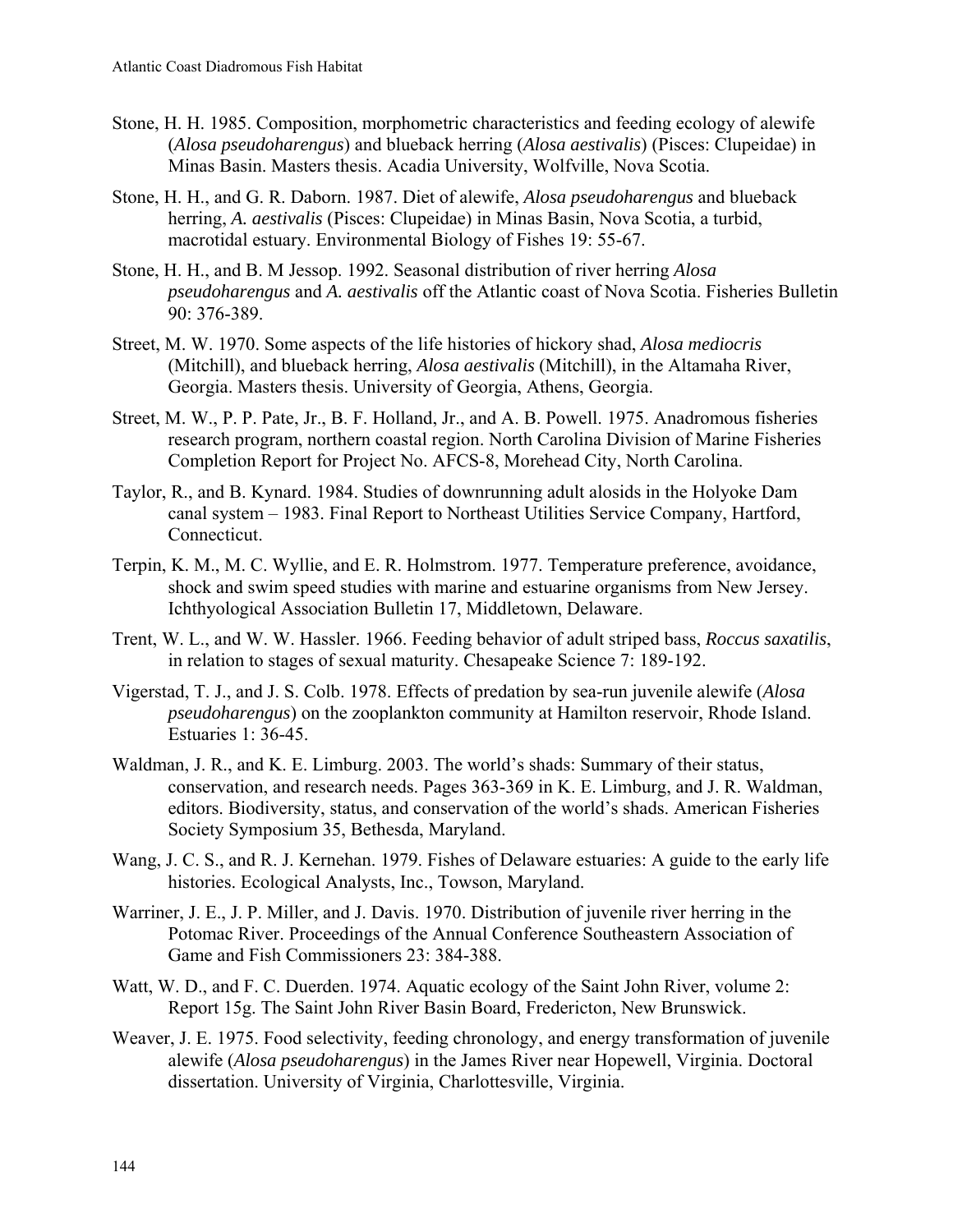- Stone, H. H. 1985. Composition, morphometric characteristics and feeding ecology of alewife (*Alosa pseudoharengus*) and blueback herring (*Alosa aestivalis*) (Pisces: Clupeidae) in Minas Basin. Masters thesis. Acadia University, Wolfville, Nova Scotia.
- Stone, H. H., and G. R. Daborn. 1987. Diet of alewife, *Alosa pseudoharengus* and blueback herring, *A. aestivalis* (Pisces: Clupeidae) in Minas Basin, Nova Scotia, a turbid, macrotidal estuary. Environmental Biology of Fishes 19: 55-67.
- Stone, H. H., and B. M Jessop. 1992. Seasonal distribution of river herring *Alosa pseudoharengus* and *A. aestivalis* off the Atlantic coast of Nova Scotia. Fisheries Bulletin 90: 376-389.
- Street, M. W. 1970. Some aspects of the life histories of hickory shad, *Alosa mediocris*  (Mitchill), and blueback herring, *Alosa aestivalis* (Mitchill), in the Altamaha River, Georgia. Masters thesis. University of Georgia, Athens, Georgia.
- Street, M. W., P. P. Pate, Jr., B. F. Holland, Jr., and A. B. Powell. 1975. Anadromous fisheries research program, northern coastal region. North Carolina Division of Marine Fisheries Completion Report for Project No. AFCS-8, Morehead City, North Carolina.
- Taylor, R., and B. Kynard. 1984. Studies of downrunning adult alosids in the Holyoke Dam canal system – 1983. Final Report to Northeast Utilities Service Company, Hartford, Connecticut.
- Terpin, K. M., M. C. Wyllie, and E. R. Holmstrom. 1977. Temperature preference, avoidance, shock and swim speed studies with marine and estuarine organisms from New Jersey. Ichthyological Association Bulletin 17, Middletown, Delaware.
- Trent, W. L., and W. W. Hassler. 1966. Feeding behavior of adult striped bass, *Roccus saxatilis*, in relation to stages of sexual maturity. Chesapeake Science 7: 189-192.
- Vigerstad, T. J., and J. S. Colb. 1978. Effects of predation by sea-run juvenile alewife (*Alosa pseudoharengus*) on the zooplankton community at Hamilton reservoir, Rhode Island. Estuaries 1: 36-45.
- Waldman, J. R., and K. E. Limburg. 2003. The world's shads: Summary of their status, conservation, and research needs. Pages 363-369 in K. E. Limburg, and J. R. Waldman, editors. Biodiversity, status, and conservation of the world's shads. American Fisheries Society Symposium 35, Bethesda, Maryland.
- Wang, J. C. S., and R. J. Kernehan. 1979. Fishes of Delaware estuaries: A guide to the early life histories. Ecological Analysts, Inc., Towson, Maryland.
- Warriner, J. E., J. P. Miller, and J. Davis. 1970. Distribution of juvenile river herring in the Potomac River. Proceedings of the Annual Conference Southeastern Association of Game and Fish Commissioners 23: 384-388.
- Watt, W. D., and F. C. Duerden. 1974. Aquatic ecology of the Saint John River, volume 2: Report 15g. The Saint John River Basin Board, Fredericton, New Brunswick.
- Weaver, J. E. 1975. Food selectivity, feeding chronology, and energy transformation of juvenile alewife (*Alosa pseudoharengus*) in the James River near Hopewell, Virginia. Doctoral dissertation. University of Virginia, Charlottesville, Virginia.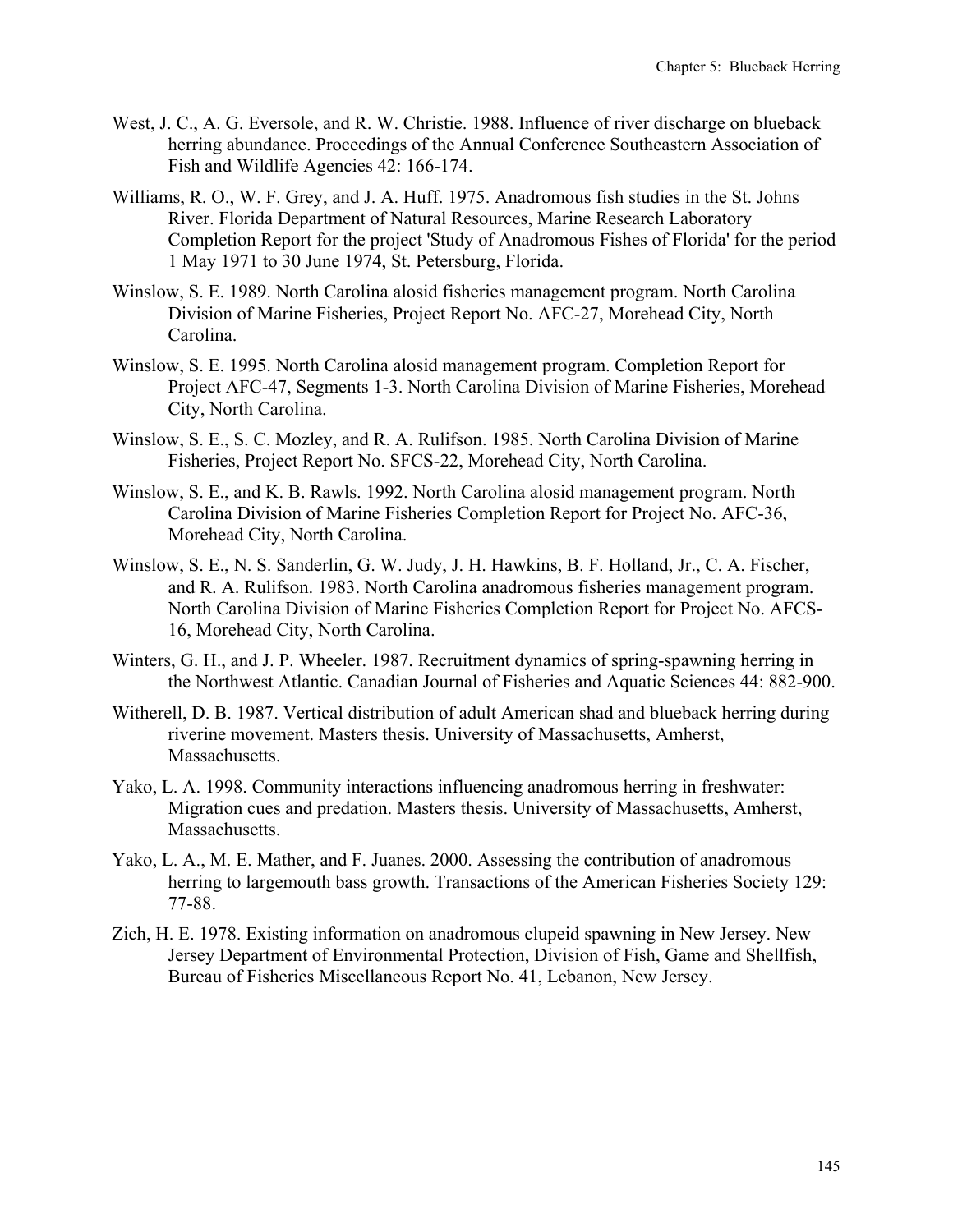- West, J. C., A. G. Eversole, and R. W. Christie. 1988. Influence of river discharge on blueback herring abundance. Proceedings of the Annual Conference Southeastern Association of Fish and Wildlife Agencies 42: 166-174.
- Williams, R. O., W. F. Grey, and J. A. Huff. 1975. Anadromous fish studies in the St. Johns River. Florida Department of Natural Resources, Marine Research Laboratory Completion Report for the project 'Study of Anadromous Fishes of Florida' for the period 1 May 1971 to 30 June 1974, St. Petersburg, Florida.
- Winslow, S. E. 1989. North Carolina alosid fisheries management program. North Carolina Division of Marine Fisheries, Project Report No. AFC-27, Morehead City, North Carolina.
- Winslow, S. E. 1995. North Carolina alosid management program. Completion Report for Project AFC-47, Segments 1-3. North Carolina Division of Marine Fisheries, Morehead City, North Carolina.
- Winslow, S. E., S. C. Mozley, and R. A. Rulifson. 1985. North Carolina Division of Marine Fisheries, Project Report No. SFCS-22, Morehead City, North Carolina.
- Winslow, S. E., and K. B. Rawls. 1992. North Carolina alosid management program. North Carolina Division of Marine Fisheries Completion Report for Project No. AFC-36, Morehead City, North Carolina.
- Winslow, S. E., N. S. Sanderlin, G. W. Judy, J. H. Hawkins, B. F. Holland, Jr., C. A. Fischer, and R. A. Rulifson. 1983. North Carolina anadromous fisheries management program. North Carolina Division of Marine Fisheries Completion Report for Project No. AFCS-16, Morehead City, North Carolina.
- Winters, G. H., and J. P. Wheeler. 1987. Recruitment dynamics of spring-spawning herring in the Northwest Atlantic. Canadian Journal of Fisheries and Aquatic Sciences 44: 882-900.
- Witherell, D. B. 1987. Vertical distribution of adult American shad and blueback herring during riverine movement. Masters thesis. University of Massachusetts, Amherst, Massachusetts.
- Yako, L. A. 1998. Community interactions influencing anadromous herring in freshwater: Migration cues and predation. Masters thesis. University of Massachusetts, Amherst, Massachusetts.
- Yako, L. A., M. E. Mather, and F. Juanes. 2000. Assessing the contribution of anadromous herring to largemouth bass growth. Transactions of the American Fisheries Society 129: 77-88.
- Zich, H. E. 1978. Existing information on anadromous clupeid spawning in New Jersey. New Jersey Department of Environmental Protection, Division of Fish, Game and Shellfish, Bureau of Fisheries Miscellaneous Report No. 41, Lebanon, New Jersey.